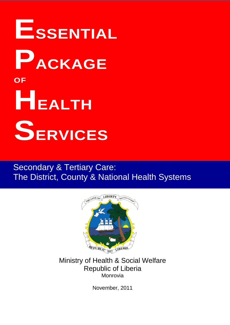# **ESSENTIAL PACKAGE OF HEALTH SERVICES**

# Secondary & Tertiary Care: The District, County & National Health Systems



Ministry of Health & Social Welfare Republic of Liberia Monrovia

November, 2011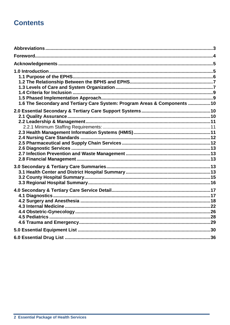# **Contents**

| 1.6 The Secondary and Tertiary Care System: Program Areas & Components  10 |  |
|----------------------------------------------------------------------------|--|
|                                                                            |  |
|                                                                            |  |
|                                                                            |  |
|                                                                            |  |
|                                                                            |  |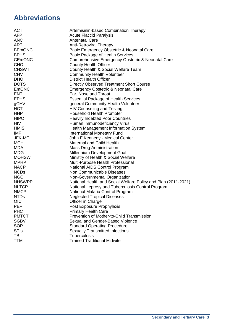# **Abbreviations**

| <b>ACT</b>    | Artemisinin-based Combination Therapy                          |
|---------------|----------------------------------------------------------------|
| <b>AFP</b>    | <b>Acute Flaccid Paralysis</b>                                 |
| <b>ANC</b>    | <b>Antenatal Care</b>                                          |
| <b>ART</b>    | <b>Anti-Retroviral Therapy</b>                                 |
| <b>BEmONC</b> | Basic Emergency Obstetric & Neonatal Care                      |
| <b>BPHS</b>   | <b>Basic Package of Health Services</b>                        |
| <b>CEMONC</b> | Comprehensive Emergency Obstetric & Neonatal Care              |
| <b>CHO</b>    | <b>County Health Officer</b>                                   |
| <b>CHSWT</b>  | County Health & Social Welfare Team                            |
| <b>CHV</b>    | <b>Community Health Volunteer</b>                              |
| <b>DHO</b>    | <b>District Health Officer</b>                                 |
| <b>DOTS</b>   | <b>Directly Observed Treatment Short Course</b>                |
| EmONC         | <b>Emergency Obstetric &amp; Neonatal Care</b>                 |
| <b>ENT</b>    | Ear, Nose and Throat                                           |
| <b>EPHS</b>   | <b>Essential Package of Health Services</b>                    |
| gCHV          | general Community Health Volunteer                             |
| <b>HCT</b>    | <b>HIV Counseling and Testing</b>                              |
| <b>HHP</b>    | <b>Household Health Promoter</b>                               |
| <b>HIPC</b>   | <b>Heavily Indebted Poor Countries</b>                         |
| <b>HIV</b>    | Human Immunodeficiency Virus                                   |
| <b>HMIS</b>   | <b>Health Management Information System</b>                    |
| <b>IMF</b>    | <b>International Monetary Fund</b>                             |
| JFK-MC        | John F Kennedy - Medical Center                                |
| <b>MCH</b>    | <b>Maternal and Child Health</b>                               |
| <b>MDA</b>    | <b>Mass Drug Administration</b>                                |
| <b>MDG</b>    | Millennium Development Goal                                    |
| <b>MOHSW</b>  | Ministry of Health & Social Welfare                            |
| <b>MPHP</b>   | Multi-Purpose Health Professional                              |
| <b>NACP</b>   | National AIDS Control Program                                  |
| <b>NCDs</b>   | Non Communicable Diseases                                      |
| <b>NGO</b>    | Non-Governmental Organization                                  |
| <b>NHSWPP</b> | National Health and Social Welfare Policy and Plan (2011-2021) |
| <b>NLTCP</b>  | National Leprosy and Tuberculosis Control Program              |
| <b>NMCP</b>   | National Malaria Control Program                               |
| <b>NTDs</b>   | <b>Neglected Tropical Diseases</b>                             |
| <b>OIC</b>    | Officer in Charge                                              |
| <b>PEP</b>    | Post Exposure Prophylaxis                                      |
| <b>PHC</b>    | <b>Primary Health Care</b>                                     |
| <b>PMTCT</b>  | Prevention of Mother-to-Child Transmission                     |
| <b>SGBV</b>   | Sexual and Gender-Based Violence                               |
| <b>SOP</b>    | <b>Standard Operating Procedure</b>                            |
| <b>STIs</b>   | <b>Sexually Transmitted Infections</b>                         |
| TВ            | Tuberculosis                                                   |
| <b>TTM</b>    | <b>Trained Traditional Midwife</b>                             |
|               |                                                                |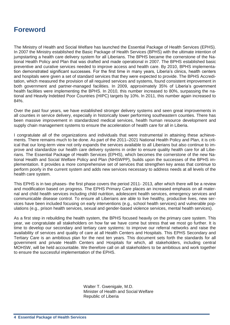# **Foreword**

The Ministry of Health and Social Welfare has launched the Essential Package of Health Services (EPHS). In 2007 the Ministry established the Basic Package of Health Services (BPHS) with the ultimate intention of jumpstarting a health care delivery system for all Liberians. The BPHS became the cornerstone of the National Health Policy and Plan that was drafted and made operational in 2007. The BPHS established basic preventive and curative services needed to improve access and health care. By 2010, BPHS implementation demonstrated significant successes. For the first time in many years, Liberia's clinics, health centers and hospitals were given a set of standard services that they were expected to provide. The BPHS Accreditation, which measured the provision of all required services and systems, found consistent improvement in both government and partner-managed facilities. In 2009, approximately 35% of Liberia's government health facilities were implementing the BPHS. In 2010, this number increased to 80%, surpassing the national and Heavily lndebted Poor Countries (HIPC) targets by 10%. ln 2011, this number again increased to 84%.

Over the past four years, we have established stronger delivery systems and seen great improvements in all counties in service delivery, especially in historically lower performing southeastern counties. There has been massive improvement in standardized medical services, health human resource development and supply chain management systems to ensure the acceleration of health care for all in Liberia.

I congratulate all of the organizations and individuals that were instrumental in attaining these achievements. There remains much to be done. As part of the 2011–2021 National Health Policy and Plan, it is critical that our long-term view not only expands the services available to all Liberians but also continue to improve and standardize our health care delivery systems in order to ensure quality health care for all Liberians. The Essential Package of Health Services (EPHS), which becomes the cornerstone of the new National Health and Social Welfare Policy and Plan (NHSWPP), builds upon the successes of the BPHS implementation. It provides a more comprehensive set of services that strengthen key areas that continue to perform poorly in the current system and adds new services necessary to address needs at all levels of the health care system.

This EPHS is in two phases- the first phase covers the period 2011- 2013, after which there will be a review and modification based on progress. The EPHS Primary Care places an increased emphasis on all maternal and child health services including child nutrition, adolescent health services, emergency services and communicable disease control. To ensure all Liberians are able to live healthy, productive lives, new services have been included focusing on early interventions (e.g., school health services) and vulnerable populations (e.g., prison health services, sexual and gender-based violence services, mental health services).

As a first step in rebuilding the health system, the BPHS focused heavily on the primary care system. This year, we congratulate all stakeholders on how far we have come but stress that we most go further. It is time to develop our secondary and tertiary care systems: to improve our referral networks and raise the availability of services and quality of care at all Health Centers and Hospitals. This EPHS Secondary and Tertiary Care is an ambitious plan for the next ten years. This document sets forth the standards for all government and private Health Centers and Hospitals for which, all stakeholders, including central MOHSW, will be held accountable. We therefore call on all stakeholders to be ambitious and work together to ensure the successful implementation of the EPHS.

> Walter T. Gwenigale, M.D. Minister of Health and Social Welfare Republic of Liberia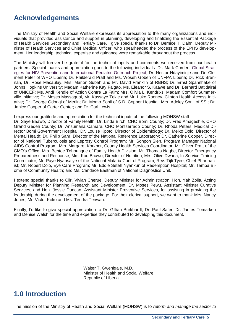# **Acknowledgements**

The Ministry of Health and Social Welfare expresses its appreciation to the many organizations and individuals that provided assistance and support in planning, developing and finalizing the Essential Package of Health Services Secondary and Tertiary Care. I give special thanks to Dr. Bernice T. Dahn, Deputy Minister of Health Services and Chief Medical Officer, who spearheaded the process of the EPHS development. Her leadership, technical expertise and guidance were remarkable throughout the process.

The Ministry will forever be grateful for the technical inputs and comments we received from our health partners. Special thanks and appreciation goes to the following individuals: Dr. Mark Corden, Global Strategies for HIV Prevention and International Pediatric Outreach Project; Dr. Nestor Ndayimirije and Dr. Clement Peter of WHO Liberia; Dr. Philderald Pratt and Ms. Woseh Gobeh of UNFPA Liberia; Dr. Rick Brennan, Dr. Rose Macaulay, Mrs. Marion Subah and Mr. David Franklin of RBHS; Dr. Ernst Spannhake of Johns Hopkins University; Madam Katherine Kay Faigao, Ms. Eleanor S. Kaawe and Dr. Bernard Batidairai of UNICEF; Ms. Andi Kendle of Action Contre La Faim; Mrs. Olivia L. Kendrixs, Madam Comfort Summerville,Initiative; Dr. Moses Massaquoi, Mr. Kassaye Tekie and Mr. Luke Rooney, Clinton Health Access Initiative; Dr. George Odongi of Merlin; Dr. Momo Sonii of S.D. Copper Hospital; Mrs. Adoley Sonii of SSI; Dr. Janice Cooper of Carter Center; and Dr. Carl Lewis.

I express our gratitude and appreciation for the technical inputs of the following MOHSW staff:

Dr. Saye Baawo, Director of Family Health; Dr. Linda Birch, CHO Bomi County; Dr. Fred Amageshie, CHO Grand Gedeh County; Dr. Ansumana Camara, CHO Montserrado County; Dr. Rhoda Peters, Medical Director Bomi Government Hospital; Dr. Louise Kpoto, Director of Epidemiology; Dr. Meiko Dolo, Director of Mental Health; Dr. Philip Sahr, Director of the National Reference Laboratory; Dr. Catherine Cooper, Director of National Tuberculosis and Leprosy Control Program; Mr. Sonpon Sieh, Program Manager National AIDS Control Program; Mrs. Margaret Korkpor, County Health Services Coordinator, Mr. Oliver Pratt of the CMO's Office; Mrs. Bentoe Tehoungue of Family Health Division; Mr. Thomas Nagbe, Director Emergency Preparedness and Response; Mrs. Kou Baawo, Director of Nutrition; Mrs. Olive Dwana, In-Service Training Coordinator; Mr. Paye Nyansaiye of the National Malaria Control Program; Rev. Tijli Tyee, Chief Pharmacist; Mr. Robert Dolo, Eye Care Program; Mr. Eddie Seteh Nyankun of Redemption Hospital; Mr. Tamba Bioma of Community Health; and Ms. Candace Eastman of National Diagnostics Unit.

I extend special thanks to Cllr. Vivian Cherue, Deputy Minister for Administration, Hon. Yah Zolia, Acting Deputy Minister for Planning Research and Development, Dr. Moses Pewu, Assistant Minister Curative Services, and Hon. Jessie Duncan, Assistant Minister Preventive Services, for assisting in providing the leadership during the development of the package. For their clerical support, we want to thank Mrs. Nancy Jones, Mr. Victor Koko and Ms. Tendra Tenwah.

Finally, I'd like to give special appreciation to Dr. Gillian Burkhardt, Dr. Paul Safer, Dr. James Tomarken and Denise Walsh for the time and expertise they contributed to developing this document.

> Walter T. Gwenigale, M.D. Minister of Health and Social Welfare Republic of Liberia

# **1.0 Introduction**

The mission of the Ministry of Health and Social Welfare (MOHSW) is to *reform and manage the sector to*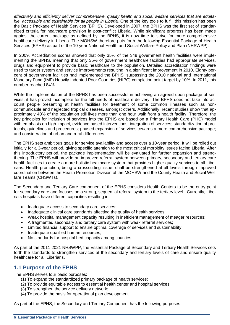*effectively and efficiently deliver comprehensive, quality health and social welfare services that are equitable, accessible and sustainable for all people in Liberia.* One of the key tools to fulfill this mission has been the Basic Package of Health Services (BPHS). Developed in 2007, the BPHS was the first set of standardized criteria for healthcare provision in post-conflict Liberia. While significant progress has been made against the current package as defined by the BPHS, it is now time to strive for more comprehensive healthcare delivery in Liberia. The MOHSW therefore puts forth the following Essential Package of Health Services (EPHS) as part of the 10-year National Health and Social Welfare Policy and Plan (NHSWPP).

In 2009, Accreditation scores showed that only 35% of the 349 government health facilities were implementing the BPHS, meaning that only 35% of government healthcare facilities had appropriate services, drugs and equipment to provide basic healthcare to the population. Detailed accreditation findings were used to target system and service improvements resulting in a significant improvement in 2010. Eighty percent of government facilities had implemented the BPHS, surpassing the 2010 national and International Monetary Fund (IMF) Heavily Indebted Poor Countries (HIPC) completion point target by 10%. In 2011, this number reached 84%.

While the implementation of the BPHS has been successful in achieving an agreed upon package of services, it has proved incomplete for the full needs of healthcare delivery. The BPHS does not take into account people presenting at health facilities for treatment of some common illnesses such as noncommunicable and neglected tropical diseases, amongst others. Additionally, recent studies show that approximately 40% of the population still lives more than one hour walk from a health facility. Therefore, the key principles for inclusion of services into the EPHS are based on a Primary Health Care (PHC) model with emphasis on high-impact, evidence based interventions; integration of services; standardization of protocols, guidelines and procedures; phased expansion of services towards a more comprehensive package; and consideration of urban and rural differences.

The EPHS sets ambitious goals for service availability and access over a 10-year period. It will be rolled out initially for a 3-year period, giving specific attention to the most critical morbidity issues facing Liberia. After this introductory period, the package implementation will be evaluated for further expansion and strengthening. The EPHS will provide an improved referral system between primary, secondary and tertiary care health facilities to create a more holistic healthcare system that provides higher quality services to all Liberians. Health promotion, being a crosscutting issue, shall be strengthened at all levels through improved coordination between the Health Promotion Division of the MOHSW and the County Health and Social Welfare Teams (CHSWTs).

The Secondary and Tertiary Care component of the EPHS considers Health Centers to be the entry point for secondary care and focuses on a strong, sequential referral system to the tertiary level. Currently, Liberia's hospitals have different capacities resulting in:

- Inadequate access to secondary care services;
- Inadequate clinical care standards affecting the quality of health services;
- Weak hospital management capacity resulting in inefficient management of meager resources;
- A fragmented secondary and tertiary care system with weak referral services;
- Limited financial support to ensure optimal coverage of services and sustainability;
- Inadequate qualified human resources;
- No standards for hospital bed capacity among counties.

As part of the 2011-2021 NHSWPP, the Essential Package of Secondary and Tertiary Health Services sets forth the standards to strengthen services at the secondary and tertiary levels of care and ensure quality healthcare for all Liberians.

### **1.1 Purpose of the EPHS**

The EPHS serves four basic purposes:

- (1) To expand the standardized primary package of health services;
- (2) To provide equitable access to essential health center and hospital services;
- (3) To strengthen the service delivery network;
- (4) To provide the basis for operational plan development.

As part of the EPHS, the Secondary and Tertiary Component has the following purposes: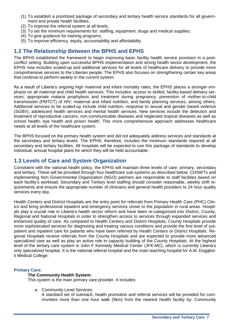- (1) To establish a prioritized package of secondary and tertiary health service standards for all government and private health facilities;
- (2) To improve the referral system at all levels;
- (3) To set the minimum requirements for: staffing, equipment, drugs and medical supplies;
- (4) To give guidance for training programs;
- (5) To improve efficiency, equity, accountability and affordability.

## **1.2 The Relationship Between the BPHS and EPHS**

The BPHS established the framework to begin improving basic facility health service provision in a postconflict setting. Building upon successful BPHS implementation and strong health sector development, the EPHS now includes scaled-up and additional services for all levels of healthcare delivery to provide more comprehensive services to the Liberian people. The EPHS also focuses on strengthening certain key areas that continue to perform weakly in the current system.

As a result of Liberia's ongoing high maternal and infant mortality rates, the EPHS places a stronger emphasis on all maternal and child health services. This includes: access to skilled, facility-based delivery services; appropriate malaria prophylaxis and treatment during pregnancy; prevention of mother-to-child transmission (PMTCT) of HIV; maternal and infant nutrition; and family planning services, among others. Additional services to be scaled-up include child nutrition, response to sexual and gender based violence (SGBV), adolescent health services and mental health services. New services include the detection and treatment of reproductive cancers, non-communicable diseases and neglected tropical diseases as well as school health, eye health and prison health. This more comprehensive approach addresses healthcare needs at all levels of the healthcare system.

The BPHS focused on the primary health system and did not adequately address services and standards at the secondary and tertiary levels. The EPHS, therefore, includes the minimum standards required at all secondary and tertiary facilities. All hospitals will be expected to use this package of standards to develop individual, annual hospital plans for which they will be held accountable.

## **1.3 Levels of Care and System Organization**

Consistent with the national health policy, the EPHS will maintain three levels of care: primary, secondary and tertiary. These will be provided through four healthcare sub-systems as described below. CHSWTs and implementing Non Governmental Organization (NGO) partners are responsible to staff facilities based on each facility's workload. Secondary and Tertiary level staffing should consider reasonable, weekly shift requirements and ensure the appropriate number of clinicians and general health providers to 24 hour quality services every day.

Health Centers and District Hospitals are the entry point for referrals from Primary Health Care (PHC) Clinics and bring professional inpatient and emergency services closer to the population in rural areas. Hospitals play a crucial role in Liberia's health sector reform and have been re-categorized into District, County, Regional and National Hospitals in order to strengthen access to services through expanded services and enhanced quality of care. As compared to Health Centers and District Hospitals, County Hospitals provide more sophisticated services for diagnosing and treating various conditions and provide the first level of outpatient and inpatient care for patients who have been referred by Health Centers or District Hospitals. Regional Hospitals receive referrals from the County Hospitals and are expected to provide more advanced specialized care as well as play an active role in capacity building of the County Hospitals. At the highest level of the tertiary care system is John F Kennedy Medical Center (JFK-MC), which is currently Liberia's only specialized hospital. It is the national referral hospital and the main teaching hospital for A.M. Doggliotti Medical College.

#### **Primary Care:**

#### **The Community Health System:**

This system is the main primary care provider. It includes:

a. Community Level Services:

A standard set of outreach, health promotion and referral services will be provided for communities more than one hour walk (5km) from the nearest health facility by: Community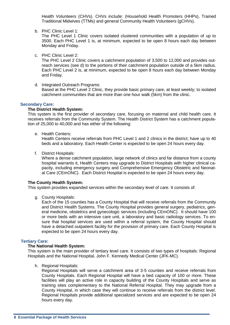Health Volunteers (CHVs). CHVs include: (Household Health Promoters (HHPs), Trained Traditional Midwives (TTMs) and general Community Health Volunteers (gCHVs).

b. PHC Clinic Level 1:

The PHC Level 1 Clinic covers isolated clustered communities with a population of up to 3500. Each PHC Level 1 is, at minimum, expected to be open 8 hours each day between Monday and Friday.

c. PHC Clinic Level 2:

The PHC Level 2 Clinic covers a catchment population of 3,500 to 12,000 and provides outreach services (see d) to the portions of their catchment population outside of a 5km radius. Each PHC Level 2 is, at minimum, expected to be open 8 hours each day between Monday and Friday.

d. Integrated Outreach Programs:

Based at the PHC Level 2 Clinic, they provide basic primary care, at least weekly; to isolated catchment communities that are more than one hour walk (5km) from the clinic.

#### **Secondary Care:**

#### **The District Health System:**

This system is the first provider of secondary care, focusing on maternal and child health care. It receives referrals from the Community System. The Health District System has a catchment population of 25,000 to 40,000 and has either of the following:

e. Health Centers:

Health Centers receive referrals from PHC Level 1 and 2 clinics in the district; have up to 40 beds and a laboratory. Each Health Center is expected to be open 24 hours every day.

f. District Hospitals:

Where a dense catchment population, large network of clinics and far distance from a county hospital warrants it, Health Centers may upgrade to District Hospitals with higher clinical capacity, including emergency surgery and Comprehensive Emergency Obstetric and Neonatal Care (CEmONC). Each District Hospital is expected to be open 24 hours every day.

#### **The County Health System:**

This system provides expanded services within the secondary level of care. It consists of:

g. County Hospitals:

Each of the 15 counties has a County Hospital that will receive referrals from the Community and District Health Systems. The County Hospital provides general surgery, pediatrics, general medicine, obstetrics and gynecologic services (including CEmONC). It should have 100 or more beds with an intensive care unit, a laboratory and basic radiology services. To ensure that hospital services are used within a referral system, the County Hospital should have a detached outpatient facility for the provision of primary care. Each County Hospital is expected to be open 24 hours every day.

#### **Tertiary Care:**

#### **The National Health System:**

This system is the main provider of tertiary level care. It consists of two types of hospitals: Regional Hospitals and the National Hospital, John F. Kennedy Medical Center (JFK-MC).

h. Regional Hospitals:

Regional Hospitals will serve a catchment area of 3-5 counties and receive referrals from County Hospitals. Each Regional Hospital will have a bed capacity of 100 or more. These facilities will play an active role in capacity building of the County Hospitals and serve as training sites complementary to the National Referral Hospital. They may upgrade from a County Hospital, in which case they will continue to receive referrals from the district level. Regional Hospitals provide additional specialized services and are expected to be open 24 hours every day.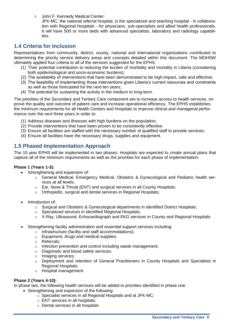i. John F. Kennedy Medical Center:

JFK-MC, the national referral hospital, is the specialized and teaching hospital - in collaboration with Regional Hospitals - for physicians, sub-specialists and allied health professionals. It will have 500 or more beds with advanced specialists, laboratory and radiology capabilities.

## **1.4 Criteria for Inclusion**

Representatives from community, district, county, national and international organizations contributed to determining the priority service delivery areas and concepts detailed within this document. The MOHSW ultimately applied four criteria to all of the services suggested for the EPHS:

- (1) Their potential contribution to reducing the burden of morbidity and mortality in Liberia (considering both epidemiological and socio-economic burdens);
- (2) The availability of interventions that have been demonstrated to be high-impact, safe and effective;
- (3) The feasibility of implementing those interventions given Liberia's current resources and constraints as well as those forecasted for the next ten years;
- (4) The potential for sustaining the activity in the medium to long-term.

The priorities of the Secondary and Tertiary Care component are to increase access to health services, improve the quality and outcome of patient care and increase operational efficiency. The EPHS establishes the minimum requirements for all Health Centers and Hospitals to improve clinical and managerial performance over the next three years in order to:

- (1) Address diseases and illnesses with high burdens on the population;
- (2) Provide interventions that have been proven to be consistently effective;
- (3) Ensure all facilities are staffed with the necessary number of qualified staff to provide services;
- (4) Ensure all facilities have the necessary drugs, supplies and equipment.

## **1.5 Phased Implementation Approach**

The 10 year EPHS will be implemented in two phases. Hospitals are expected to create annual plans that capture all of the minimum requirements as well as the priorities for each phase of implementation:

#### **Phase 1 (Years 1-3):**

- Strengthening and expansion of:
	- o General Medical, Emergency Medical, Obstetric & Gynecological and Pediatric health services at all levels;
	- o Ear, Nose & Throat (ENT) and surgical services in all County Hospitals;
	- o Orthopedic, surgical and dental services in Regional Hospitals;
- Introduction of:
	- o Surgical and Obstetric & Gynecological departments in identified District Hospitals;
	- o Specialized services in identified Regional Hospitals;
	- $\circ$  X-Ray, Ultrasound, Echocardiograph and EKG services in County and Regional Hospitals.
- Strengthening facility administration and essential support services including:
	- o Infrastructure (facility and staff accommodations);
	- o Equipment, drugs and medical supplies;
	- o Referrals;
	- o Infection prevention and control including waste management;
	- o Diagnostic and blood safety services;
	- o Imaging services;
	- o Deployment and retention of General Practitioners in County Hospitals and Specialists in Regional Hospitals;
	- o Hospital management.

#### **Phase 2 (Years 4-10):**

In phase two, the following health services will be added to priorities identified in phase one:

- Strengthening and expansion of the following:
	- o Specialist services in all Regional Hospitals and at JFK-MC;
	- o ENT services in all hospitals;
	- o Dental services in all hospitals.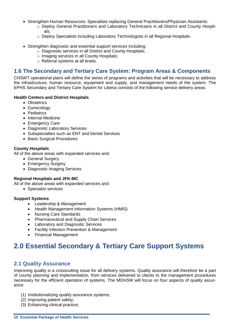- Strengthen Human Resources: Specialists replacing General Practitioners/Physician Assistants:
	- o Deploy General Practitioners and Laboratory Technicians in all District and County Hospitals;
	- o Deploy Specialists including Laboratory Technologists in all Regional Hospitals.
- Strengthen diagnostic and essential support services including:
	- o Diagnostic services in all District and County Hospitals;
	- o Imaging services in all County Hospitals;
	- o Referral systems at all levels.

## **1.6 The Secondary and Tertiary Care System: Program Areas & Components**

CHSWT operational plans will define the series of programs and activities that will be necessary to address the infrastructure, human resource, equipment and supply, and management needs of the system. The EPHS Secondary and Tertiary Care System for Liberia consists of the following service delivery areas:

#### **Health Centers and District Hospitals**

- Obstetrics
- Gynecology
- Pediatrics
- Internal Medicine
- Emergency Care
- Diagnostic Laboratory Services
- Subspecialties such as ENT and Dental Services
- Basic Surgical Procedures

#### **County Hospitals**

All of the above areas with expanded services and:

- General Surgery
- Emergency Surgery
- Diagnostic Imaging Services

#### **Regional Hospitals and JFK-MC**

All of the above areas with expanded services and:

• Specialist services

#### **Support Systems**

- Leadership & Management
- Health Management Information Systems (HMIS)
- Nursing Care Standards
- Pharmaceutical and Supply Chain Services
- Laboratory and Diagnostic Services
- **•** Facility Infection Prevention & Management
- Financial Management

# **2.0 Essential Secondary & Tertiary Care Support Systems**

#### **2.1 Quality Assurance**

Improving quality is a crosscutting issue for all delivery systems. Quality assurance will therefore be a part of county planning and implementation, from services delivered to clients to the management procedures necessary for the efficient operation of systems. The MOHSW will focus on four aspects of quality assurance:

- (1) Institutionalizing quality assurance systems;
- (2) Improving patient safety;
- (3) Enhancing clinical practice;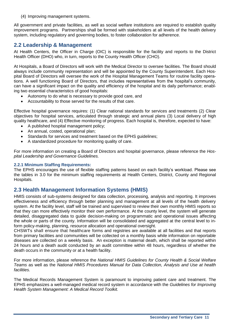(4) Improving management systems.

All government and private facilities, as well as social welfare institutions are required to establish quality improvement programs. Partnerships shall be formed with stakeholders at all levels of the health delivery system, including regulatory and governing bodies, to foster collaboration for adherence.

## **2.2 Leadership & Management**

At Health Centers, the Officer in Charge (OIC) is responsible for the facility and reports to the District Health Officer (DHO) who, in turn, reports to the County Health Officer (CHO).

At Hospitals, a Board of Directors will work with the Medical Director to oversee facilities. The Board should always include community representation and will be appointed by the County Superintendent. Each Hospital Board of Directors will oversee the work of the Hospital Management Teams for routine facility operations. A well functioning Board of Directors, that includes representatives from the hospital's community, can have a significant impact on the quality and efficiency of the hospital and its daily performance; enabling two essential characteristics of good hospitals:

- Autonomy to do what is necessary to provide good care, and
- Accountability to those served for the results of that care.

Effective hospital governance requires: (1) Clear national standards for services and treatments (2) Clear objectives for hospital services, articulated through strategic and annual plans (3) Local delivery of high quality healthcare, and (4) Effective monitoring of progress. Each hospital is, therefore, expected to have:

- A published hospital management policy;
- An annual, costed, operational plan;
- Standards for services and treatment based on the EPHS guidelines;
- A standardized procedure for monitoring quality of care.

For more information on creating a Board of Directors and hospital governance, please reference the *Hospital Leadership and Governance Guidelines.*

#### **2.2.1 Minimum Staffing Requirements:**

The EPHS encourages the use of flexible staffing patterns based on each facility's workload. Please see the tables in 3.0 for the minimum staffing requirements at Health Centers, District, County and Regional Hospitals.

### **2.3 Health Management Information Systems (HMIS)**

HMIS consists of sub-systems designed for data collection, processing, analysis and reporting. It improves effectiveness and efficiency through better planning and management at all levels of the health delivery system. At the facility level, staff will be trained and supervised to review their own monthly HMIS reports so that they can more effectively monitor their own performance. At the county level, the system will generate detailed, disaggregated data to guide decision-making on programmatic and operational issues affecting the whole or parts of the county. Information will be consolidated and aggregated at the central level to inform policy-making, planning, resource allocation and operational oversight.

CHSWTs shall ensure that healthcare forms and registries are available at all facilities and that reports from primary facilities and communities will be collected on a monthly basis while information on reportable diseases are collected on a weekly basis. An exception is maternal death, which shall be reported within 24 hours and a death audit conducted by an audit committee within 48 hours, regardless of whether the death occurs in the community or at a health facility.

For more information, please reference the *National HMIS Guidelines for County Health & Social Welfare Teams* as well as the *National HMIS Procedures Manual for Data Collection, Analysis and Use at health facilities.*

The Medical Records Management System is paramount to improving patient care and treatment. The EPHS emphasizes a well-managed medical record system in accordance with the *Guidelines for Improving Health System Management: A Medical Record Toolkit.*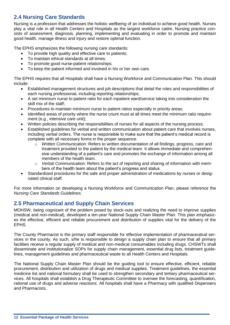## **2.4 Nursing Care Standards**

Nursing is a profession that addresses the holistic wellbeing of an individual to achieve good health. Nurses play a vital role in all Health Centers and Hospitals as the largest workforce cadre. Nursing practice consists of assessment, diagnosis, planning, implementing and evaluating in order to promote and maintain good health, manage illness and injury and restore optimal function.

The EPHS emphasizes the following nursing care standards:

- To provide high quality and effective care to patients:
- To maintain ethical standards at all times;
- To promote good nurse-patient relationships;
- To keep the patient informed and involved in his or her own care.

The EPHS requires that all Hospitals shall have a Nursing Workforce and Communication Plan. This should include:

- Established management structures and job descriptions that detail the roles and responsibilities of each nursing professional, including reporting relationships;
- A set minimum nurse to patient ratio for each inpatient ward/service taking into consideration the skill mix of the staff;
- Procedures to maintain minimum nurse to patient ratios especially in priority areas;
- Identified areas of priority where the nurse count must at all times meet the minimum ratio requirement (e.g., intensive care unit);
- Written policies describing the responsibilities of nurses for all aspects of the nursing process;
- Established guidelines for verbal and written communication about patient care that involves nurses, including verbal orders. The nurse is responsible to make sure that the patient's medical record is complete with all necessary forms in the proper sequence.
	- o *Written Communication:* Refers to written documentation of all findings, progress, care and treatment provided to the patient by the medical team. It allows immediate and comprehensive understanding of a patient's care and promotes the exchange of information among all members of the health team.
	- o *Verbal Communication:* Refers to the act of reporting and sharing of information with members of the health team about the patient's progress and status.
- Standardized procedures for the safe and proper administration of medications by nurses or designated clinical staff.

For more information on developing a Nursing Workforce and Communication Plan, please reference the *Nursing Care Standards Guidelines.*

## **2.5 Pharmaceutical and Supply Chain Services**

MOHSW, being cognizant of the problem posed by stock-outs and realizing the need to improve supplies (medical and non-medical), developed a ten-year National Supply Chain Master Plan. This plan emphasizes the effective, efficient and reliable procurement and distribution of supplies vital for the delivery of the EPHS.

The County Pharmacist is the primary staff responsible for effective implementation of pharmaceutical services in the county. As such, s/he is responsible to design a supply chain plan to ensure that all primary facilities receive a regular supply of medical and non-medical consumables including drugs. CHSWTs shall disseminate and institutionalize SOPs for supply chain management, essential drug lists, treatment guidelines, management guidelines and pharmaceutical waste to all Health Centers and Hospitals.

The National Supply Chain Master Plan should be the guiding tool to ensure effective, efficient, reliable procurement, distribution and utilization of drugs and medical supplies. Treatment guidelines, the essential medicine list and national formulary shall be used to strengthen secondary and tertiary pharmaceutical services. All hospitals shall establish a Drug Therapeutic Committee to oversee the forecasting, quantification, rational use of drugs and adverse reactions. All hospitals shall have a Pharmacy with qualified Dispensers and Pharmacists.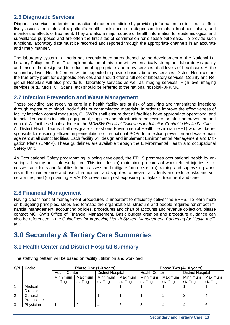## **2.6 Diagnostic Services**

Diagnostic services underpin the practice of modern medicine by providing information to clinicians to effectively assess the status of a patient's health, make accurate diagnoses, formulate treatment plans, and monitor the effects of treatment. They are also a major source of health information for epidemiological and surveillance purposes and are often the first sites of confirmation for disease outbreaks. To provide such functions, laboratory data must be recorded and reported through the appropriate channels in an accurate and timely manner.

The laboratory system in Liberia has recently been strengthened by the development of the National Laboratory Policy and Plan. The implementation of this plan will systematically strengthen laboratory capacity and ensure the design and introduction of appropriate laboratory services at all levels of healthcare. At the secondary level, Health Centers will be expected to provide basic laboratory services. District Hospitals are the true entry point for diagnostic services and should offer a full set of laboratory services. County and Regional Hospitals will also provide full laboratory services as well as imaging services. High-level imaging services (e.g., MRIs, CT Scans, etc) should be referred to the national hospital- JFK MC.

## **2.7 Infection Prevention and Waste Management**

Those providing and receiving care in a health facility are at risk of acquiring and transmitting infections through exposure to blood, body fluids or contaminated materials. In order to improve the effectiveness of facility infection control measures, CHSWTs shall ensure that all facilities have appropriate operational and technical capacities including equipment, supplies and infrastructure necessary for infection prevention and control. All facilities should adhere to the *MOHSW Practical Guidelines for Infection Control in Health Facilities.* All District Health Teams shall designate at least one Environmental Health Technician (EHT) who will be responsible for ensuring efficient implementation of the national SOPs for infection prevention and waste management at all district facilities. Each facility will design and implement Environmental Management and Mitigation Plans (EMMP). These guidelines are available through the Environmental Health and occupational Safety Unit.

As Occupational Safety programming is being developed, the EPHS promotes occupational health by ensuring a healthy and safe workplace. This includes (a) maintaining records of work-related injuries, sicknesses, accidents and fatalities to help assess and mitigate future risks, (b) training and supervising workers in the maintenance and use of equipment and supplies to prevent accidents and reduce risks and vulnerabilities, and (c) providing HIV/AIDS prevention, post-exposure prophylaxis, treatment and care.

## **2.8 Financial Management**

Having clear financial management procedures is important to efficiently deliver the EPHS. To learn more on budgeting principles, steps and formats; the organizational structure and people required for smooth financial management; accounting policies, procedures and chart of accounts and revenue collection, please contact MOHSW's Office of Financial Management. Basic budget creation and procedure guidance can also be referenced in the *Guidelines for Improving Health System Management: Budgeting for Health facilities.*

# **3.0 Secondary & Tertiary Care Summaries**

## **3.1 Health Center and District Hospital Summary**

**S/N Cadre Phase One (1-3 years) Phase Two (4-10 years)** Health Center | District Hospital | Health Center | District Hospital Minnimum staffing Maximum staffing Minnimum staffing Maximum staffing Minnimum staffing Maximum staffing Minnimum staffing Maximum staffing 1 Medical **Director** 1 |1 |1 |1 |1 2 General **Practitioner** 1 | 1 | 1 | 2 | 3 | 4 3 | Physician | 1 | 2 | 4 | 5 | 3 | 4 | 4 | 6

The staffying pattern will be based on facility utilization and workload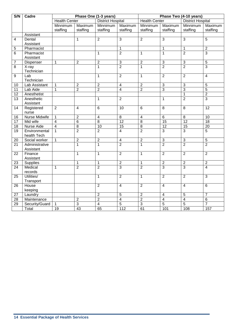| S/N             | Cadre             | Phase One (1-3 years)    |                | Phase Two (4-10 years)   |                         |                      |                     |                   |                         |
|-----------------|-------------------|--------------------------|----------------|--------------------------|-------------------------|----------------------|---------------------|-------------------|-------------------------|
|                 |                   | <b>Health Center</b>     |                | <b>District Hospital</b> |                         | <b>Health Center</b> |                     | District Hospital |                         |
|                 |                   | Minnimum                 | Maximum        | Minnimum                 | Maximum                 | Minnimum             | Maximum             | Minnimum          | Maximum                 |
|                 |                   | staffing                 | staffing       | staffing                 | staffing                | staffing             | staffing            | staffing          | staffing                |
|                 | Assistant         |                          |                |                          |                         |                      |                     |                   |                         |
| 4               | Dental            |                          | $\mathbf{1}$   | $\overline{2}$           | $\overline{3}$          | $\overline{2}$       | $\overline{3}$      | $\overline{3}$    | $\overline{5}$          |
|                 | Assistant         |                          |                |                          |                         |                      |                     |                   |                         |
| 5               | Pharmacist        |                          |                |                          | $\mathbf{1}$            |                      | $\mathbf{1}$        | $\mathbf 1$       | $\overline{2}$          |
| $6\phantom{1}$  | Pharmacist        |                          |                | $\mathbf{1}$             | $\overline{2}$          | $\mathbf{1}$         | $\mathbf{1}$        | $\overline{2}$    | 3                       |
|                 | Assistant         |                          |                |                          |                         |                      |                     |                   |                         |
| 7               | Dispenser         | $\mathbf{1}$             | $\overline{c}$ | $\overline{2}$           | 3                       | $\overline{2}$       | $\overline{\omega}$ | $\sqrt{3}$        | 5                       |
| 8               | X-ray             |                          |                | $\mathbf{1}$             | $\overline{2}$          | $\overline{1}$       | $\overline{2}$      | $\overline{2}$    | 3                       |
|                 | Technician        |                          |                |                          |                         |                      |                     |                   |                         |
| 9               | Lab               |                          |                | $\mathbf{1}$             | $\overline{2}$          | $\mathbf{1}$         | $\overline{2}$      | $\overline{2}$    | $\overline{4}$          |
|                 | Technician        |                          |                |                          |                         |                      |                     |                   |                         |
| 10              | Lab Assistant     | $\mathbf{1}$             | $\overline{2}$ | $\overline{2}$           | $\overline{4}$          | $\overline{2}$       | $\overline{\omega}$ | 3                 | 5                       |
| 11              | Lab Aide          | $\mathbf 1$              | $\overline{c}$ | $\overline{2}$           | $\overline{4}$          | $\overline{2}$       | $\overline{3}$      | $\overline{3}$    | $\overline{5}$          |
| 12              | Anesthetist       |                          |                |                          |                         |                      |                     | 1                 | $\overline{\mathbf{c}}$ |
| 13              | Anesthetic        |                          |                | $\mathbf{1}$             | $\overline{2}$          |                      | $\mathbf{1}$        | $\overline{2}$    | $\overline{3}$          |
|                 | Assistant         |                          |                |                          |                         |                      |                     |                   |                         |
| 14              | Registered        | $\overline{2}$           | $\overline{4}$ | $6\phantom{1}6$          | $\overline{10}$         | $\overline{6}$       | $\overline{8}$      | $\overline{8}$    | $\overline{12}$         |
|                 | nurse             |                          |                |                          |                         |                      |                     |                   |                         |
| 16              | Nurse Midwife     | $\mathbf{1}$             | $\overline{2}$ | $\overline{4}$           | $\overline{8}$          | $\overline{4}$       | $\overline{6}$      | $\overline{8}$    | 10                      |
| $\overline{17}$ | Mid wife          | $\overline{\mathcal{L}}$ | $\overline{6}$ | $\overline{8}$           | $\overline{12}$         | $\overline{8}$       | 15                  | $\overline{12}$   | $\overline{18}$         |
| $\overline{18}$ | <b>Nurse Aide</b> | $\overline{4}$           | $\overline{8}$ | 10                       | 15                      | $\overline{8}$       | 12                  | 15                | $\overline{20}$         |
| $\overline{19}$ | Environmental     | $\mathbf{1}$             | $\overline{2}$ | $\overline{2}$           | $\overline{4}$          | $\overline{2}$       | $\overline{3}$      | $\overline{3}$    | $\overline{5}$          |
|                 | health Tech       |                          |                |                          |                         |                      |                     |                   |                         |
| 20              | Social worker     | $\mathbf{1}$             | $\overline{2}$ | $\overline{2}$           | $\overline{\mathbf{4}}$ | $\overline{2}$       | $\overline{3}$      | $\sqrt{3}$        | $\mathbf 5$             |
| 21              | Administrative    |                          | $\mathbf{1}$   | $\overline{1}$           | $\overline{2}$          | $\mathbf{1}$         | $\overline{2}$      | $\overline{2}$    | $\overline{2}$          |
|                 | Assistant         |                          |                |                          |                         |                      |                     |                   |                         |
| 22              | Finance           |                          | $\mathbf{1}$   | $\mathbf{1}$             | $\overline{2}$          | $\mathbf{1}$         | $\overline{2}$      | $\overline{2}$    | $\overline{2}$          |
|                 | Assistant         |                          |                |                          |                         |                      |                     |                   |                         |
| 23              | Supplies          |                          | $\mathbf{1}$   | $\mathbf 1$              | $\overline{2}$          | $\mathbf{1}$         | $\overline{2}$      | $\overline{2}$    | $\overline{2}$          |
| 24              | Medical           | $\mathbf{1}$             | $\overline{2}$ | $\overline{2}$           | $\overline{3}$          | $\overline{2}$       | $\overline{3}$      | $\overline{3}$    | $\overline{4}$          |
|                 | records           |                          |                |                          |                         |                      |                     |                   |                         |
| 25              | Utilities/        |                          |                | $\mathbf{1}$             | $\overline{2}$          | $\mathbf{1}$         | $\overline{2}$      | $\overline{2}$    | 3                       |
|                 | Transport         |                          |                |                          |                         |                      |                     |                   |                         |
| 26              | House             |                          |                | $\overline{2}$           | $\overline{4}$          | $\overline{2}$       | $\overline{4}$      | $\overline{4}$    | 6                       |
|                 | keeping           |                          |                |                          |                         |                      |                     |                   |                         |
| $\overline{27}$ | Laundry           |                          |                | $\overline{2}$           | $\overline{5}$          | $\overline{2}$       | $\overline{4}$      | $\overline{5}$    | $\overline{7}$          |
| $\overline{28}$ | Maintenance       |                          | $\overline{2}$ | $\overline{2}$           | $\overline{4}$          | $\overline{2}$       | $\overline{4}$      | $\overline{4}$    | 6                       |
| 29              | Security/Guard    | $\mathbf{1}$             | 3              | $\overline{\mathbf{4}}$  | 5                       | $\overline{\omega}$  | $\overline{5}$      | $\sqrt{5}$        | $\overline{7}$          |
|                 | Total             | $\overline{19}$          | 43             | 65                       | 112                     | 61                   | 101                 | 108               | 157                     |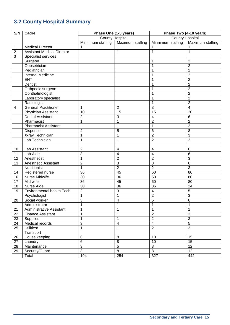# **3.2 County Hospital Summary**

| S/N             | Cadre                             | Phase One (1-3 years)  |                          | Phase Two (4-10 years)   |                  |  |
|-----------------|-----------------------------------|------------------------|--------------------------|--------------------------|------------------|--|
|                 |                                   | <b>County Hospital</b> |                          | <b>County Hospital</b>   |                  |  |
|                 |                                   | Minnimum staffing      | Maximum staffing         | Minnimum staffing        | Maximum staffing |  |
| $\mathbf{1}$    | <b>Medical Director</b>           |                        |                          |                          |                  |  |
| $\overline{2}$  | <b>Assistant Medical Director</b> |                        |                          | 1                        |                  |  |
| 3               | Specialist services               |                        |                          |                          |                  |  |
|                 | Surgeon                           |                        |                          | 1                        | 2                |  |
|                 | Oobsetrician                      |                        |                          | 1                        | $\overline{2}$   |  |
|                 | Pediatrician                      |                        |                          | 1                        | $\overline{2}$   |  |
|                 | Internal Medicine                 |                        |                          | 1                        | $\overline{2}$   |  |
|                 | <b>ENT</b>                        |                        |                          | 1                        | $\overline{2}$   |  |
|                 | Dentist                           |                        |                          | 1                        | $\overline{2}$   |  |
|                 | Orthpedic surgeon                 |                        |                          | 1                        | $\overline{2}$   |  |
|                 | Ophthalmologist                   |                        |                          | 1                        | $\overline{2}$   |  |
|                 | Laboratory specialist             |                        |                          | $\mathbf{1}$             | $\overline{2}$   |  |
|                 | Radiologist                       |                        |                          | $\mathbf{1}$             | $\overline{2}$   |  |
| 4               | <b>General Practitioner</b>       | 1                      | $\overline{2}$           | $\overline{3}$           | 4                |  |
|                 | Physician Assistant               | 10                     | 15                       | 15                       | 20               |  |
|                 | <b>Dental Assistant</b>           | $\overline{2}$         | 3                        | $\overline{\mathcal{A}}$ | $6\phantom{1}$   |  |
|                 | Pharmacist                        | 1                      |                          | $\overline{2}$           | $\overline{2}$   |  |
|                 | <b>Pharmacist Assistant</b>       |                        | 1                        | $\overline{1}$           | $\overline{2}$   |  |
|                 | Dispenser                         | 4                      | 5                        | 6                        | 8                |  |
|                 | X-ray Technician                  | 1                      | 1                        | $\overline{2}$           | 3                |  |
|                 | Lab Technician                    | 1                      | 1                        | $\overline{2}$           | 3                |  |
|                 |                                   |                        |                          |                          |                  |  |
| 10              | Lab Assistant                     | $\overline{2}$         | $\overline{\mathcal{A}}$ | 4                        | 6                |  |
| 11              | Lab Aide                          | 3                      | $\overline{4}$           | $\overline{4}$           | 6                |  |
| 12              | Anesthetist                       | $\overline{1}$         | $\overline{2}$           | $\overline{2}$           | 3                |  |
| 13              | Anesthetic Assistant              | $\overline{2}$         | 3                        | $\overline{3}$           | 6                |  |
|                 | Nutritionist                      | $\overline{1}$         | $\overline{2}$           | $\overline{2}$           | $\overline{3}$   |  |
| 14              | Registered nurse                  | 36                     | 45                       | 60                       | 80               |  |
| 16              | Nurse Midwife                     | 30                     | 36                       | 50                       | 80               |  |
| 17              | Mid wife                          | $\overline{36}$        | 45                       | 60                       | 80               |  |
| 18              | Nurse Aide                        | 30                     | $\overline{36}$          | $\overline{36}$          | $\overline{24}$  |  |
| 19              | Environmental health Tech         | $\overline{2}$         | 3                        | $\overline{\mathbf{4}}$  | 5                |  |
|                 | Psychologist                      | $\overline{1}$         | 1                        | $\overline{2}$           | $\overline{3}$   |  |
| 20              | Social worker                     | 3                      | 4                        | 5                        | 6                |  |
|                 | Administrator                     | $\overline{1}$         |                          | $\overline{1}$           |                  |  |
| 21              | Administrative Assistant          | 1                      |                          | $\mathbf{1}$             | 1                |  |
| 22              | <b>Finance Assistant</b>          | 1                      |                          | $\overline{2}$           | $\overline{3}$   |  |
| 23              | Supplies                          | 1                      |                          | $\overline{2}$           | $\overline{3}$   |  |
| $\overline{24}$ | Medical records                   | $\overline{3}$         | $\overline{\mathbf{4}}$  | $\overline{4}$           | $\overline{5}$   |  |
| $\overline{25}$ | Utilities/                        | $\mathbf{1}$           | 1                        | $\overline{2}$           | $\overline{3}$   |  |
|                 | Transport                         |                        |                          |                          |                  |  |
| 26              | House keeping                     | 6                      | $\,8\,$                  | 10                       | 15               |  |
| 27              | Laundry                           | $6\phantom{1}$         | 8                        | 10                       | 15               |  |
| 28              | Maintenance                       | $\overline{3}$         | $\overline{5}$           | 8                        | 12               |  |
| 29              | Security/Guard                    | $\overline{3}$         | $\overline{8}$           | 8                        | 12               |  |
|                 | Total                             | 194                    | 254                      | 327                      | 442              |  |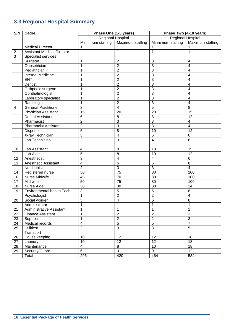# **3.3 Regional Hospital Summary**

| S/N            | Cadre                             | Phase One (1-3 years)        |                     | Phase Two (4-10 years)   |                         |  |
|----------------|-----------------------------------|------------------------------|---------------------|--------------------------|-------------------------|--|
|                |                                   | Regional Hospital            |                     | <b>Regional Hospital</b> |                         |  |
|                |                                   | Minnimum staffing            | Maximum staffing    | Minnimum staffing        | Maximum staffing        |  |
| 1              | <b>Medical Director</b>           |                              |                     |                          |                         |  |
| $\overline{2}$ | <b>Assistant Medical Director</b> |                              |                     | 1                        | 1                       |  |
| 3              | Specialist services               |                              |                     |                          |                         |  |
|                | Surgeon                           | 1                            | $\overline{2}$      | 3                        | 4                       |  |
|                | Oobsetrician                      | 1                            | $\overline{2}$      | 3                        | 4                       |  |
|                | Pediatrician                      | 1                            | $\overline{2}$      | 3                        | 4                       |  |
|                | <b>Internal Medicine</b>          | 1                            | $\overline{2}$      | 3                        | 4                       |  |
|                | <b>ENT</b>                        | 1                            | $\overline{2}$      | 3                        | 4                       |  |
|                | Dentist                           | 1                            | $\overline{2}$      | 3                        | 4                       |  |
|                | Orthpedic surgeon                 | 1                            | $\overline{2}$      | 3                        | 4                       |  |
|                | Ophthalmologist                   | 1                            | $\overline{2}$      | 3                        | 4                       |  |
|                | Laboratory specialist             | 1                            | $\overline{2}$      | 3                        | 4                       |  |
|                | Radiologist                       | $\mathbf{1}$                 | $\overline{2}$      | 3                        | 4                       |  |
| 4              | General Practitioner              | $\overline{3}$               | $\overline{4}$      | $\overline{5}$           | 8                       |  |
|                | <b>Physician Assistant</b>        | $\overline{15}$              | 20                  | 20                       | 15                      |  |
|                | <b>Dental Assistant</b>           | $6\phantom{1}6$              | 8                   | 8                        | 12                      |  |
|                | Pharmacist                        | $\overline{2}$               | 3                   | 3                        | 4                       |  |
|                | <b>Pharmacist Assistant</b>       | $\overline{2}$               | 3                   | $\overline{3}$           | $\overline{\mathbf{4}}$ |  |
|                | Dispenser                         | 6                            | $\overline{8}$      | 10                       | 12                      |  |
|                | X-ray Technician                  | $\overline{3}$               | $\overline{4}$      | 5                        | $6\phantom{1}6$         |  |
|                | Lab Technician                    | $\overline{2}$               | 3                   | 4                        | 6                       |  |
|                |                                   |                              |                     |                          |                         |  |
| 10             | Lab Assistant                     | 4                            | 8                   | 10                       | 15                      |  |
| 11             | Lab Aide                          | 5                            | 8<br>$\overline{4}$ | 10                       | $\overline{12}$         |  |
| 12             | Anesthetist                       | 3<br>$\overline{\mathbf{4}}$ | $\overline{6}$      | $\overline{\mathbf{4}}$  | $6\phantom{1}6$<br>8    |  |
| 13             | Anesthetic Assistant              | $\overline{2}$               | $\overline{3}$      | 6<br>$\overline{3}$      | $\overline{4}$          |  |
|                | Nutritionist                      | 50                           | $\overline{75}$     | 80                       | 100                     |  |
| 14<br>16       | Registered nurse<br>Nurse Midwife | 45                           | 70                  | 80                       | 100                     |  |
| 17             | Mid wife                          | 50                           | 75                  | 80                       | 100                     |  |
| 18             | Nurse Aide                        | $\overline{36}$              | $\overline{30}$     | $\overline{30}$          | 24                      |  |
| 19             | <b>Environmental health Tech</b>  | 3                            | 5                   | 6                        | $\overline{8}$          |  |
|                | Psychologist                      | $\overline{1}$               | $\overline{2}$      | $\overline{2}$           | $\overline{4}$          |  |
| 20             | Social worker                     | 3                            | 4                   | 6                        | 8                       |  |
|                | Administrator                     | $\overline{1}$               |                     | $\overline{1}$           | $\overline{1}$          |  |
| 21             | Administrative Assistant          | 1                            | 1                   | $\mathbf{1}$             | $\mathbf 1$             |  |
| 22             | <b>Finance Assistant</b>          | 1                            | $\overline{2}$      | $\overline{2}$           | $\overline{3}$          |  |
| 23             | <b>Supplies</b>                   | 1                            | $\overline{2}$      | $\overline{2}$           | $\overline{3}$          |  |
| 24             | Medical records                   | 4                            | $\overline{5}$      | $\overline{5}$           | $\overline{7}$          |  |
| 25             | Utilities/                        | $\overline{2}$               | $\overline{3}$      | $\overline{3}$           | $\overline{5}$          |  |
|                | Transport                         |                              |                     |                          |                         |  |
| 26             | House keeping                     | 10                           | 12                  | 12                       | 18                      |  |
| 27             | Laundry                           | 10                           | 12                  | 12                       | 18                      |  |
| 28             | Maintenance                       | $\overline{4}$               | 8                   | 10                       | 18                      |  |
| 29             | Security/Guard                    | $6\phantom{1}$               | $\overline{9}$      | 9                        | $\overline{12}$         |  |
|                | Total                             | 296                          | 420                 | 464                      | 584                     |  |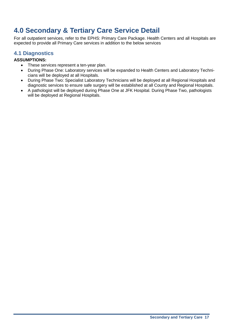# **4.0 Secondary & Tertiary Care Service Detail**

For all outpatient services, refer to the EPHS: Primary Care Package. Health Centers and all Hospitals are expected to provide all Primary Care services in addition to the below services

## **4.1 Diagnostics**

#### **ASSUMPTIONS:**

- These services represent a ten-year plan.
- During Phase One: Laboratory services will be expanded to Health Centers and Laboratory Technicians will be deployed at all Hospitals.
- During Phase Two: Specialist Laboratory Technicians will be deployed at all Regional Hospitals and diagnostic services to ensure safe surgery will be established at all County and Regional Hospitals.
- A pathologist will be deployed during Phase One at JFK Hospital. During Phase Two, pathologists will be deployed at Regional Hospitals.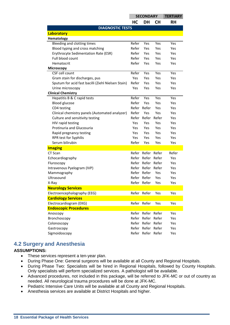|                                                    | <b>SECONDARY</b> |                   | <b>TERTIARY</b> |       |
|----------------------------------------------------|------------------|-------------------|-----------------|-------|
|                                                    | HC               | DH                | <b>CH</b>       | RH    |
| <b>DIAGNOSTIC TESTS</b>                            |                  |                   |                 |       |
| Laboratory                                         |                  |                   |                 |       |
| Hematology                                         |                  |                   |                 |       |
| Bleeding and clotting times                        | Refer            | Yes               | Yes             | Yes   |
| Blood typing and cross matching                    | Refer            | Yes               | <b>Yes</b>      | Yes   |
| Erythrocyte Sedimentation Rate (ESR)               | Refer            | Yes               | Yes             | Yes   |
| Full blood count                                   | Refer            | Yes               | Yes             | Yes   |
| Hematocrit                                         | Refer            | Yes               | Yes             | Yes   |
| <b>Microscopy</b>                                  |                  |                   |                 |       |
| CSF cell count                                     | Refer            | Yes               | Yes             | Yes   |
| Gram stain for discharges, pus                     | <b>Yes</b>       | Yes               | Yes             | Yes   |
| Sputum for acid fast bacilli (Ziehl Nielsen Stain) | Refer            | Yes               | Yes             | Yes   |
| Urine microscopy                                   | Yes              | Yes               | Yes             | Yes   |
| <b>Clinical Chemistry</b>                          |                  |                   |                 |       |
| Hepatitis B & C rapid tests                        | Refer            | Yes               | Yes             | Yes   |
| <b>Blood glucose</b>                               | Refer            | Yes               | Yes             | Yes   |
| CD4 testing                                        | Refer            | Refer             | Yes             | Yes   |
| Clinical chemistry panels (Automated analyzer)     | Refer            | <b>Yes</b>        | Yes             | Yes   |
| Culture and sensitivity testing                    | Refer            | Refer             | Refer           | Yes   |
| HIV rapid testing                                  | Yes              | Yes               | Yes             | Yes   |
| Protinuria and Glucosuria                          | Yes.             | <b>Yes</b>        | Yes             | Yes   |
| Rapid pregnancy testing                            | <b>Yes</b>       | Yes               | Yes             | Yes   |
| RPR test for Syphilis                              | Yes              | Yes               | Yes             | Yes   |
| Serum bilirubin                                    | Refer            | Yes               | Yes             | Yes   |
| <b>Imaging</b>                                     |                  |                   |                 |       |
| CT Scan                                            |                  | Refer Refer Refer |                 | Refer |
| Echocardiography                                   |                  | Refer Refer Refer |                 | Yes   |
| Fluroscopy                                         | Refer            | Refer             | Refer           | Yes   |
| Intravenous Pyelogram (IVP)                        | Refer            | Refer             | Refer           | Yes   |
| Mammography                                        | Refer            | Refer             | Yes             | Yes   |
| Ultrasound                                         | Refer            | Refer             | Yes             | Yes   |
| X-Ray                                              |                  | Refer Refer       | Yes             | Yes   |
| <b>Neurology Services</b>                          |                  |                   |                 |       |
| Electroencephalography (EEG)                       |                  | Refer Refer       | Yes             | Yes   |
| <b>Cardiology Services</b>                         |                  |                   |                 |       |
| Electrocardiogram (EKG)                            |                  | Refer Refer       | Yes             | Yes   |
| <b>Endoscopic Procedures</b>                       |                  |                   |                 |       |
| Anoscopy                                           |                  | Refer Refer Refer |                 | Yes   |
| Bronchoscopy                                       | Refer            | Refer Refer       |                 | Yes   |
| Colonoscopy                                        | Refer            | Refer             | Refer           | Yes   |
| Gastroscopy                                        | Refer            | Refer Refer       |                 | Yes   |
| Sigmoidoscopy                                      |                  | Refer Refer Refer |                 | Yes   |

#### **4.2 Surgery and Anesthesia**

#### **ASSUMPTIONS:**

- These services represent a ten-year plan.
- During Phase One: General surgeons will be available at all County and Regional Hospitals.
- During Phase Two: Specialists will be hired in Regional Hospitals, followed by County Hospitals. Only specialists will perform specialized services. A pathologist will be available.
- Advanced procedures, not included in this package, will be referred to JFK-MC or out of country as needed. All neurological trauma procedures will be done at JFK-MC.
- Pediatric Intensive Care Units will be available at all County and Regional Hospitals.
- Anesthesia services are available at District Hospitals and higher.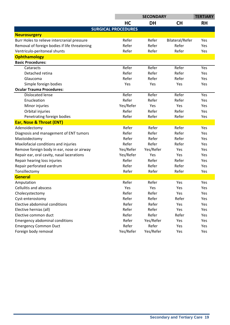|                                               | <b>SECONDARY</b>           |           |                 | <b>TERTIARY</b> |
|-----------------------------------------------|----------------------------|-----------|-----------------|-----------------|
|                                               | HC                         | <b>DH</b> | <b>CH</b>       | <b>RH</b>       |
|                                               | <b>SURGICAL PROCEDURES</b> |           |                 |                 |
| <b>Neurosurgery</b>                           |                            |           |                 |                 |
| Burr Holes to relieve intercranial pressure   | Refer                      | Refer     | Bilateral/Refer | Yes             |
| Removal of foreign bodies if life threatening | Refer                      | Refer     | Refer           | Yes             |
| Ventriculo-peritoneal shunts                  | Refer                      | Refer     | Refer           | Yes             |
| <b>Ophthamology</b>                           |                            |           |                 |                 |
| <b>Basic Procedures:</b>                      |                            |           |                 |                 |
| Cataracts                                     | Refer                      | Refer     | Refer           | Yes             |
| Detached retina                               | Refer                      | Refer     | Refer           | Yes             |
| Glaucoma                                      | Refer                      | Refer     | Refer           | Yes             |
| Simple foreign bodies                         | Yes                        | Yes       | Yes             | Yes             |
| <b>Ocular Trauma Procedures:</b>              |                            |           |                 |                 |
| <b>Dislocated lense</b>                       | Refer                      | Refer     | Refer           | Yes             |
| Enucleation                                   | Refer                      | Refer     | Refer           | Yes             |
| Minor injuries                                | Yes/Refer                  | Yes       | Yes             | Yes             |
| Orbital injuries                              | Refer                      | Refer     | Refer           | Yes             |
| Penetrating foreign bodies                    | Refer                      | Refer     | Refer           | Yes             |
| <b>Ear, Nose &amp; Throat (ENT)</b>           |                            |           |                 |                 |
| Adenoidectomy                                 | Refer                      | Refer     | Refer           | Yes             |
| Diagnosis and management of ENT tumors        | Refer                      | Refer     | Refer           | Yes             |
| Mastoidectomy                                 | Refer                      | Refer     | Refer           | Yes             |
| Maxilofacial conditions and injuries          | Refer                      | Refer     | Refer           | Yes             |
| Remove foreign body in ear, nose or airway    | Yes/Refer                  | Yes/Refer | Yes             | Yes             |
| Repair ear, oral cavity, nasal lacerations    | Yes/Refer                  | Yes       | Yes             | Yes             |
| Repair hearing loss injuries                  | Refer                      | Refer     | Refer           | Yes             |
| Repair perforated eardrum                     | Refer                      | Refer     | Refer           | Yes             |
| Tonsillectomy                                 | Refer                      | Refer     | Refer           | Yes             |
| <b>General</b>                                |                            |           |                 |                 |
| Amputation                                    | Refer                      | Refer     | Yes             | Yes             |
| <b>Cellulitis and abscess</b>                 | Yes                        | Yes       | Yes             | Yes             |
| Cholecystectomy                               | Refer                      | Refer     | Yes             | Yes             |
| Cyst-enterostomy                              | Refer                      | Refer     | Refer           | Yes             |
| Elective abdominal conditions                 | Refer                      | Refer     | Yes             | Yes             |
| Elective hernias (all)                        | Refer                      | Refer     | Yes             | Yes             |
| Elective common duct                          | Refer                      | Refer     | Refer           | Yes             |
| <b>Emergency abdominal conditions</b>         | Refer                      | Yes/Refer | Yes             | Yes             |
| <b>Emergency Common Duct</b>                  | Refer                      | Refer     | Yes             | Yes             |
| Foreign body removal                          | Yes/Refer                  | Yes/Refer | Yes             | Yes             |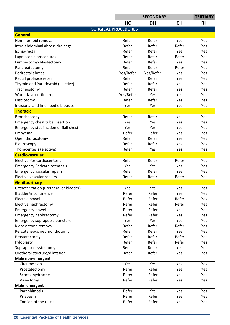|                                        |                            | <b>TERTIARY</b> |           |           |
|----------------------------------------|----------------------------|-----------------|-----------|-----------|
|                                        | HC                         | <b>DH</b>       | <b>CH</b> | <b>RH</b> |
|                                        | <b>SURGICAL PROCEDURES</b> |                 |           |           |
| <b>General</b>                         |                            |                 |           |           |
| Hemmorhoid removal                     | Refer                      | Refer           | Yes       | Yes       |
| Intra-abdominal abcess drainage        | Refer                      | Refer           | Refer     | Yes       |
| Ischio-rectal                          | Refer                      | Refer           | Yes       | Yes       |
| Laprascopic procedures                 | Refer                      | Refer           | Refer     | Yes       |
| Lumpectomy/Mastectomy                  | Refer                      | Refer           | Yes       | Yes       |
| Pancreatectomy                         | Refer                      | Refer           | Refer     | Yes       |
| Perirectal abcess                      | Yes/Refer                  | Yes/Refer       | Yes       | Yes       |
| Rectal prolapse repair                 | Refer                      | Refer           | Yes       | Yes       |
| Thyroid and Parathyroid (elective)     | Refer                      | Refer           | Yes       | Yes       |
| Tracheostomy                           | Refer                      | Refer           | Yes       | Yes       |
| Wound/Laceration repair                | Yes/Refer                  | Yes             | Yes       | Yes       |
| Fasciotomy                             | Refer                      | Refer           | Yes       | Yes       |
| Incisional and fine needle biopsies    | Yes                        | Yes             | Yes       | Yes       |
| <b>Thoracic</b>                        |                            |                 |           |           |
| Bronchoscopy                           | Refer                      | Refer           | Yes       | Yes       |
| Emergency chest tube insertion         | Yes                        | Yes             | Yes       | Yes       |
| Emergency stabilization of flail chest | Yes                        | Yes             | Yes       | Yes       |
| Empyema                                | Refer                      | Refer           | Yes       | Yes       |
| Open thoracotomy                       | Refer                      | Refer           | Yes       | Yes       |
| Pleuroscopy                            | Refer                      | Refer           | Yes       | Yes       |
| Thoracentesis (elective)               | Refer                      | Yes             | Yes       | Yes       |
| <b>Cardiovascular</b>                  |                            |                 |           |           |
| <b>Elective Pericardiocentesis</b>     | Refer                      | Refer           | Refer     | Yes       |
| <b>Emergency Pericardiocentesis</b>    | Yes                        | Yes             | Yes       | Yes       |
| Emergency vascular repairs             | Refer                      | Refer           | Yes       | Yes       |
| Elective vascular repairs              | Refer                      | Refer           | Refer     | Yes       |
| <b>Genitourinary</b>                   |                            |                 |           |           |
| Catheterization (uretheral or bladder) | Yes                        | Yes             | Yes       | Yes       |
| Bladder/incontinence                   | Refer                      | Refer           | Yes       | Yes       |
| Elective bowel                         | Refer                      | Refer           | Refer     | Yes       |
| Elective nephrectomy                   | Refer                      | Refer           | Refer     | Yes       |
| <b>Emergency bowel</b>                 | Refer                      | Refer           | Yes       | Yes       |
| Emergency nephrectomy                  | Refer                      | Refer           | Yes       | Yes       |
| Emergency suprapubic puncture          | Yes                        | Yes             | Yes       | Yes       |
| Kidney stone removal                   | Refer                      | Refer           | Refer     | Yes       |
| Percutaneous nephrolithotomy           | Refer                      | Refer           | Yes       | Yes       |
| Prostatectomy                          | Refer                      | Refer           | Refer     | Yes       |
| Pyloplasty                             | Refer                      | Refer           | Refer     | Yes       |
| Suprapubic cystostomy                  | Refer                      | Refer           | Yes       | Yes       |
| Uretheral stricture/dilatation         | Refer                      | Refer           | Yes       | Yes       |
| Male non-emergent                      |                            |                 |           |           |
| Circumcision                           | Yes                        | Yes             | Yes       | Yes       |
| Prostatectomy                          | Refer                      | Refer           | Yes       | Yes       |
| Scrotal hydrocele                      | Refer                      | Refer           | Yes       | Yes       |
| Vasectomy                              | Refer                      | Refer           | Yes       | Yes       |
| Male-emergent                          |                            |                 |           |           |
| Paraphimosis                           | Refer                      | Yes             | Yes       | Yes       |
| Priapasm                               | Refer                      | Refer           | Yes       | Yes       |
| Torsion of the testis                  | Refer                      | Refer           | Yes       | Yes       |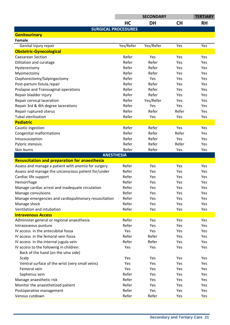| <b>HC</b><br><b>DH</b><br><b>CH</b><br><b>RH</b><br><b>SURGICAL PROCEDURES</b><br><b>Genitourinary</b><br>Female<br>Yes/Refer<br>Yes/Refer<br>Genital injury repair<br>Yes<br>Yes<br><b>Obstetric-Gynecological</b><br>Refer<br><b>Caesarean Section</b><br>Yes<br>Yes<br>Yes<br>Refer<br>Refer<br>Dilitation and curatage<br>Yes<br>Yes<br>Refer<br>Refer<br>Yes<br>Hysterectomy<br>Yes<br>Refer<br>Refer<br>Myomectomy<br>Yes<br>Yes<br>Refer<br>Oophorectomy/Salpingectomy<br>Yes<br>Yes<br>Yes<br>Refer<br>Refer<br>Post-partum fistula repair<br>Yes<br>Yes<br>Prolapse and Transvaginal operations<br>Refer<br>Refer<br>Yes<br>Yes<br>Refer<br>Refer<br>Repair bladder injury<br>Yes<br>Yes<br>Refer<br>Yes/Refer<br>Repair cervical laceration<br>Yes<br>Yes<br>Refer<br>Repair 3rd & 4th degree lacerations<br>Yes<br>Yes<br>Yes<br>Refer<br>Refer<br>Refer<br>Repair ruptured uterus<br>Yes<br><b>Tubal sterilization</b><br>Refer<br>Yes<br>Yes<br>Yes<br><b>Pediatric</b><br>Refer<br>Refer<br>Caustic ingestion<br>Yes<br>Yes<br><b>Congenital malformations</b><br>Refer<br>Refer<br>Refer<br>Yes<br>Refer<br>Refer<br>Intussusception<br>Yes<br>Yes<br>Refer<br>Refer<br>Refer<br>Pyloric stenosis<br>Yes<br>Skin burns<br>Refer<br>Refer<br>Yes<br>Yes<br><b>ANESTHESIA</b><br><b>Resuscitation and preparation for anaesthesia</b><br>Refer<br>Assess and manage a patient with anemia for surgery<br>Yes<br>Yes<br>Yes<br>Refer<br>Assess and manage the unconscious patient for/under<br>Yes<br>Yes<br>Yes<br>Refer<br>Cardiac life support<br>Yes<br>Yes<br>Yes<br>Refer<br>Hemorrhage<br>Yes<br>Yes<br>Yes<br>Manage cardiac arrest and inadequate circulation<br>Refer<br>Yes<br>Yes<br>Yes<br>Refer<br>Manage convulsions<br>Yes<br>Yes<br>Yes<br>Refer<br>Manage emergencies and cardiopulmonary resuscitation<br>Yes<br>Yes<br>Yes<br>Refer<br>Manage shock<br>Yes<br>Yes<br>Yes<br>Ventilation and intubation<br>Refer<br>Yes<br>Yes<br>Yes<br><b>Intravenous Access</b><br>Refer<br>Administer general or regional anaesthesia<br>Yes<br>Yes<br>Yes<br>Refer<br>Intraosseous punture<br>Yes<br>Yes<br>Yes<br>IV access in the antecubital fossa<br>Yes<br>Yes<br>Yes<br>Yes<br>Refer<br>Refer<br>IV access in the femoral vein fossa<br>Yes<br>Yes<br>Refer<br>IV access in the internal jugula vein<br>Refer<br>Yes<br>Yes<br>IV access to the following in children:<br>Yes<br>Yes<br>Yes<br>Yes<br>Back of the hand (on the ulna side)<br>Scalp<br>Yes<br>Yes<br>Yes<br>Yes<br>Ventral surface of the wrist (very small veins)<br>Yes<br>Yes<br>Yes<br>Yes<br>Femoral vein<br>Yes<br>Yes<br>Yes<br>Yes | <b>SECONDARY</b> |  |  | <b>TERTIARY</b> |
|-------------------------------------------------------------------------------------------------------------------------------------------------------------------------------------------------------------------------------------------------------------------------------------------------------------------------------------------------------------------------------------------------------------------------------------------------------------------------------------------------------------------------------------------------------------------------------------------------------------------------------------------------------------------------------------------------------------------------------------------------------------------------------------------------------------------------------------------------------------------------------------------------------------------------------------------------------------------------------------------------------------------------------------------------------------------------------------------------------------------------------------------------------------------------------------------------------------------------------------------------------------------------------------------------------------------------------------------------------------------------------------------------------------------------------------------------------------------------------------------------------------------------------------------------------------------------------------------------------------------------------------------------------------------------------------------------------------------------------------------------------------------------------------------------------------------------------------------------------------------------------------------------------------------------------------------------------------------------------------------------------------------------------------------------------------------------------------------------------------------------------------------------------------------------------------------------------------------------------------------------------------------------------------------------------------------------------------------------------------------------------------------------------------------------------------------------------------------------------------------------------------------------------------------------------------------------------------------------------------------------------------|------------------|--|--|-----------------|
|                                                                                                                                                                                                                                                                                                                                                                                                                                                                                                                                                                                                                                                                                                                                                                                                                                                                                                                                                                                                                                                                                                                                                                                                                                                                                                                                                                                                                                                                                                                                                                                                                                                                                                                                                                                                                                                                                                                                                                                                                                                                                                                                                                                                                                                                                                                                                                                                                                                                                                                                                                                                                                     |                  |  |  |                 |
|                                                                                                                                                                                                                                                                                                                                                                                                                                                                                                                                                                                                                                                                                                                                                                                                                                                                                                                                                                                                                                                                                                                                                                                                                                                                                                                                                                                                                                                                                                                                                                                                                                                                                                                                                                                                                                                                                                                                                                                                                                                                                                                                                                                                                                                                                                                                                                                                                                                                                                                                                                                                                                     |                  |  |  |                 |
|                                                                                                                                                                                                                                                                                                                                                                                                                                                                                                                                                                                                                                                                                                                                                                                                                                                                                                                                                                                                                                                                                                                                                                                                                                                                                                                                                                                                                                                                                                                                                                                                                                                                                                                                                                                                                                                                                                                                                                                                                                                                                                                                                                                                                                                                                                                                                                                                                                                                                                                                                                                                                                     |                  |  |  |                 |
|                                                                                                                                                                                                                                                                                                                                                                                                                                                                                                                                                                                                                                                                                                                                                                                                                                                                                                                                                                                                                                                                                                                                                                                                                                                                                                                                                                                                                                                                                                                                                                                                                                                                                                                                                                                                                                                                                                                                                                                                                                                                                                                                                                                                                                                                                                                                                                                                                                                                                                                                                                                                                                     |                  |  |  |                 |
|                                                                                                                                                                                                                                                                                                                                                                                                                                                                                                                                                                                                                                                                                                                                                                                                                                                                                                                                                                                                                                                                                                                                                                                                                                                                                                                                                                                                                                                                                                                                                                                                                                                                                                                                                                                                                                                                                                                                                                                                                                                                                                                                                                                                                                                                                                                                                                                                                                                                                                                                                                                                                                     |                  |  |  |                 |
|                                                                                                                                                                                                                                                                                                                                                                                                                                                                                                                                                                                                                                                                                                                                                                                                                                                                                                                                                                                                                                                                                                                                                                                                                                                                                                                                                                                                                                                                                                                                                                                                                                                                                                                                                                                                                                                                                                                                                                                                                                                                                                                                                                                                                                                                                                                                                                                                                                                                                                                                                                                                                                     |                  |  |  |                 |
|                                                                                                                                                                                                                                                                                                                                                                                                                                                                                                                                                                                                                                                                                                                                                                                                                                                                                                                                                                                                                                                                                                                                                                                                                                                                                                                                                                                                                                                                                                                                                                                                                                                                                                                                                                                                                                                                                                                                                                                                                                                                                                                                                                                                                                                                                                                                                                                                                                                                                                                                                                                                                                     |                  |  |  |                 |
|                                                                                                                                                                                                                                                                                                                                                                                                                                                                                                                                                                                                                                                                                                                                                                                                                                                                                                                                                                                                                                                                                                                                                                                                                                                                                                                                                                                                                                                                                                                                                                                                                                                                                                                                                                                                                                                                                                                                                                                                                                                                                                                                                                                                                                                                                                                                                                                                                                                                                                                                                                                                                                     |                  |  |  |                 |
|                                                                                                                                                                                                                                                                                                                                                                                                                                                                                                                                                                                                                                                                                                                                                                                                                                                                                                                                                                                                                                                                                                                                                                                                                                                                                                                                                                                                                                                                                                                                                                                                                                                                                                                                                                                                                                                                                                                                                                                                                                                                                                                                                                                                                                                                                                                                                                                                                                                                                                                                                                                                                                     |                  |  |  |                 |
|                                                                                                                                                                                                                                                                                                                                                                                                                                                                                                                                                                                                                                                                                                                                                                                                                                                                                                                                                                                                                                                                                                                                                                                                                                                                                                                                                                                                                                                                                                                                                                                                                                                                                                                                                                                                                                                                                                                                                                                                                                                                                                                                                                                                                                                                                                                                                                                                                                                                                                                                                                                                                                     |                  |  |  |                 |
|                                                                                                                                                                                                                                                                                                                                                                                                                                                                                                                                                                                                                                                                                                                                                                                                                                                                                                                                                                                                                                                                                                                                                                                                                                                                                                                                                                                                                                                                                                                                                                                                                                                                                                                                                                                                                                                                                                                                                                                                                                                                                                                                                                                                                                                                                                                                                                                                                                                                                                                                                                                                                                     |                  |  |  |                 |
|                                                                                                                                                                                                                                                                                                                                                                                                                                                                                                                                                                                                                                                                                                                                                                                                                                                                                                                                                                                                                                                                                                                                                                                                                                                                                                                                                                                                                                                                                                                                                                                                                                                                                                                                                                                                                                                                                                                                                                                                                                                                                                                                                                                                                                                                                                                                                                                                                                                                                                                                                                                                                                     |                  |  |  |                 |
|                                                                                                                                                                                                                                                                                                                                                                                                                                                                                                                                                                                                                                                                                                                                                                                                                                                                                                                                                                                                                                                                                                                                                                                                                                                                                                                                                                                                                                                                                                                                                                                                                                                                                                                                                                                                                                                                                                                                                                                                                                                                                                                                                                                                                                                                                                                                                                                                                                                                                                                                                                                                                                     |                  |  |  |                 |
|                                                                                                                                                                                                                                                                                                                                                                                                                                                                                                                                                                                                                                                                                                                                                                                                                                                                                                                                                                                                                                                                                                                                                                                                                                                                                                                                                                                                                                                                                                                                                                                                                                                                                                                                                                                                                                                                                                                                                                                                                                                                                                                                                                                                                                                                                                                                                                                                                                                                                                                                                                                                                                     |                  |  |  |                 |
|                                                                                                                                                                                                                                                                                                                                                                                                                                                                                                                                                                                                                                                                                                                                                                                                                                                                                                                                                                                                                                                                                                                                                                                                                                                                                                                                                                                                                                                                                                                                                                                                                                                                                                                                                                                                                                                                                                                                                                                                                                                                                                                                                                                                                                                                                                                                                                                                                                                                                                                                                                                                                                     |                  |  |  |                 |
|                                                                                                                                                                                                                                                                                                                                                                                                                                                                                                                                                                                                                                                                                                                                                                                                                                                                                                                                                                                                                                                                                                                                                                                                                                                                                                                                                                                                                                                                                                                                                                                                                                                                                                                                                                                                                                                                                                                                                                                                                                                                                                                                                                                                                                                                                                                                                                                                                                                                                                                                                                                                                                     |                  |  |  |                 |
|                                                                                                                                                                                                                                                                                                                                                                                                                                                                                                                                                                                                                                                                                                                                                                                                                                                                                                                                                                                                                                                                                                                                                                                                                                                                                                                                                                                                                                                                                                                                                                                                                                                                                                                                                                                                                                                                                                                                                                                                                                                                                                                                                                                                                                                                                                                                                                                                                                                                                                                                                                                                                                     |                  |  |  |                 |
|                                                                                                                                                                                                                                                                                                                                                                                                                                                                                                                                                                                                                                                                                                                                                                                                                                                                                                                                                                                                                                                                                                                                                                                                                                                                                                                                                                                                                                                                                                                                                                                                                                                                                                                                                                                                                                                                                                                                                                                                                                                                                                                                                                                                                                                                                                                                                                                                                                                                                                                                                                                                                                     |                  |  |  |                 |
|                                                                                                                                                                                                                                                                                                                                                                                                                                                                                                                                                                                                                                                                                                                                                                                                                                                                                                                                                                                                                                                                                                                                                                                                                                                                                                                                                                                                                                                                                                                                                                                                                                                                                                                                                                                                                                                                                                                                                                                                                                                                                                                                                                                                                                                                                                                                                                                                                                                                                                                                                                                                                                     |                  |  |  |                 |
|                                                                                                                                                                                                                                                                                                                                                                                                                                                                                                                                                                                                                                                                                                                                                                                                                                                                                                                                                                                                                                                                                                                                                                                                                                                                                                                                                                                                                                                                                                                                                                                                                                                                                                                                                                                                                                                                                                                                                                                                                                                                                                                                                                                                                                                                                                                                                                                                                                                                                                                                                                                                                                     |                  |  |  |                 |
|                                                                                                                                                                                                                                                                                                                                                                                                                                                                                                                                                                                                                                                                                                                                                                                                                                                                                                                                                                                                                                                                                                                                                                                                                                                                                                                                                                                                                                                                                                                                                                                                                                                                                                                                                                                                                                                                                                                                                                                                                                                                                                                                                                                                                                                                                                                                                                                                                                                                                                                                                                                                                                     |                  |  |  |                 |
|                                                                                                                                                                                                                                                                                                                                                                                                                                                                                                                                                                                                                                                                                                                                                                                                                                                                                                                                                                                                                                                                                                                                                                                                                                                                                                                                                                                                                                                                                                                                                                                                                                                                                                                                                                                                                                                                                                                                                                                                                                                                                                                                                                                                                                                                                                                                                                                                                                                                                                                                                                                                                                     |                  |  |  |                 |
|                                                                                                                                                                                                                                                                                                                                                                                                                                                                                                                                                                                                                                                                                                                                                                                                                                                                                                                                                                                                                                                                                                                                                                                                                                                                                                                                                                                                                                                                                                                                                                                                                                                                                                                                                                                                                                                                                                                                                                                                                                                                                                                                                                                                                                                                                                                                                                                                                                                                                                                                                                                                                                     |                  |  |  |                 |
|                                                                                                                                                                                                                                                                                                                                                                                                                                                                                                                                                                                                                                                                                                                                                                                                                                                                                                                                                                                                                                                                                                                                                                                                                                                                                                                                                                                                                                                                                                                                                                                                                                                                                                                                                                                                                                                                                                                                                                                                                                                                                                                                                                                                                                                                                                                                                                                                                                                                                                                                                                                                                                     |                  |  |  |                 |
|                                                                                                                                                                                                                                                                                                                                                                                                                                                                                                                                                                                                                                                                                                                                                                                                                                                                                                                                                                                                                                                                                                                                                                                                                                                                                                                                                                                                                                                                                                                                                                                                                                                                                                                                                                                                                                                                                                                                                                                                                                                                                                                                                                                                                                                                                                                                                                                                                                                                                                                                                                                                                                     |                  |  |  |                 |
|                                                                                                                                                                                                                                                                                                                                                                                                                                                                                                                                                                                                                                                                                                                                                                                                                                                                                                                                                                                                                                                                                                                                                                                                                                                                                                                                                                                                                                                                                                                                                                                                                                                                                                                                                                                                                                                                                                                                                                                                                                                                                                                                                                                                                                                                                                                                                                                                                                                                                                                                                                                                                                     |                  |  |  |                 |
|                                                                                                                                                                                                                                                                                                                                                                                                                                                                                                                                                                                                                                                                                                                                                                                                                                                                                                                                                                                                                                                                                                                                                                                                                                                                                                                                                                                                                                                                                                                                                                                                                                                                                                                                                                                                                                                                                                                                                                                                                                                                                                                                                                                                                                                                                                                                                                                                                                                                                                                                                                                                                                     |                  |  |  |                 |
|                                                                                                                                                                                                                                                                                                                                                                                                                                                                                                                                                                                                                                                                                                                                                                                                                                                                                                                                                                                                                                                                                                                                                                                                                                                                                                                                                                                                                                                                                                                                                                                                                                                                                                                                                                                                                                                                                                                                                                                                                                                                                                                                                                                                                                                                                                                                                                                                                                                                                                                                                                                                                                     |                  |  |  |                 |
|                                                                                                                                                                                                                                                                                                                                                                                                                                                                                                                                                                                                                                                                                                                                                                                                                                                                                                                                                                                                                                                                                                                                                                                                                                                                                                                                                                                                                                                                                                                                                                                                                                                                                                                                                                                                                                                                                                                                                                                                                                                                                                                                                                                                                                                                                                                                                                                                                                                                                                                                                                                                                                     |                  |  |  |                 |
|                                                                                                                                                                                                                                                                                                                                                                                                                                                                                                                                                                                                                                                                                                                                                                                                                                                                                                                                                                                                                                                                                                                                                                                                                                                                                                                                                                                                                                                                                                                                                                                                                                                                                                                                                                                                                                                                                                                                                                                                                                                                                                                                                                                                                                                                                                                                                                                                                                                                                                                                                                                                                                     |                  |  |  |                 |
|                                                                                                                                                                                                                                                                                                                                                                                                                                                                                                                                                                                                                                                                                                                                                                                                                                                                                                                                                                                                                                                                                                                                                                                                                                                                                                                                                                                                                                                                                                                                                                                                                                                                                                                                                                                                                                                                                                                                                                                                                                                                                                                                                                                                                                                                                                                                                                                                                                                                                                                                                                                                                                     |                  |  |  |                 |
|                                                                                                                                                                                                                                                                                                                                                                                                                                                                                                                                                                                                                                                                                                                                                                                                                                                                                                                                                                                                                                                                                                                                                                                                                                                                                                                                                                                                                                                                                                                                                                                                                                                                                                                                                                                                                                                                                                                                                                                                                                                                                                                                                                                                                                                                                                                                                                                                                                                                                                                                                                                                                                     |                  |  |  |                 |
|                                                                                                                                                                                                                                                                                                                                                                                                                                                                                                                                                                                                                                                                                                                                                                                                                                                                                                                                                                                                                                                                                                                                                                                                                                                                                                                                                                                                                                                                                                                                                                                                                                                                                                                                                                                                                                                                                                                                                                                                                                                                                                                                                                                                                                                                                                                                                                                                                                                                                                                                                                                                                                     |                  |  |  |                 |
|                                                                                                                                                                                                                                                                                                                                                                                                                                                                                                                                                                                                                                                                                                                                                                                                                                                                                                                                                                                                                                                                                                                                                                                                                                                                                                                                                                                                                                                                                                                                                                                                                                                                                                                                                                                                                                                                                                                                                                                                                                                                                                                                                                                                                                                                                                                                                                                                                                                                                                                                                                                                                                     |                  |  |  |                 |
|                                                                                                                                                                                                                                                                                                                                                                                                                                                                                                                                                                                                                                                                                                                                                                                                                                                                                                                                                                                                                                                                                                                                                                                                                                                                                                                                                                                                                                                                                                                                                                                                                                                                                                                                                                                                                                                                                                                                                                                                                                                                                                                                                                                                                                                                                                                                                                                                                                                                                                                                                                                                                                     |                  |  |  |                 |
|                                                                                                                                                                                                                                                                                                                                                                                                                                                                                                                                                                                                                                                                                                                                                                                                                                                                                                                                                                                                                                                                                                                                                                                                                                                                                                                                                                                                                                                                                                                                                                                                                                                                                                                                                                                                                                                                                                                                                                                                                                                                                                                                                                                                                                                                                                                                                                                                                                                                                                                                                                                                                                     |                  |  |  |                 |
|                                                                                                                                                                                                                                                                                                                                                                                                                                                                                                                                                                                                                                                                                                                                                                                                                                                                                                                                                                                                                                                                                                                                                                                                                                                                                                                                                                                                                                                                                                                                                                                                                                                                                                                                                                                                                                                                                                                                                                                                                                                                                                                                                                                                                                                                                                                                                                                                                                                                                                                                                                                                                                     |                  |  |  |                 |
|                                                                                                                                                                                                                                                                                                                                                                                                                                                                                                                                                                                                                                                                                                                                                                                                                                                                                                                                                                                                                                                                                                                                                                                                                                                                                                                                                                                                                                                                                                                                                                                                                                                                                                                                                                                                                                                                                                                                                                                                                                                                                                                                                                                                                                                                                                                                                                                                                                                                                                                                                                                                                                     |                  |  |  |                 |
|                                                                                                                                                                                                                                                                                                                                                                                                                                                                                                                                                                                                                                                                                                                                                                                                                                                                                                                                                                                                                                                                                                                                                                                                                                                                                                                                                                                                                                                                                                                                                                                                                                                                                                                                                                                                                                                                                                                                                                                                                                                                                                                                                                                                                                                                                                                                                                                                                                                                                                                                                                                                                                     |                  |  |  |                 |
|                                                                                                                                                                                                                                                                                                                                                                                                                                                                                                                                                                                                                                                                                                                                                                                                                                                                                                                                                                                                                                                                                                                                                                                                                                                                                                                                                                                                                                                                                                                                                                                                                                                                                                                                                                                                                                                                                                                                                                                                                                                                                                                                                                                                                                                                                                                                                                                                                                                                                                                                                                                                                                     |                  |  |  |                 |
|                                                                                                                                                                                                                                                                                                                                                                                                                                                                                                                                                                                                                                                                                                                                                                                                                                                                                                                                                                                                                                                                                                                                                                                                                                                                                                                                                                                                                                                                                                                                                                                                                                                                                                                                                                                                                                                                                                                                                                                                                                                                                                                                                                                                                                                                                                                                                                                                                                                                                                                                                                                                                                     |                  |  |  |                 |
|                                                                                                                                                                                                                                                                                                                                                                                                                                                                                                                                                                                                                                                                                                                                                                                                                                                                                                                                                                                                                                                                                                                                                                                                                                                                                                                                                                                                                                                                                                                                                                                                                                                                                                                                                                                                                                                                                                                                                                                                                                                                                                                                                                                                                                                                                                                                                                                                                                                                                                                                                                                                                                     |                  |  |  |                 |
|                                                                                                                                                                                                                                                                                                                                                                                                                                                                                                                                                                                                                                                                                                                                                                                                                                                                                                                                                                                                                                                                                                                                                                                                                                                                                                                                                                                                                                                                                                                                                                                                                                                                                                                                                                                                                                                                                                                                                                                                                                                                                                                                                                                                                                                                                                                                                                                                                                                                                                                                                                                                                                     |                  |  |  |                 |
|                                                                                                                                                                                                                                                                                                                                                                                                                                                                                                                                                                                                                                                                                                                                                                                                                                                                                                                                                                                                                                                                                                                                                                                                                                                                                                                                                                                                                                                                                                                                                                                                                                                                                                                                                                                                                                                                                                                                                                                                                                                                                                                                                                                                                                                                                                                                                                                                                                                                                                                                                                                                                                     |                  |  |  |                 |
|                                                                                                                                                                                                                                                                                                                                                                                                                                                                                                                                                                                                                                                                                                                                                                                                                                                                                                                                                                                                                                                                                                                                                                                                                                                                                                                                                                                                                                                                                                                                                                                                                                                                                                                                                                                                                                                                                                                                                                                                                                                                                                                                                                                                                                                                                                                                                                                                                                                                                                                                                                                                                                     |                  |  |  |                 |
| Refer<br>Saphenus vein<br>Yes<br>Yes<br>Yes                                                                                                                                                                                                                                                                                                                                                                                                                                                                                                                                                                                                                                                                                                                                                                                                                                                                                                                                                                                                                                                                                                                                                                                                                                                                                                                                                                                                                                                                                                                                                                                                                                                                                                                                                                                                                                                                                                                                                                                                                                                                                                                                                                                                                                                                                                                                                                                                                                                                                                                                                                                         |                  |  |  |                 |
| Refer<br>Manage anaesthetic risk<br>Yes<br>Yes<br>Yes                                                                                                                                                                                                                                                                                                                                                                                                                                                                                                                                                                                                                                                                                                                                                                                                                                                                                                                                                                                                                                                                                                                                                                                                                                                                                                                                                                                                                                                                                                                                                                                                                                                                                                                                                                                                                                                                                                                                                                                                                                                                                                                                                                                                                                                                                                                                                                                                                                                                                                                                                                               |                  |  |  |                 |
| Refer<br>Monitor the anaesthetized patient<br>Yes<br>Yes<br>Yes                                                                                                                                                                                                                                                                                                                                                                                                                                                                                                                                                                                                                                                                                                                                                                                                                                                                                                                                                                                                                                                                                                                                                                                                                                                                                                                                                                                                                                                                                                                                                                                                                                                                                                                                                                                                                                                                                                                                                                                                                                                                                                                                                                                                                                                                                                                                                                                                                                                                                                                                                                     |                  |  |  |                 |
| Refer<br>Postoperative management<br>Yes<br>Yes<br>Yes                                                                                                                                                                                                                                                                                                                                                                                                                                                                                                                                                                                                                                                                                                                                                                                                                                                                                                                                                                                                                                                                                                                                                                                                                                                                                                                                                                                                                                                                                                                                                                                                                                                                                                                                                                                                                                                                                                                                                                                                                                                                                                                                                                                                                                                                                                                                                                                                                                                                                                                                                                              |                  |  |  |                 |
| Refer<br>Venous cutdown<br>Refer<br>Yes<br>Yes                                                                                                                                                                                                                                                                                                                                                                                                                                                                                                                                                                                                                                                                                                                                                                                                                                                                                                                                                                                                                                                                                                                                                                                                                                                                                                                                                                                                                                                                                                                                                                                                                                                                                                                                                                                                                                                                                                                                                                                                                                                                                                                                                                                                                                                                                                                                                                                                                                                                                                                                                                                      |                  |  |  |                 |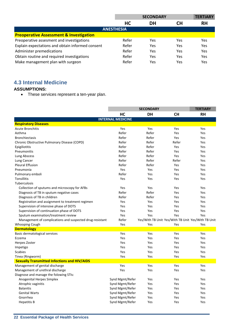|                                                    | <b>SECONDARY</b> |           |     | <b>TERTIARY</b> |  |  |  |
|----------------------------------------------------|------------------|-----------|-----|-----------------|--|--|--|
|                                                    | <b>HC</b>        | <b>DH</b> | CН  | <b>RH</b>       |  |  |  |
| <b>ANESTHESIA</b>                                  |                  |           |     |                 |  |  |  |
| <b>Preoperative Assessment &amp; Investigation</b> |                  |           |     |                 |  |  |  |
| Preoperative assesment and investigations          | Refer            | Yes       | Yes | Yes             |  |  |  |
| Explain expectations and obtain informed consent   | Refer            | Yes       | Yes | Yes             |  |  |  |
| Administer premedications                          | Refer            | Yes       | Yes | Yes             |  |  |  |
| Obtain routine and required investigations         | Refer            | Yes       | Yes | Yes             |  |  |  |
| Make management plan with surgeon                  | Refer            | Yes       | Yes | Yes             |  |  |  |

## **4.3 Internal Medicine**

### **ASSUMPTIONS:**

• These services represent a ten-year plan.

|                                                          | <b>SECONDARY</b>         |           |           | <b>TERTIARY</b>                                    |
|----------------------------------------------------------|--------------------------|-----------|-----------|----------------------------------------------------|
|                                                          | HC                       | <b>DH</b> | <b>CH</b> | <b>RH</b>                                          |
|                                                          | <b>INTERNAL MEDICINE</b> |           |           |                                                    |
| <b>Respiratory Diseases</b>                              |                          |           |           |                                                    |
| <b>Acute Bronchitis</b>                                  | Yes                      | Yes       | Yes       | Yes                                                |
| Asthma                                                   | Refer                    | Refer     | Yes       | Yes                                                |
| <b>Bronchiectasis</b>                                    | Refer                    | Refer     | Yes       | Yes                                                |
| Chronic Obstructive Pulmonary Disease (COPD)             | Refer                    | Refer     | Refer     | Yes                                                |
| Epigiliotitis                                            | Refer                    | Refer     | Yes       | Yes                                                |
| Pneumonitis                                              | Refer                    | Refer     | Yes       | Yes                                                |
| Lung Abscess                                             | Refer                    | Refer     | Yes       | Yes                                                |
| Lung Cancer                                              | Refer                    | Refer     | Refer     | Yes                                                |
| <b>Pleural Effusion</b>                                  | Refer                    | Refer     | Yes       | Yes                                                |
| Pneumonia                                                | Yes                      | Yes       | Yes       | Yes                                                |
| Pulmonary emboli                                         | Refer                    | Yes       | Yes       | Yes                                                |
| Tonsillitis                                              | Yes                      | Yes       | Yes       | Yes                                                |
| Tuberculosis                                             |                          |           |           |                                                    |
| Collection of sputums and microscopy for AFBs            | Yes                      | Yes       | Yes       | Yes                                                |
| Diagnosis of TB in sputum negative cases                 | Refer                    | Refer     | Yes       | Yes                                                |
| Diagnosis of TB in children                              | Refer                    | Refer     | Yes       | Yes                                                |
| Registration and assignment to treatment regimen         | Yes                      | Yes       | Yes       | Yes                                                |
| Supervision of intensive phase of DOTS                   | Yes                      | Yes       | Yes       | Yes                                                |
| Supervision of continuation phase of DOTS                | Yes                      | Yes       | Yes       | Yes                                                |
| Sputum examination/treatment review                      | Yes                      | Yes       | Yes       | Yes                                                |
| Management of complications and suspected drug-resistant | Refer                    |           |           | Yes/With TB Unit Yes/With TB Unit Yes/With TB Unit |
| <b>Whooping Cough</b>                                    | Yes                      | Yes       | Yes       | Yes                                                |
| <b>Dermatology</b>                                       |                          |           |           |                                                    |
| Basic dermatological services                            | Yes                      | Yes       | Yes       | Yes                                                |
| Eczema                                                   | Yes                      | Yes       | Yes       | Yes                                                |
| Herpes Zoster                                            | Yes                      | Yes       | Yes       | Yes                                                |
| Impetigo                                                 | Yes                      | Yes       | Yes       | Yes                                                |
| <b>Scabies</b>                                           | Yes                      | Yes       | Yes       | Yes                                                |
| Tinea (Ringworm)                                         | Yes                      | Yes       | Yes       | Yes                                                |
| <b>Sexually Transmitted Infections and HIV/AIDS</b>      |                          |           |           |                                                    |
| Management of genital discharge                          | Yes                      | Yes       | Yes       | Yes                                                |
| Management of urethral discharge                         | Yes                      | Yes       | Yes       | Yes                                                |
| Diagnose and manage the folowing STIs:                   |                          |           |           |                                                    |
| <b>Anogenital Herpes Simplex</b>                         | Synd Mgmt/Refer          | Yes       | Yes       | Yes                                                |
| Atrophic vaginitis                                       | Synd Mgmt/Refer          | Yes       | Yes       | Yes                                                |
| <b>Balanitis</b>                                         | Synd Mgmt/Refer          | Yes       | Yes       | Yes                                                |
| <b>Genital Warts</b>                                     | Synd Mgmt/Refer          | Yes       | Yes       | Yes                                                |
| Gnorrhea                                                 | Synd Mgmt/Refer          | Yes       | Yes       | Yes                                                |
| <b>Hepatitis B</b>                                       | Synd Mgmt/Refer          | Yes       | Yes       | Yes                                                |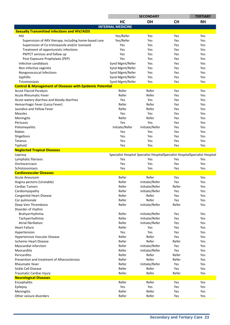|                                                                     |                                                                               | <b>SECONDARY</b> |           | <b>TERTIARY</b> |
|---------------------------------------------------------------------|-------------------------------------------------------------------------------|------------------|-----------|-----------------|
|                                                                     | HC                                                                            | <b>DH</b>        | <b>CH</b> | <b>RH</b>       |
|                                                                     | <b>INTERNAL MEDICINE</b>                                                      |                  |           |                 |
| <b>Sexually Transmitted Infections and HIV/AIDS</b>                 |                                                                               |                  |           |                 |
| HIV                                                                 | Yes/Refer                                                                     | Yes              | Yes       | Yes             |
| Supervision of ARV therapy, including home-based care               | Yes/Refer                                                                     | Yes              | Yes       | Yes             |
| Supervision of Co-trimoxazole and/or Isoniazid                      | Yes                                                                           | Yes              | Yes       | Yes             |
|                                                                     |                                                                               |                  |           |                 |
| Treatment of opportunistic infections                               | Yes                                                                           | Yes              | Yes       | Yes             |
| PMTCT services and follow up                                        | Yes                                                                           | Yes              | Yes       | Yes             |
| Post-Exposure Prophylaxis (PEP)                                     | Yes                                                                           | Yes              | Yes       | Yes             |
| Infective candidiasis                                               | Synd Mgmt/Refer                                                               | Yes              | Yes       | Yes             |
| Non infective vaginitis                                             | Synd Mgmt/Refer                                                               | Yes              | Yes       | Yes             |
| Nongonococcal Infections                                            | Synd Mgmt/Refer                                                               | Yes              | Yes       | Yes             |
| Syphillis                                                           | Synd Mgmt/Refer                                                               | Yes              | Yes       | Yes             |
| Tricomoniasis                                                       | Synd Mgmt/Refer                                                               | Yes              | Yes       | Yes             |
| <b>Control &amp; Management of Diseases with Epidemic Potential</b> |                                                                               |                  |           |                 |
| <b>Acute Flaccid Paralysis</b>                                      | Refer                                                                         | Refer            | Yes       | Yes             |
| <b>Acute Rheumatic Fever</b>                                        | Refer                                                                         | Refer            | Yes       | Yes             |
| Acute watery diarrhea and bloody diarrhea                           | Yes                                                                           | Yes              | Yes       | Yes             |
| Hemorrhagic Fever (Lassa Fever)                                     | Refer                                                                         | Refer            | Yes       | Yes             |
| Jaundice and Yellow Fever                                           | Refer                                                                         | Refer            | Yes       | Yes             |
| <b>Measles</b>                                                      | Yes                                                                           | Yes              | Yes       | Yes             |
|                                                                     |                                                                               |                  |           |                 |
| Meningitis                                                          | Refer                                                                         | Refer            | Yes       | Yes             |
| Pertussis                                                           | Yes                                                                           | Yes              | Yes       | Yes             |
| Poliomeyelitis                                                      | Initiate/Refer                                                                | Initiate/Refer   | Yes       | Yes             |
| Rabies                                                              | Yes                                                                           | Yes              | Yes       | Yes             |
| Shigellosis                                                         | Yes                                                                           | Yes              | Yes       | Yes             |
| Tetanus                                                             | Yes                                                                           | Yes              | Yes       | Yes             |
| Typhoid                                                             | Yes                                                                           | Yes              | Yes       | Yes             |
| <b>Neglected Tropical Diseases</b>                                  |                                                                               |                  |           |                 |
| Leprosy                                                             | Specialist Hospital Specialist HospitalSpecialist HospitalSpecialist Hospital |                  |           |                 |
| Lymphatic filariasis                                                | Yes                                                                           | Yes              | Yes       | Yes             |
| Onchocerciasis                                                      | Yes                                                                           | Yes              | Yes       | Yes             |
| Schistosomiasis                                                     | Yes                                                                           | Yes              | Yes       | Yes             |
| <b>Cardiovascular Diseases</b>                                      |                                                                               |                  |           |                 |
| <b>Acute Aneurysm</b>                                               | Refer                                                                         | Refer            | Yes       | Yes             |
| Angina pectoris (Unstable)                                          | Refer                                                                         | Initiate/Refer   | Yes       | Yes             |
| <b>Cardiac Tumors</b>                                               | Refer                                                                         | Initiate/Refer   | Refer     | Yes             |
| Cardiomyopathy                                                      | Refer                                                                         | Initiate/Refer   | Yes       | Yes             |
| <b>Congenital Heart Disease</b>                                     | Refer                                                                         | Refer            | Yes       | Yes             |
|                                                                     |                                                                               |                  |           |                 |
| Cor pulmonale                                                       | Refer                                                                         | Refer            | Yes       | Yes             |
| Deep Vein Thrombosis                                                | Refer                                                                         | Initiate/Refer   | Refer     | Yes             |
| Disorder of rhythm                                                  |                                                                               |                  |           |                 |
| Brahyarrhythmia                                                     | Refer                                                                         | Initiate/Refer   | Yes       | Yes             |
| Tachyarrhythmia                                                     | Refer                                                                         | Initiate/Refer   | Yes       | Yes             |
| Atrial fibrillation                                                 | Refer                                                                         | Initiate/Refer   | Yes       | Yes             |
| <b>Heart Failure</b>                                                | Refer                                                                         | Yes              | Yes       | Yes             |
| Hypertension                                                        | Yes                                                                           | Yes              | Yes       | Yes             |
| Hypertensive Vascular Disease                                       | Refer                                                                         | Refer            | Yes       | Yes             |
| <b>Ischemic Heart Disease</b>                                       | Refer                                                                         | Refer            | Refer     | Yes             |
| Myocardial infarction                                               | Refer                                                                         | Initiate/Refer   | Yes       | Yes             |
| Myocarditis                                                         | Refer                                                                         | Initiate/Refer   | Yes       | Yes             |
| Pericarditis                                                        | Refer                                                                         | Refer            | Refer     | Yes             |
| Prevention and treatment of Alherosclerosis                         | Refer                                                                         | Refer            | Refer     | Yes             |
| Rheumatic fever                                                     | Refer                                                                         | Initiate/Refer   | Yes       | Yes             |
| Sickle Cell Disease                                                 | Refer                                                                         | Refer            | Yes       | Yes             |
|                                                                     |                                                                               |                  |           |                 |
| Traumatic Cardiac Injury                                            | Refer                                                                         | Refer            | Refer     | Yes             |
| <b>Neurological Diseases</b>                                        |                                                                               |                  |           |                 |
| Encephalitis                                                        | Refer                                                                         | Refer            | Yes       | Yes             |
| Epilepsy                                                            | Yes                                                                           | Yes              | Yes       | Yes             |
| Meningitis                                                          | Refer                                                                         | Refer            | Yes       | Yes             |
| Other seizure disorders                                             | Refer                                                                         | Refer            | Yes       | Yes             |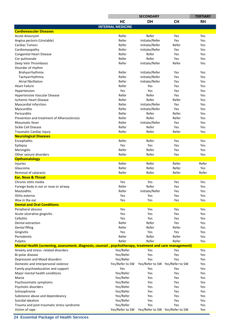|                                                                                                         |                          | <b>SECONDARY</b>                |           | <b>TERTIARY</b> |
|---------------------------------------------------------------------------------------------------------|--------------------------|---------------------------------|-----------|-----------------|
|                                                                                                         | HC                       | <b>DH</b>                       | <b>CH</b> | <b>RH</b>       |
|                                                                                                         | <b>INTERNAL MEDICINE</b> |                                 |           |                 |
| <b>Cardiovascular Diseases</b>                                                                          |                          |                                 |           |                 |
| <b>Acute Aneurysm</b>                                                                                   | Refer                    | Refer                           | Yes       | Yes             |
| Angina pectoris (Unstable)                                                                              | Refer                    | Initiate/Refer                  | Yes       | Yes             |
| <b>Cardiac Tumors</b>                                                                                   | Refer                    | Initiate/Refer                  | Refer     | Yes             |
| Cardiomyopathy                                                                                          | Refer                    | Initiate/Refer                  | Yes       | Yes             |
| <b>Congenital Heart Disease</b>                                                                         | Refer                    | Refer                           | Yes       | Yes             |
| Cor pulmonale                                                                                           | Refer                    | Refer                           | Yes       | Yes             |
| Deep Vein Thrombosis                                                                                    | Refer                    | Initiate/Refer                  | Refer     | Yes             |
| Disorder of rhythm                                                                                      |                          |                                 |           |                 |
| Brahyarrhythmia                                                                                         | Refer                    | Initiate/Refer                  | Yes       | Yes             |
| Tachyarrhythmia                                                                                         | Refer                    | Initiate/Refer                  | Yes       | Yes             |
| Atrial fibrillation                                                                                     | Refer                    | Initiate/Refer                  | Yes       | Yes             |
| <b>Heart Failure</b>                                                                                    | Refer                    | Yes                             | Yes       | Yes             |
|                                                                                                         | Yes                      | Yes                             | Yes       | Yes             |
| Hypertension                                                                                            | Refer                    | Refer                           | Yes       | Yes             |
| Hypertensive Vascular Disease<br><b>Ischemic Heart Disease</b>                                          | Refer                    | Refer                           | Refer     | Yes             |
|                                                                                                         | Refer                    |                                 |           |                 |
| Myocardial infarction                                                                                   |                          | Initiate/Refer                  | Yes       | Yes             |
| Myocarditis                                                                                             | Refer                    | Initiate/Refer                  | Yes       | Yes             |
| Pericarditis                                                                                            | Refer                    | Refer                           | Refer     | Yes             |
| Prevention and treatment of Alherosclerosis                                                             | Refer                    | Refer                           | Refer     | Yes             |
| <b>Rheumatic fever</b>                                                                                  | Refer                    | Initiate/Refer                  | Yes       | Yes             |
| Sickle Cell Disease                                                                                     | Refer                    | Refer                           | Yes       | Yes             |
| Traumatic Cardiac Injury                                                                                | Refer                    | Refer                           | Refer     | Yes             |
| <b>Neurological Diseases</b>                                                                            |                          |                                 |           |                 |
| Encephalitis                                                                                            | Refer                    | Refer                           | Yes       | Yes             |
| Epilepsy                                                                                                | Yes                      | Yes                             | Yes       | Yes             |
| Meningitis                                                                                              | Refer                    | Refer                           | Yes       | Yes             |
| Other seizure disorders                                                                                 | Refer                    | Refer                           | Yes       | Yes             |
| <b>Opthamalology</b>                                                                                    |                          |                                 |           |                 |
| Injuries                                                                                                | Refer                    | Refer                           | Refer     | Refer           |
| Glaucoma                                                                                                | Refer                    | Refer                           | Refer     | Yes             |
| Removal of cataracts                                                                                    | Refer                    | Refer                           | Refer     | Refer           |
| <b>Ear, Nose &amp; Throat</b>                                                                           |                          |                                 |           |                 |
| Chronic otitis media                                                                                    | Yes                      | Yes                             | Yes       | Yes             |
| Foreign body in ear or nose or airway                                                                   | Refer                    | Refer                           | Yes       | Yes             |
| Mastoiditis                                                                                             | Refer                    | Initiate/Refer                  | Yes       | Yes             |
| Otitis externa                                                                                          | Yes                      | Yes                             | Yes       | Yes             |
| Wax in the ear                                                                                          | Yes                      | Yes                             | Yes       | Yes             |
| <b>Dental and Oral Conditions</b>                                                                       |                          |                                 |           |                 |
| Peripheral abscess                                                                                      | Yes                      | Yes                             | Yes       | Yes             |
| Acute ulcerative gingivitis                                                                             | Yes                      | Yes                             | Yes       | Yes             |
| Cellulitis                                                                                              | Yes                      | Yes                             | Yes       | Yes             |
| Dental extraction                                                                                       | Refer                    | Refer                           | Yes       | Yes             |
| <b>Dental filling</b>                                                                                   | Refer                    | Refer                           | Refer     | Yes             |
| Gingivitis                                                                                              | Yes                      | Yes                             | Yes       | Yes             |
| Periodontis                                                                                             | Refer                    | Refer                           | Refer     | Yes             |
| Pulpitis                                                                                                | Refer                    | Refer                           | Refer     | Yes             |
| Mental Health (screening, assessment, diagnosis, counsel, psychotherapy, treatment and care management) |                          |                                 |           |                 |
| Anxiety and stress- related disorders                                                                   | Yes/Refer                | Yes                             | Yes       | Yes             |
| Bi-polar disease                                                                                        | Yes/Refer                | Yes                             | Yes       | Yes             |
|                                                                                                         |                          |                                 |           |                 |
| Depression and Mood disorders                                                                           | Yes/Refer                | Yes                             | Yes       | Yes             |
| Domestic and interpersonal violence                                                                     | Yes/Refer to SW          | Yes/Refer to SW Yes/Refer to SW |           | Yes             |
| Family psychoeducation and support                                                                      | Yes                      | Yes                             | Yes       | Yes             |
| Major mental health conditions                                                                          | Yes/Refer                | Yes                             | Yes       | Yes             |
| Mania                                                                                                   | Yes/Refer                | Yes                             | Yes       | Yes             |
| Psychosomatic symptoms                                                                                  | Yes/Refer                | Yes                             | Yes       | Yes             |
| Psychotic disorders                                                                                     | Yes/Refer                | Yes                             | Yes       | Yes             |
| Schizophrenia                                                                                           | Yes/Refer                | Yes                             | Yes       | Yes             |
| Substance abuse and dependeancy                                                                         | Yes/Refer                | Yes                             | Yes       | Yes             |
| Suicidal ideation                                                                                       | Yes/Refer                | Yes                             | Yes       | Yes             |
| Trauma and post-traumatic stress syndrome                                                               | Yes/Refer                | Yes                             | Yes       | Yes             |
| Victim of rape                                                                                          | Yes/Refer to SW          | Yes/Refer to SW Yes/Refer to SW |           | Yes             |

**24 Essential Package of Health Services**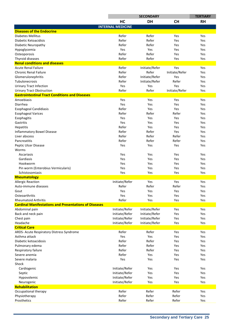|                                                              | <b>SECONDARY</b>         |                |                | <b>TERTIARY</b> |
|--------------------------------------------------------------|--------------------------|----------------|----------------|-----------------|
|                                                              | HC                       | <b>DH</b>      | <b>CH</b>      | <b>RH</b>       |
|                                                              | <b>INTERNAL MEDICINE</b> |                |                |                 |
| <b>Diseases of the Endocrine</b>                             |                          |                |                |                 |
| <b>Diabetes Mellitus</b>                                     | Refer                    | Refer          | Yes            | Yes             |
| Diabetic Ketoacidisis                                        | Refer                    | Refer          | Yes            | Yes             |
| Diabetic Neuropathy                                          | Refer                    | Refer          | Yes            | Yes             |
| Hypoglycemia                                                 | Yes                      | Yes            | Yes            | Yes             |
| Osteoporosis                                                 | Refer                    | Refer          | Yes            | Yes             |
| Thyroid diseases                                             | Refer                    | Refer          | Yes            | Yes             |
| <b>Renal conditions and diseases</b>                         |                          |                |                |                 |
| <b>Acute Renal Failure</b>                                   | Refer                    | Initiate/Refer | Yes            | Yes             |
| <b>Chronic Renal Failure</b>                                 | Refer                    | Refer          | Initiate/Refer | Yes             |
| Glomerulonephritis                                           | Refer                    | Initiate/Refer | Yes            | Yes             |
| Tubulonecrosis                                               | Refer                    | Initiate/Refer | Refer          | Yes             |
| <b>Urinary Tract Infection</b>                               | Yes                      | Yes            | Yes            | Yes             |
| <b>Urinary Tract Obstruction</b>                             | Refer                    | Refer          | Initiate/Refer | Yes             |
| <b>Gastrointestinal Tract Conditions and Diseases</b>        |                          |                |                |                 |
| Amoebiasis                                                   | Yes                      | Yes            | Yes            | Yes             |
| Diarrhea                                                     | Yes                      | Yes            | Yes            | Yes             |
| <b>Esophageal Candidiasis</b>                                | Refer                    | Yes            | Yes            | Yes             |
| <b>Esophageal Varices</b>                                    | Refer                    | Refer          | Refer          | Yes             |
| Esophagitis                                                  | Yes                      | Yes            | Yes            | Yes             |
| Gastritis                                                    | Yes                      | Yes            | Yes            | Yes             |
| Hepatitis                                                    | Refer                    | Yes            | Yes            | Yes             |
| <b>Inflammatory Bowel Disease</b>                            | Refer                    | Refer          | Yes            | Yes             |
| Liver abscess                                                | Refer                    | Refer          | Refer          | Yes             |
| Pancreatitis                                                 | Refer                    | Refer          | Refer          | Yes             |
| Peptic Ulcer Disease                                         | Yes                      | Yes            | Yes            | Yes             |
| Worms                                                        |                          |                |                |                 |
| Ascariasis                                                   | Yes                      | Yes            | Yes            | Yes             |
| Gardiasis                                                    | Yes                      | Yes            | Yes            | Yes             |
| Hookworm                                                     | Yes                      | Yes            | Yes            | Yes             |
| Pin worm (Enterobius Vermicularis)                           | Yes                      | Yes            | Yes            | Yes             |
| Schistosomiasis                                              | Yes                      | Yes            | Yes            | Yes             |
| Rheumatology                                                 |                          |                |                |                 |
| <b>Allergic Reaction</b>                                     | Initiate/Refer           | Yes            | Yes            | Yes             |
| Auto-immune diseases                                         | Refer                    | Refer          | Refer          | Yes             |
| Gout                                                         | Yes                      | Yes            | Yes            | Yes             |
| Osteoarthritis                                               | Yes                      | Yes            | Yes            | Yes             |
| <b>Rheumatoid Arthritis</b>                                  | Refer                    | Yes            | Yes            | Yes             |
| <b>Cardinal Manifestations and Presentations of Diseases</b> |                          |                |                |                 |
| Abdominal pain                                               | Initiate/Refer           | Initiate/Refer | Yes            | Yes             |
| Back and neck pain                                           | Initiate/Refer           | Initiate/Refer | Yes            | Yes             |
| Chest pain                                                   | Initiate/Refer           | Initiate/Refer | Yes            | Yes             |
| Headache                                                     | Initiate/Refer           | Initiate/Refer | Yes            | Yes             |
| <b>Critical Care</b>                                         |                          |                |                |                 |
| ARDS- Acute Respiratory Distress Syndrome                    | Refer                    | Refer          | Yes            | Yes             |
| Asthma attack                                                | Yes                      | Yes            | Yes            | Yes             |
| Diabetic ketoacidosis                                        | Refer                    | Refer          | Yes            | Yes             |
| Pulmonary edema                                              | Refer                    | Refer          | Yes            | Yes             |
| Respiratory failure                                          | Refer                    | Refer          | Yes            | Yes             |
| Severe anemia                                                | Refer                    | Yes            | Yes            | Yes             |
| Severe malaria                                               | Yes                      | Yes            | Yes            | Yes             |
| Shock                                                        |                          |                |                |                 |
| Cardiogenic                                                  | Initiate/Refer           | Yes            | Yes            | Yes             |
| Septic                                                       | Initiate/Refer           | Yes            | Yes            | Yes             |
| Hypovolemic                                                  | Initiate/Refer           | Yes            | Yes            | Yes             |
| Neurogenic                                                   | Initiate/Refer           | Yes            | Yes            | Yes             |
| Rehabilitation                                               |                          |                |                |                 |
| Occupational therapy                                         | Refer                    | Refer          | Refer          | Yes             |
| Physiotherapy                                                | Refer                    | Refer          | Refer          | Yes             |
| Prosthetics                                                  | Refer                    | Refer          | Refer          | Yes             |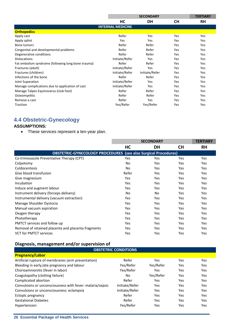|                                                    |                          | <b>SECONDARY</b> |           |            |  |
|----------------------------------------------------|--------------------------|------------------|-----------|------------|--|
|                                                    | HC                       | DH               | <b>CH</b> | <b>RH</b>  |  |
|                                                    | <b>INTERNAL MEDICINE</b> |                  |           |            |  |
| <b>Orthopedics</b>                                 |                          |                  |           |            |  |
| Apply cast                                         | Refer                    | Yes              | Yes       | Yes        |  |
| Apply splint                                       | <b>Yes</b>               | Yes              | Yes       | Yes        |  |
| Bone tumors                                        | Refer                    | Refer            | Yes       | Yes        |  |
| Congenital and developmental problems              | Refer                    | Refer            | Yes       | Yes        |  |
| Degenerative conditions                            | Refer                    | Refer            | Yes       | Yes        |  |
| <b>Dislocations</b>                                | Initiate/Refer           | Yes              | Yes       | Yes        |  |
| Fat embolism syndrome (following long bone trauma) | Refer                    | Refer            | Yes       | Yes        |  |
| Fractures (adult)                                  | Initiate/Refer           | Yes              | Yes       | Yes        |  |
| Fractures (children)                               | Initiate/Refer           | Initiate/Refer   | Yes       | Yes        |  |
| Infections of the bone                             | Refer                    | Refer            | Yes       | Yes        |  |
| Joint Suparation                                   | Initiate/Refer           | Yes              | Yes       | Yes        |  |
| Manage complications due to application of cast    | Initiate/Refer           | Yes              | Yes       | Yes        |  |
| Manage Talpes Equinovarus (club foot)              | Refer                    | Refer            | Yes       | <b>Yes</b> |  |
| Osteomyelitis                                      | Refer                    | Refer            | Yes       | Yes        |  |
| Remove a cast                                      | Refer                    | Yes              | Yes       | Yes        |  |
| Traction                                           | Yes/Refer                | Yes/Refer        | Yes       | Yes        |  |

# **4.4 Obstetric-Gynecology**

#### **ASSUMPTIONS:**

• These services represent a ten-year plan.

|                                                                       |       | <b>SECONDARY</b> |           |            |  |  |
|-----------------------------------------------------------------------|-------|------------------|-----------|------------|--|--|
|                                                                       | HC    | DH               | <b>CH</b> | <b>RH</b>  |  |  |
| <b>OBSTETRIC-GYNECOLOGY PROCEDURES</b> (see also Surgical Procedures) |       |                  |           |            |  |  |
| Co-trimoxazole Preventative Therapy (CPT)                             | Yes   | Yes              | Yes       | <b>Yes</b> |  |  |
| Colpotomy                                                             | No    | Yes              | Yes       | Yes        |  |  |
| Culdocentesis                                                         | No    | Yes              | Yes       | Yes        |  |  |
| Give blood transfusion                                                | Refer | Yes              | Yes       | Yes        |  |  |
| Give magnesium                                                        | Yes   | Yes              | Yes       | Yes        |  |  |
| Incubation                                                            | Yes   | Yes              | Yes       | Yes        |  |  |
| Induce and augment labour                                             | Yes   | Yes              | Yes       | Yes        |  |  |
| Instrument delivery (forceps delivery)                                | No.   | N <sub>o</sub>   | Yes       | Yes        |  |  |
| Instrumental delivery (vacuum extraction)                             | Yes   | Yes              | Yes       | Yes        |  |  |
| Manage Shoulder Dystocia                                              | Yes   | Yes              | Yes       | Yes        |  |  |
| Manual vacuum aspiration                                              | Yes   | Yes              | Yes       | Yes        |  |  |
| Oxygen therapy                                                        | Yes   | Yes              | Yes       | Yes        |  |  |
| Phototherapy                                                          | Yes   | Yes              | Yes       | Yes        |  |  |
| PMTCT services and follow up                                          | Yes   | Yes              | Yes       | Yes        |  |  |
| Removal of retained placenta and placenta fragments                   | Yes   | Yes              | Yes       | Yes        |  |  |
| <b>VCT for PMTCT services</b>                                         | Yes   | Yes              | Yes       | Yes        |  |  |

## Diagnosis, management and/or supervision of

| <b>OBSTETRIC CONDITIONS</b>                               |                |           |     |     |
|-----------------------------------------------------------|----------------|-----------|-----|-----|
| <b>Pregnancy/Labor</b>                                    |                |           |     |     |
| Artificial rupture of membranes (arm presentation)        | Refer          | Yes       | Yes | Yes |
| Bleeding in early, late pregnancy and labour              | Yes/Refer      | Yes/Refer | Yes | Yes |
| Chorioamnionitis (fever in labor)                         | Yes/Refer      | Yes       | Yes | Yes |
| Coagulopathy (clotting failure)                           | No.            | Yes/Refer | Yes | Yes |
| Complicated abortion                                      | Refer          | Yes       | Yes | Yes |
| Convulsions or unconsciousness with fever: malaria/sepsis | Initiate/Refer | Yes       | Yes | Yes |
| Convulsions or unconsciousness: eclampsia                 | Initiate/Refer | Yes       | Yes | Yes |
| Ectopic pregnancy                                         | Refer          | Yes       | Yes | Yes |
| <b>Gestational Diabetes</b>                               | Refer          | Yes       | Yes | Yes |
| <b>Hypertension</b>                                       | Yes/Refer      | Yes       | Yes | Yes |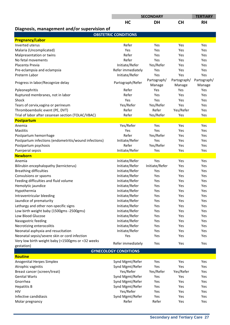| <b>CH</b><br>HC<br><b>DH</b><br><b>RH</b><br>Diagnosis, management and/or supervision of<br><b>OBSTETRIC CONDITIONS</b><br><b>Pregnancy/Labor</b><br>Refer<br>Inverted uterus<br>Yes<br>Yes<br>Yes<br>Malaria (Uncomplicated)<br>Yes<br>Yes<br>Yes<br>Yes<br>Refer<br>Malpresentation or twins<br>Yes<br>Yes<br>Yes<br>Refer<br>No fetal movements<br>Yes<br>Yes<br>Yes<br>Initiate/Refer<br>Yes/Refer<br>Placenta Previa<br>Yes<br>Yes<br>Refer immediately<br>Yes<br>Pre-eclampsia and eclampsia<br>Yes<br>Yes<br>Initiate/Refer<br>Preterm Labor<br>Yes<br>Yes<br>Yes<br>Partograph/<br>Partograph/<br>Partograph/<br>Progress in labor/Recognize delay<br>Partograph/Refer<br>Manage<br>Manage<br>Manage<br>Refer<br>Yes<br>Pyleonephritis<br>Yes<br>Yes<br>Refer<br>Ruptured membranes, not in labor<br>Yes<br>Yes<br>Yes<br>Yes<br>Shock<br>Yes<br>Yes<br>Yes<br>Yes/Refer<br>Yes/Refer<br>Tears of cervix, vagina or perineum<br>Yes<br>Yes<br>Refer<br>Refer<br>Yes/Refer<br>Thromboembolic event (PE, DVT)<br>Yes<br>Refer<br>Yes/Refer<br>Trial of labor after cesarean section (TOLAC/VBAC)<br>Yes<br>Yes<br><b>Postpartum</b><br>Yes/Refer<br>Yes<br>Anemia<br>Yes<br>Yes<br>Yes<br>Mastitis<br>Yes<br>Yes<br>Yes<br>Refer<br>Yes/Refer<br>Postpartum hemorrhage<br>Yes<br>Yes<br>Postpartum infections (endometritis/wound infections)<br>Initiate/Refer<br>Yes<br>Yes<br>Yes<br>Refer<br>Yes/Refer<br>Postpartum psychosis<br>Yes<br>Yes<br>Initiate/Refer<br>Puerperal sepsis<br>Yes<br>Yes<br>Yes<br><b>Newborn</b><br>Initiate/Refer<br>Yes<br>Yes<br>Anemia<br>Yes<br>Bilirubin encephalopathy (kernicterus)<br>Initiate/Refer<br>Initiate/Refer<br>Yes<br>Yes<br><b>Breathing difficulties</b><br>Initiate/Refer<br>Yes<br>Yes<br>Yes<br>Convulsions or spasms<br>Initiate/Refer<br>Yes<br>Yes<br>Yes<br>Feeding difficulties and fluid volume<br>Initiate/Refer<br>Yes<br>Yes<br>Yes<br>Initiate/Refer<br>Yes<br>Yes<br>Yes<br>Hemolytic jaundice<br>Hypothermia<br>Initiate/Refer<br>Yes<br>Yes<br>Yes<br>Initiate/Refer<br>Yes<br>Intraventricular bleeding<br>Yes<br>Yes<br>Jaundice of prematurity<br>Initiate/Refer<br>Yes<br>Yes<br>Yes<br>Lethargy and other non-specific signs<br>Initiate/Refer<br>Yes<br>Yes<br>Yes<br>Low birth weight baby (1500gms -2500gms)<br>Initiate/Refer<br>Yes<br>Yes<br>Yes<br>Low Blood Glucose<br>Initiate/Refer<br>Yes<br>Yes<br>Yes<br>Nasogastric feeding<br>Initiate/Refer<br>Yes<br>Yes<br>Yes<br>Initiate/Refer<br>Necrotizing enterocolitis<br>Yes<br>Yes<br>Yes<br>Neonatal asphyxia and resucitation<br>Initiate/Refer<br>Yes<br>Yes<br>Yes<br>Neonatal sepsis/severe skin or cord infection<br>Yes<br>Yes<br>Yes<br>Yes<br>Very low birth weight baby (<1500gms or <32 weeks<br>Refer immediately<br>Yes<br>Yes<br>Yes<br>gestation)<br><b>GYNECOLOGY CONDITIONS</b><br><b>Routine</b><br>Synd Mgmt/Refer<br>Anogenital Herpes Simplex<br>Yes<br>Yes<br>Yes<br>Yes<br>Atrophic vaginitis<br>Synd Mgmt/Refer<br>Yes<br>Yes<br>Yes/Refer<br>Yes/Refer<br>Yes/Refer<br>Breast cancer (screen/treat)<br>Yes<br><b>Genital Warts</b><br>Synd Mgmt/Refer<br>Yes<br>Yes<br>Yes<br>Gnorrhea<br>Synd Mgmt/Refer<br>Yes<br>Yes<br>Yes<br><b>Hepatitis B</b><br>Synd Mgmt/Refer<br>Yes<br>Yes<br>Yes<br>Yes/Refer<br>Yes<br>Yes<br>HIV<br>Yes<br>Infective candidiasis<br>Synd Mgmt/Refer<br>Yes<br>Yes<br>Yes |                 | <b>SECONDARY</b> |       | <b>TERTIARY</b> |     |
|--------------------------------------------------------------------------------------------------------------------------------------------------------------------------------------------------------------------------------------------------------------------------------------------------------------------------------------------------------------------------------------------------------------------------------------------------------------------------------------------------------------------------------------------------------------------------------------------------------------------------------------------------------------------------------------------------------------------------------------------------------------------------------------------------------------------------------------------------------------------------------------------------------------------------------------------------------------------------------------------------------------------------------------------------------------------------------------------------------------------------------------------------------------------------------------------------------------------------------------------------------------------------------------------------------------------------------------------------------------------------------------------------------------------------------------------------------------------------------------------------------------------------------------------------------------------------------------------------------------------------------------------------------------------------------------------------------------------------------------------------------------------------------------------------------------------------------------------------------------------------------------------------------------------------------------------------------------------------------------------------------------------------------------------------------------------------------------------------------------------------------------------------------------------------------------------------------------------------------------------------------------------------------------------------------------------------------------------------------------------------------------------------------------------------------------------------------------------------------------------------------------------------------------------------------------------------------------------------------------------------------------------------------------------------------------------------------------------------------------------------------------------------------------------------------------------------------------------------------------------------------------------------------------------------------------------------------------------------------------------------------------------------------------------------------------------------------------------------------------------------------------------------------------------------------------------------------------------------------------------------------------------------------------------------------------------------------------------------------------------------|-----------------|------------------|-------|-----------------|-----|
|                                                                                                                                                                                                                                                                                                                                                                                                                                                                                                                                                                                                                                                                                                                                                                                                                                                                                                                                                                                                                                                                                                                                                                                                                                                                                                                                                                                                                                                                                                                                                                                                                                                                                                                                                                                                                                                                                                                                                                                                                                                                                                                                                                                                                                                                                                                                                                                                                                                                                                                                                                                                                                                                                                                                                                                                                                                                                                                                                                                                                                                                                                                                                                                                                                                                                                                                                                          |                 |                  |       |                 |     |
|                                                                                                                                                                                                                                                                                                                                                                                                                                                                                                                                                                                                                                                                                                                                                                                                                                                                                                                                                                                                                                                                                                                                                                                                                                                                                                                                                                                                                                                                                                                                                                                                                                                                                                                                                                                                                                                                                                                                                                                                                                                                                                                                                                                                                                                                                                                                                                                                                                                                                                                                                                                                                                                                                                                                                                                                                                                                                                                                                                                                                                                                                                                                                                                                                                                                                                                                                                          |                 |                  |       |                 |     |
|                                                                                                                                                                                                                                                                                                                                                                                                                                                                                                                                                                                                                                                                                                                                                                                                                                                                                                                                                                                                                                                                                                                                                                                                                                                                                                                                                                                                                                                                                                                                                                                                                                                                                                                                                                                                                                                                                                                                                                                                                                                                                                                                                                                                                                                                                                                                                                                                                                                                                                                                                                                                                                                                                                                                                                                                                                                                                                                                                                                                                                                                                                                                                                                                                                                                                                                                                                          |                 |                  |       |                 |     |
|                                                                                                                                                                                                                                                                                                                                                                                                                                                                                                                                                                                                                                                                                                                                                                                                                                                                                                                                                                                                                                                                                                                                                                                                                                                                                                                                                                                                                                                                                                                                                                                                                                                                                                                                                                                                                                                                                                                                                                                                                                                                                                                                                                                                                                                                                                                                                                                                                                                                                                                                                                                                                                                                                                                                                                                                                                                                                                                                                                                                                                                                                                                                                                                                                                                                                                                                                                          |                 |                  |       |                 |     |
|                                                                                                                                                                                                                                                                                                                                                                                                                                                                                                                                                                                                                                                                                                                                                                                                                                                                                                                                                                                                                                                                                                                                                                                                                                                                                                                                                                                                                                                                                                                                                                                                                                                                                                                                                                                                                                                                                                                                                                                                                                                                                                                                                                                                                                                                                                                                                                                                                                                                                                                                                                                                                                                                                                                                                                                                                                                                                                                                                                                                                                                                                                                                                                                                                                                                                                                                                                          |                 |                  |       |                 |     |
|                                                                                                                                                                                                                                                                                                                                                                                                                                                                                                                                                                                                                                                                                                                                                                                                                                                                                                                                                                                                                                                                                                                                                                                                                                                                                                                                                                                                                                                                                                                                                                                                                                                                                                                                                                                                                                                                                                                                                                                                                                                                                                                                                                                                                                                                                                                                                                                                                                                                                                                                                                                                                                                                                                                                                                                                                                                                                                                                                                                                                                                                                                                                                                                                                                                                                                                                                                          |                 |                  |       |                 |     |
|                                                                                                                                                                                                                                                                                                                                                                                                                                                                                                                                                                                                                                                                                                                                                                                                                                                                                                                                                                                                                                                                                                                                                                                                                                                                                                                                                                                                                                                                                                                                                                                                                                                                                                                                                                                                                                                                                                                                                                                                                                                                                                                                                                                                                                                                                                                                                                                                                                                                                                                                                                                                                                                                                                                                                                                                                                                                                                                                                                                                                                                                                                                                                                                                                                                                                                                                                                          |                 |                  |       |                 |     |
|                                                                                                                                                                                                                                                                                                                                                                                                                                                                                                                                                                                                                                                                                                                                                                                                                                                                                                                                                                                                                                                                                                                                                                                                                                                                                                                                                                                                                                                                                                                                                                                                                                                                                                                                                                                                                                                                                                                                                                                                                                                                                                                                                                                                                                                                                                                                                                                                                                                                                                                                                                                                                                                                                                                                                                                                                                                                                                                                                                                                                                                                                                                                                                                                                                                                                                                                                                          |                 |                  |       |                 |     |
|                                                                                                                                                                                                                                                                                                                                                                                                                                                                                                                                                                                                                                                                                                                                                                                                                                                                                                                                                                                                                                                                                                                                                                                                                                                                                                                                                                                                                                                                                                                                                                                                                                                                                                                                                                                                                                                                                                                                                                                                                                                                                                                                                                                                                                                                                                                                                                                                                                                                                                                                                                                                                                                                                                                                                                                                                                                                                                                                                                                                                                                                                                                                                                                                                                                                                                                                                                          |                 |                  |       |                 |     |
|                                                                                                                                                                                                                                                                                                                                                                                                                                                                                                                                                                                                                                                                                                                                                                                                                                                                                                                                                                                                                                                                                                                                                                                                                                                                                                                                                                                                                                                                                                                                                                                                                                                                                                                                                                                                                                                                                                                                                                                                                                                                                                                                                                                                                                                                                                                                                                                                                                                                                                                                                                                                                                                                                                                                                                                                                                                                                                                                                                                                                                                                                                                                                                                                                                                                                                                                                                          |                 |                  |       |                 |     |
|                                                                                                                                                                                                                                                                                                                                                                                                                                                                                                                                                                                                                                                                                                                                                                                                                                                                                                                                                                                                                                                                                                                                                                                                                                                                                                                                                                                                                                                                                                                                                                                                                                                                                                                                                                                                                                                                                                                                                                                                                                                                                                                                                                                                                                                                                                                                                                                                                                                                                                                                                                                                                                                                                                                                                                                                                                                                                                                                                                                                                                                                                                                                                                                                                                                                                                                                                                          |                 |                  |       |                 |     |
|                                                                                                                                                                                                                                                                                                                                                                                                                                                                                                                                                                                                                                                                                                                                                                                                                                                                                                                                                                                                                                                                                                                                                                                                                                                                                                                                                                                                                                                                                                                                                                                                                                                                                                                                                                                                                                                                                                                                                                                                                                                                                                                                                                                                                                                                                                                                                                                                                                                                                                                                                                                                                                                                                                                                                                                                                                                                                                                                                                                                                                                                                                                                                                                                                                                                                                                                                                          |                 |                  |       |                 |     |
|                                                                                                                                                                                                                                                                                                                                                                                                                                                                                                                                                                                                                                                                                                                                                                                                                                                                                                                                                                                                                                                                                                                                                                                                                                                                                                                                                                                                                                                                                                                                                                                                                                                                                                                                                                                                                                                                                                                                                                                                                                                                                                                                                                                                                                                                                                                                                                                                                                                                                                                                                                                                                                                                                                                                                                                                                                                                                                                                                                                                                                                                                                                                                                                                                                                                                                                                                                          |                 |                  |       |                 |     |
|                                                                                                                                                                                                                                                                                                                                                                                                                                                                                                                                                                                                                                                                                                                                                                                                                                                                                                                                                                                                                                                                                                                                                                                                                                                                                                                                                                                                                                                                                                                                                                                                                                                                                                                                                                                                                                                                                                                                                                                                                                                                                                                                                                                                                                                                                                                                                                                                                                                                                                                                                                                                                                                                                                                                                                                                                                                                                                                                                                                                                                                                                                                                                                                                                                                                                                                                                                          |                 |                  |       |                 |     |
|                                                                                                                                                                                                                                                                                                                                                                                                                                                                                                                                                                                                                                                                                                                                                                                                                                                                                                                                                                                                                                                                                                                                                                                                                                                                                                                                                                                                                                                                                                                                                                                                                                                                                                                                                                                                                                                                                                                                                                                                                                                                                                                                                                                                                                                                                                                                                                                                                                                                                                                                                                                                                                                                                                                                                                                                                                                                                                                                                                                                                                                                                                                                                                                                                                                                                                                                                                          |                 |                  |       |                 |     |
|                                                                                                                                                                                                                                                                                                                                                                                                                                                                                                                                                                                                                                                                                                                                                                                                                                                                                                                                                                                                                                                                                                                                                                                                                                                                                                                                                                                                                                                                                                                                                                                                                                                                                                                                                                                                                                                                                                                                                                                                                                                                                                                                                                                                                                                                                                                                                                                                                                                                                                                                                                                                                                                                                                                                                                                                                                                                                                                                                                                                                                                                                                                                                                                                                                                                                                                                                                          |                 |                  |       |                 |     |
|                                                                                                                                                                                                                                                                                                                                                                                                                                                                                                                                                                                                                                                                                                                                                                                                                                                                                                                                                                                                                                                                                                                                                                                                                                                                                                                                                                                                                                                                                                                                                                                                                                                                                                                                                                                                                                                                                                                                                                                                                                                                                                                                                                                                                                                                                                                                                                                                                                                                                                                                                                                                                                                                                                                                                                                                                                                                                                                                                                                                                                                                                                                                                                                                                                                                                                                                                                          |                 |                  |       |                 |     |
|                                                                                                                                                                                                                                                                                                                                                                                                                                                                                                                                                                                                                                                                                                                                                                                                                                                                                                                                                                                                                                                                                                                                                                                                                                                                                                                                                                                                                                                                                                                                                                                                                                                                                                                                                                                                                                                                                                                                                                                                                                                                                                                                                                                                                                                                                                                                                                                                                                                                                                                                                                                                                                                                                                                                                                                                                                                                                                                                                                                                                                                                                                                                                                                                                                                                                                                                                                          |                 |                  |       |                 |     |
|                                                                                                                                                                                                                                                                                                                                                                                                                                                                                                                                                                                                                                                                                                                                                                                                                                                                                                                                                                                                                                                                                                                                                                                                                                                                                                                                                                                                                                                                                                                                                                                                                                                                                                                                                                                                                                                                                                                                                                                                                                                                                                                                                                                                                                                                                                                                                                                                                                                                                                                                                                                                                                                                                                                                                                                                                                                                                                                                                                                                                                                                                                                                                                                                                                                                                                                                                                          |                 |                  |       |                 |     |
|                                                                                                                                                                                                                                                                                                                                                                                                                                                                                                                                                                                                                                                                                                                                                                                                                                                                                                                                                                                                                                                                                                                                                                                                                                                                                                                                                                                                                                                                                                                                                                                                                                                                                                                                                                                                                                                                                                                                                                                                                                                                                                                                                                                                                                                                                                                                                                                                                                                                                                                                                                                                                                                                                                                                                                                                                                                                                                                                                                                                                                                                                                                                                                                                                                                                                                                                                                          |                 |                  |       |                 |     |
|                                                                                                                                                                                                                                                                                                                                                                                                                                                                                                                                                                                                                                                                                                                                                                                                                                                                                                                                                                                                                                                                                                                                                                                                                                                                                                                                                                                                                                                                                                                                                                                                                                                                                                                                                                                                                                                                                                                                                                                                                                                                                                                                                                                                                                                                                                                                                                                                                                                                                                                                                                                                                                                                                                                                                                                                                                                                                                                                                                                                                                                                                                                                                                                                                                                                                                                                                                          |                 |                  |       |                 |     |
|                                                                                                                                                                                                                                                                                                                                                                                                                                                                                                                                                                                                                                                                                                                                                                                                                                                                                                                                                                                                                                                                                                                                                                                                                                                                                                                                                                                                                                                                                                                                                                                                                                                                                                                                                                                                                                                                                                                                                                                                                                                                                                                                                                                                                                                                                                                                                                                                                                                                                                                                                                                                                                                                                                                                                                                                                                                                                                                                                                                                                                                                                                                                                                                                                                                                                                                                                                          |                 |                  |       |                 |     |
|                                                                                                                                                                                                                                                                                                                                                                                                                                                                                                                                                                                                                                                                                                                                                                                                                                                                                                                                                                                                                                                                                                                                                                                                                                                                                                                                                                                                                                                                                                                                                                                                                                                                                                                                                                                                                                                                                                                                                                                                                                                                                                                                                                                                                                                                                                                                                                                                                                                                                                                                                                                                                                                                                                                                                                                                                                                                                                                                                                                                                                                                                                                                                                                                                                                                                                                                                                          |                 |                  |       |                 |     |
|                                                                                                                                                                                                                                                                                                                                                                                                                                                                                                                                                                                                                                                                                                                                                                                                                                                                                                                                                                                                                                                                                                                                                                                                                                                                                                                                                                                                                                                                                                                                                                                                                                                                                                                                                                                                                                                                                                                                                                                                                                                                                                                                                                                                                                                                                                                                                                                                                                                                                                                                                                                                                                                                                                                                                                                                                                                                                                                                                                                                                                                                                                                                                                                                                                                                                                                                                                          |                 |                  |       |                 |     |
|                                                                                                                                                                                                                                                                                                                                                                                                                                                                                                                                                                                                                                                                                                                                                                                                                                                                                                                                                                                                                                                                                                                                                                                                                                                                                                                                                                                                                                                                                                                                                                                                                                                                                                                                                                                                                                                                                                                                                                                                                                                                                                                                                                                                                                                                                                                                                                                                                                                                                                                                                                                                                                                                                                                                                                                                                                                                                                                                                                                                                                                                                                                                                                                                                                                                                                                                                                          |                 |                  |       |                 |     |
|                                                                                                                                                                                                                                                                                                                                                                                                                                                                                                                                                                                                                                                                                                                                                                                                                                                                                                                                                                                                                                                                                                                                                                                                                                                                                                                                                                                                                                                                                                                                                                                                                                                                                                                                                                                                                                                                                                                                                                                                                                                                                                                                                                                                                                                                                                                                                                                                                                                                                                                                                                                                                                                                                                                                                                                                                                                                                                                                                                                                                                                                                                                                                                                                                                                                                                                                                                          |                 |                  |       |                 |     |
|                                                                                                                                                                                                                                                                                                                                                                                                                                                                                                                                                                                                                                                                                                                                                                                                                                                                                                                                                                                                                                                                                                                                                                                                                                                                                                                                                                                                                                                                                                                                                                                                                                                                                                                                                                                                                                                                                                                                                                                                                                                                                                                                                                                                                                                                                                                                                                                                                                                                                                                                                                                                                                                                                                                                                                                                                                                                                                                                                                                                                                                                                                                                                                                                                                                                                                                                                                          |                 |                  |       |                 |     |
|                                                                                                                                                                                                                                                                                                                                                                                                                                                                                                                                                                                                                                                                                                                                                                                                                                                                                                                                                                                                                                                                                                                                                                                                                                                                                                                                                                                                                                                                                                                                                                                                                                                                                                                                                                                                                                                                                                                                                                                                                                                                                                                                                                                                                                                                                                                                                                                                                                                                                                                                                                                                                                                                                                                                                                                                                                                                                                                                                                                                                                                                                                                                                                                                                                                                                                                                                                          |                 |                  |       |                 |     |
|                                                                                                                                                                                                                                                                                                                                                                                                                                                                                                                                                                                                                                                                                                                                                                                                                                                                                                                                                                                                                                                                                                                                                                                                                                                                                                                                                                                                                                                                                                                                                                                                                                                                                                                                                                                                                                                                                                                                                                                                                                                                                                                                                                                                                                                                                                                                                                                                                                                                                                                                                                                                                                                                                                                                                                                                                                                                                                                                                                                                                                                                                                                                                                                                                                                                                                                                                                          |                 |                  |       |                 |     |
|                                                                                                                                                                                                                                                                                                                                                                                                                                                                                                                                                                                                                                                                                                                                                                                                                                                                                                                                                                                                                                                                                                                                                                                                                                                                                                                                                                                                                                                                                                                                                                                                                                                                                                                                                                                                                                                                                                                                                                                                                                                                                                                                                                                                                                                                                                                                                                                                                                                                                                                                                                                                                                                                                                                                                                                                                                                                                                                                                                                                                                                                                                                                                                                                                                                                                                                                                                          |                 |                  |       |                 |     |
|                                                                                                                                                                                                                                                                                                                                                                                                                                                                                                                                                                                                                                                                                                                                                                                                                                                                                                                                                                                                                                                                                                                                                                                                                                                                                                                                                                                                                                                                                                                                                                                                                                                                                                                                                                                                                                                                                                                                                                                                                                                                                                                                                                                                                                                                                                                                                                                                                                                                                                                                                                                                                                                                                                                                                                                                                                                                                                                                                                                                                                                                                                                                                                                                                                                                                                                                                                          |                 |                  |       |                 |     |
|                                                                                                                                                                                                                                                                                                                                                                                                                                                                                                                                                                                                                                                                                                                                                                                                                                                                                                                                                                                                                                                                                                                                                                                                                                                                                                                                                                                                                                                                                                                                                                                                                                                                                                                                                                                                                                                                                                                                                                                                                                                                                                                                                                                                                                                                                                                                                                                                                                                                                                                                                                                                                                                                                                                                                                                                                                                                                                                                                                                                                                                                                                                                                                                                                                                                                                                                                                          |                 |                  |       |                 |     |
|                                                                                                                                                                                                                                                                                                                                                                                                                                                                                                                                                                                                                                                                                                                                                                                                                                                                                                                                                                                                                                                                                                                                                                                                                                                                                                                                                                                                                                                                                                                                                                                                                                                                                                                                                                                                                                                                                                                                                                                                                                                                                                                                                                                                                                                                                                                                                                                                                                                                                                                                                                                                                                                                                                                                                                                                                                                                                                                                                                                                                                                                                                                                                                                                                                                                                                                                                                          |                 |                  |       |                 |     |
|                                                                                                                                                                                                                                                                                                                                                                                                                                                                                                                                                                                                                                                                                                                                                                                                                                                                                                                                                                                                                                                                                                                                                                                                                                                                                                                                                                                                                                                                                                                                                                                                                                                                                                                                                                                                                                                                                                                                                                                                                                                                                                                                                                                                                                                                                                                                                                                                                                                                                                                                                                                                                                                                                                                                                                                                                                                                                                                                                                                                                                                                                                                                                                                                                                                                                                                                                                          |                 |                  |       |                 |     |
|                                                                                                                                                                                                                                                                                                                                                                                                                                                                                                                                                                                                                                                                                                                                                                                                                                                                                                                                                                                                                                                                                                                                                                                                                                                                                                                                                                                                                                                                                                                                                                                                                                                                                                                                                                                                                                                                                                                                                                                                                                                                                                                                                                                                                                                                                                                                                                                                                                                                                                                                                                                                                                                                                                                                                                                                                                                                                                                                                                                                                                                                                                                                                                                                                                                                                                                                                                          |                 |                  |       |                 |     |
|                                                                                                                                                                                                                                                                                                                                                                                                                                                                                                                                                                                                                                                                                                                                                                                                                                                                                                                                                                                                                                                                                                                                                                                                                                                                                                                                                                                                                                                                                                                                                                                                                                                                                                                                                                                                                                                                                                                                                                                                                                                                                                                                                                                                                                                                                                                                                                                                                                                                                                                                                                                                                                                                                                                                                                                                                                                                                                                                                                                                                                                                                                                                                                                                                                                                                                                                                                          |                 |                  |       |                 |     |
|                                                                                                                                                                                                                                                                                                                                                                                                                                                                                                                                                                                                                                                                                                                                                                                                                                                                                                                                                                                                                                                                                                                                                                                                                                                                                                                                                                                                                                                                                                                                                                                                                                                                                                                                                                                                                                                                                                                                                                                                                                                                                                                                                                                                                                                                                                                                                                                                                                                                                                                                                                                                                                                                                                                                                                                                                                                                                                                                                                                                                                                                                                                                                                                                                                                                                                                                                                          |                 |                  |       |                 |     |
|                                                                                                                                                                                                                                                                                                                                                                                                                                                                                                                                                                                                                                                                                                                                                                                                                                                                                                                                                                                                                                                                                                                                                                                                                                                                                                                                                                                                                                                                                                                                                                                                                                                                                                                                                                                                                                                                                                                                                                                                                                                                                                                                                                                                                                                                                                                                                                                                                                                                                                                                                                                                                                                                                                                                                                                                                                                                                                                                                                                                                                                                                                                                                                                                                                                                                                                                                                          |                 |                  |       |                 |     |
|                                                                                                                                                                                                                                                                                                                                                                                                                                                                                                                                                                                                                                                                                                                                                                                                                                                                                                                                                                                                                                                                                                                                                                                                                                                                                                                                                                                                                                                                                                                                                                                                                                                                                                                                                                                                                                                                                                                                                                                                                                                                                                                                                                                                                                                                                                                                                                                                                                                                                                                                                                                                                                                                                                                                                                                                                                                                                                                                                                                                                                                                                                                                                                                                                                                                                                                                                                          |                 |                  |       |                 |     |
|                                                                                                                                                                                                                                                                                                                                                                                                                                                                                                                                                                                                                                                                                                                                                                                                                                                                                                                                                                                                                                                                                                                                                                                                                                                                                                                                                                                                                                                                                                                                                                                                                                                                                                                                                                                                                                                                                                                                                                                                                                                                                                                                                                                                                                                                                                                                                                                                                                                                                                                                                                                                                                                                                                                                                                                                                                                                                                                                                                                                                                                                                                                                                                                                                                                                                                                                                                          |                 |                  |       |                 |     |
|                                                                                                                                                                                                                                                                                                                                                                                                                                                                                                                                                                                                                                                                                                                                                                                                                                                                                                                                                                                                                                                                                                                                                                                                                                                                                                                                                                                                                                                                                                                                                                                                                                                                                                                                                                                                                                                                                                                                                                                                                                                                                                                                                                                                                                                                                                                                                                                                                                                                                                                                                                                                                                                                                                                                                                                                                                                                                                                                                                                                                                                                                                                                                                                                                                                                                                                                                                          |                 |                  |       |                 |     |
|                                                                                                                                                                                                                                                                                                                                                                                                                                                                                                                                                                                                                                                                                                                                                                                                                                                                                                                                                                                                                                                                                                                                                                                                                                                                                                                                                                                                                                                                                                                                                                                                                                                                                                                                                                                                                                                                                                                                                                                                                                                                                                                                                                                                                                                                                                                                                                                                                                                                                                                                                                                                                                                                                                                                                                                                                                                                                                                                                                                                                                                                                                                                                                                                                                                                                                                                                                          |                 |                  |       |                 |     |
|                                                                                                                                                                                                                                                                                                                                                                                                                                                                                                                                                                                                                                                                                                                                                                                                                                                                                                                                                                                                                                                                                                                                                                                                                                                                                                                                                                                                                                                                                                                                                                                                                                                                                                                                                                                                                                                                                                                                                                                                                                                                                                                                                                                                                                                                                                                                                                                                                                                                                                                                                                                                                                                                                                                                                                                                                                                                                                                                                                                                                                                                                                                                                                                                                                                                                                                                                                          |                 |                  |       |                 |     |
|                                                                                                                                                                                                                                                                                                                                                                                                                                                                                                                                                                                                                                                                                                                                                                                                                                                                                                                                                                                                                                                                                                                                                                                                                                                                                                                                                                                                                                                                                                                                                                                                                                                                                                                                                                                                                                                                                                                                                                                                                                                                                                                                                                                                                                                                                                                                                                                                                                                                                                                                                                                                                                                                                                                                                                                                                                                                                                                                                                                                                                                                                                                                                                                                                                                                                                                                                                          |                 |                  |       |                 |     |
|                                                                                                                                                                                                                                                                                                                                                                                                                                                                                                                                                                                                                                                                                                                                                                                                                                                                                                                                                                                                                                                                                                                                                                                                                                                                                                                                                                                                                                                                                                                                                                                                                                                                                                                                                                                                                                                                                                                                                                                                                                                                                                                                                                                                                                                                                                                                                                                                                                                                                                                                                                                                                                                                                                                                                                                                                                                                                                                                                                                                                                                                                                                                                                                                                                                                                                                                                                          |                 |                  |       |                 |     |
|                                                                                                                                                                                                                                                                                                                                                                                                                                                                                                                                                                                                                                                                                                                                                                                                                                                                                                                                                                                                                                                                                                                                                                                                                                                                                                                                                                                                                                                                                                                                                                                                                                                                                                                                                                                                                                                                                                                                                                                                                                                                                                                                                                                                                                                                                                                                                                                                                                                                                                                                                                                                                                                                                                                                                                                                                                                                                                                                                                                                                                                                                                                                                                                                                                                                                                                                                                          |                 |                  |       |                 |     |
|                                                                                                                                                                                                                                                                                                                                                                                                                                                                                                                                                                                                                                                                                                                                                                                                                                                                                                                                                                                                                                                                                                                                                                                                                                                                                                                                                                                                                                                                                                                                                                                                                                                                                                                                                                                                                                                                                                                                                                                                                                                                                                                                                                                                                                                                                                                                                                                                                                                                                                                                                                                                                                                                                                                                                                                                                                                                                                                                                                                                                                                                                                                                                                                                                                                                                                                                                                          |                 |                  |       |                 |     |
|                                                                                                                                                                                                                                                                                                                                                                                                                                                                                                                                                                                                                                                                                                                                                                                                                                                                                                                                                                                                                                                                                                                                                                                                                                                                                                                                                                                                                                                                                                                                                                                                                                                                                                                                                                                                                                                                                                                                                                                                                                                                                                                                                                                                                                                                                                                                                                                                                                                                                                                                                                                                                                                                                                                                                                                                                                                                                                                                                                                                                                                                                                                                                                                                                                                                                                                                                                          |                 |                  |       |                 |     |
|                                                                                                                                                                                                                                                                                                                                                                                                                                                                                                                                                                                                                                                                                                                                                                                                                                                                                                                                                                                                                                                                                                                                                                                                                                                                                                                                                                                                                                                                                                                                                                                                                                                                                                                                                                                                                                                                                                                                                                                                                                                                                                                                                                                                                                                                                                                                                                                                                                                                                                                                                                                                                                                                                                                                                                                                                                                                                                                                                                                                                                                                                                                                                                                                                                                                                                                                                                          |                 |                  |       |                 |     |
|                                                                                                                                                                                                                                                                                                                                                                                                                                                                                                                                                                                                                                                                                                                                                                                                                                                                                                                                                                                                                                                                                                                                                                                                                                                                                                                                                                                                                                                                                                                                                                                                                                                                                                                                                                                                                                                                                                                                                                                                                                                                                                                                                                                                                                                                                                                                                                                                                                                                                                                                                                                                                                                                                                                                                                                                                                                                                                                                                                                                                                                                                                                                                                                                                                                                                                                                                                          |                 |                  |       |                 |     |
|                                                                                                                                                                                                                                                                                                                                                                                                                                                                                                                                                                                                                                                                                                                                                                                                                                                                                                                                                                                                                                                                                                                                                                                                                                                                                                                                                                                                                                                                                                                                                                                                                                                                                                                                                                                                                                                                                                                                                                                                                                                                                                                                                                                                                                                                                                                                                                                                                                                                                                                                                                                                                                                                                                                                                                                                                                                                                                                                                                                                                                                                                                                                                                                                                                                                                                                                                                          |                 |                  |       |                 |     |
|                                                                                                                                                                                                                                                                                                                                                                                                                                                                                                                                                                                                                                                                                                                                                                                                                                                                                                                                                                                                                                                                                                                                                                                                                                                                                                                                                                                                                                                                                                                                                                                                                                                                                                                                                                                                                                                                                                                                                                                                                                                                                                                                                                                                                                                                                                                                                                                                                                                                                                                                                                                                                                                                                                                                                                                                                                                                                                                                                                                                                                                                                                                                                                                                                                                                                                                                                                          |                 |                  |       |                 |     |
|                                                                                                                                                                                                                                                                                                                                                                                                                                                                                                                                                                                                                                                                                                                                                                                                                                                                                                                                                                                                                                                                                                                                                                                                                                                                                                                                                                                                                                                                                                                                                                                                                                                                                                                                                                                                                                                                                                                                                                                                                                                                                                                                                                                                                                                                                                                                                                                                                                                                                                                                                                                                                                                                                                                                                                                                                                                                                                                                                                                                                                                                                                                                                                                                                                                                                                                                                                          |                 |                  |       |                 |     |
|                                                                                                                                                                                                                                                                                                                                                                                                                                                                                                                                                                                                                                                                                                                                                                                                                                                                                                                                                                                                                                                                                                                                                                                                                                                                                                                                                                                                                                                                                                                                                                                                                                                                                                                                                                                                                                                                                                                                                                                                                                                                                                                                                                                                                                                                                                                                                                                                                                                                                                                                                                                                                                                                                                                                                                                                                                                                                                                                                                                                                                                                                                                                                                                                                                                                                                                                                                          | Molar pregnancy | Refer            | Refer | Yes             | Yes |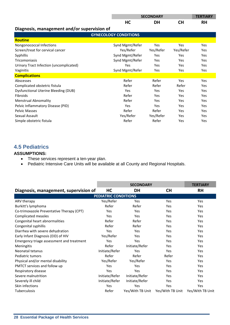|                                             |                              | <b>SECONDARY</b> |           | <b>TERTIARY</b> |
|---------------------------------------------|------------------------------|------------------|-----------|-----------------|
|                                             | HC                           | <b>DH</b>        | <b>CH</b> | <b>RH</b>       |
| Diagnosis, management and/or supervision of |                              |                  |           |                 |
|                                             | <b>GYNECOLOGY CONDITIONS</b> |                  |           |                 |
| <b>Routine</b>                              |                              |                  |           |                 |
| Nongonococcal Infections                    | Synd Mgmt/Refer              | Yes              | Yes       | Yes             |
| Screen/treat for cervical cancer            | Yes/Refer                    | Yes/Refer        | Yes/Refer | Yes             |
| Syphillis                                   | Synd Mgmt/Refer              | Yes              | Yes       | Yes             |
| <b>Tricomoniasis</b>                        | Synd Mgmt/Refer              | Yes              | Yes       | Yes             |
| Urinary Tract Infection (uncomplicated)     | Yes                          | Yes              | Yes       | Yes             |
| Vaginitis                                   | Synd Mgmt/Refer              | Yes              | Yes       | Yes             |
| <b>Complications</b>                        |                              |                  |           |                 |
| Abscesses                                   | Refer                        | Refer            | Yes       | Yes             |
| Complicated obstetric fistula               | Refer                        | Refer            | Refer     | Yes             |
| Dysfunctional Uterine Bleeding (DUB)        | Yes                          | Yes              | Yes       | Yes             |
| <b>Fibroids</b>                             | Refer                        | Yes              | Yes       | Yes             |
| <b>Menstrual Abnomality</b>                 | Refer                        | Yes              | Yes       | Yes             |
| Pelvic Inflammatory Disease (PID)           | Yes                          | Yes              | Yes       | Yes             |
| <b>Pelvic Masses</b>                        | Refer                        | Refer            | Yes       | Yes             |
| Sexual Assault                              | Yes/Refer                    | Yes/Refer        | Yes       | Yes             |
| Simple obstetric fistula                    | Refer                        | Refer            | Yes       | Yes             |

# **4.5 Pediatrics**

#### **ASSUMPTIONS:**

- These services represent a ten-year plan.
- Pediatric Intensive Care Units will be available at all County and Regional Hospitals.

|                                           |                             |                  | <b>TERTIARY</b>                   |            |
|-------------------------------------------|-----------------------------|------------------|-----------------------------------|------------|
| Diagnosis, management, supervision of     | HC                          | DH               | <b>CH</b>                         | <b>RH</b>  |
|                                           | <b>PEDIATRIC CONDITIONS</b> |                  |                                   |            |
| ARV therapy                               | Yes/Refer                   | Yes              | Yes                               | Yes        |
| Burkitt's lymphoma                        | Refer                       | Refer            | Yes                               | Yes        |
| Co-trimoxazole Preventative Therapy (CPT) | Yes                         | Yes              | Yes                               | <b>Yes</b> |
| Complicated measles                       | Yes                         | Yes              | Yes                               | Yes        |
| Congenital heart abnormalities            | Refer                       | Refer            | Yes                               | Yes        |
| Congenital syphillis                      | Refer                       | Refer            | Yes                               | Yes        |
| Diarrhea with severe dehydration          | Yes                         | Yes              | Yes                               | Yes        |
| Early Infant Diagnosis (EID) of HIV       | Yes/Refer                   | Yes              | Yes                               | Yes        |
| Emergency triage assessment and treatment | Yes                         | Yes              | Yes                               | <b>Yes</b> |
| <b>Meningitis</b>                         | Refer                       | Initiate/Refer   | Yes                               | Yes        |
| Neonatal tetanus                          | Initiate/Refer              | Yes              | Yes                               | Yes        |
| Pediatric tumors                          | Refer                       | Refer            | Refer                             | Yes        |
| Physical and/or mental disability         | Yes/Refer                   | Yes/Refer        | Yes                               | Yes        |
| PMTCT services and follow up              | Yes                         | Yes              | Yes                               | Yes        |
| Respiratory disease                       | Yes                         | Yes              | Yes                               | Yes        |
| Severe malnutrition                       | Initiate/Refer              | Initiate/Refer   | Yes                               | Yes        |
| Severely ill child                        | Initiate/Refer              | Initiate/Refer   | Yes                               | <b>Yes</b> |
| Skin infections                           | Yes                         | Yes              | Yes                               | Yes        |
| Tuberculosis                              | Refer                       | Yes/With TB Unit | Yes/With TB Unit Yes/With TB Unit |            |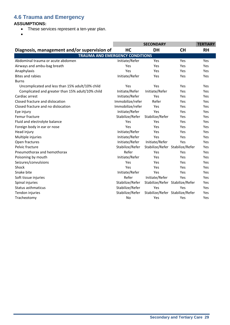# **4.6 Trauma and Emergency**

#### **ASSUMPTIONS:**

- These services represent a ten-year plan.
- $\bullet$

|                                                  |                  |                 | <b>TERTIARY</b>                 |           |
|--------------------------------------------------|------------------|-----------------|---------------------------------|-----------|
| Diagnosis, management and/or supervision of      | HC               | <b>DH</b>       | <b>CH</b>                       | <b>RH</b> |
| <b>TRAUMA AND EMERGENCY CONDITIONS</b>           |                  |                 |                                 |           |
| Abdominal trauma or acute abdomen                | Initiate/Refer   | Yes             | Yes                             | Yes       |
| Airways and ambu-bag breath                      | Yes              | Yes             | Yes                             | Yes       |
| Anaphylaxis                                      | Yes              | Yes             | Yes                             | Yes       |
| <b>Bites and rabies</b>                          | Initiate/Refer   | Yes             | Yes                             | Yes       |
| <b>Burns</b>                                     |                  |                 |                                 |           |
| Uncomplicated and less than 15% adult/10% child  | Yes              | Yes             | Yes                             | Yes       |
| Complicated and greater than 15% adult/10% child | Initiate/Refer   | Initiate/Refer  | Yes                             | Yes       |
| Cardiac arrest                                   | Initiate/Refer   | Yes             | Yes                             | Yes       |
| Closed fracture and dislocation                  | Immobilize/refer | Refer           | Yes                             | Yes       |
| Closed fracture and no dislocation               | Immobilize/refer | Yes             | Yes                             | Yes       |
| Eye injury                                       | Initiate/Refer   | Yes             | Yes                             | Yes       |
| Femur fracture                                   | Stabilize/Refer  | Stabilize/Refer | Yes                             | Yes       |
| Fluid and electrolyte balance                    | Yes              | Yes             | Yes                             | Yes       |
| Foreign body in ear or nose                      | Yes              | Yes             | Yes                             | Yes       |
| Head injury                                      | Initiate/Refer   | Yes             | Yes                             | Yes       |
| Multiple injuries                                | Initiate/Refer   | Yes             | Yes                             | Yes       |
| Open fractures                                   | Initiate/Refer   | Initiate/Refer  | Yes                             | Yes       |
| Pelvic fracture                                  | Stabilize/Refer  |                 | Stabilize/Refer Stabilize/Refer | Yes       |
| Pneumothorax and hemothorax                      | Refer            | Yes             | Yes                             | Yes       |
| Poisoning by mouth                               | Initiate/Refer   | Yes             | Yes                             | Yes       |
| Seizures/convulsions                             | Yes              | Yes             | Yes                             | Yes       |
| Shock                                            | Yes              | Yes             | Yes                             | Yes       |
| Snake bite                                       | Initiate/Refer   | Yes             | Yes                             | Yes       |
| Soft tissue injuries                             | Refer            | Initiate/Refer  | Yes                             | Yes       |
| Spinal injuries                                  | Stabilize/Refer  |                 | Stabilize/Refer Stabilize/Refer | Yes       |
| <b>Status asthmaticus</b>                        | Stabilize/Refer  | Yes             | Yes                             | Yes       |
| Tendon injuries                                  | Stabilize/Refer  |                 | Stabilize/Refer Stabilize/Refer | Yes       |
| Tracheotomy                                      | No               | Yes             | Yes                             | Yes       |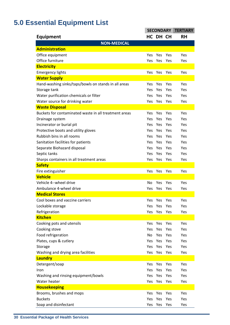# **5.0 Essential Equipment List**

|                                                       | <b>SECONDARY</b> |          |     | <b>TERTIARY</b> |
|-------------------------------------------------------|------------------|----------|-----|-----------------|
| Equipment                                             |                  | HC DH CH |     | <b>RH</b>       |
| <b>NON-MEDICAL</b>                                    |                  |          |     |                 |
| <b>Administration</b>                                 |                  |          |     |                 |
| Office equipment                                      | Yes              | Yes      | Yes | Yes             |
| Office furniture                                      | Yes              | Yes      | Yes | Yes             |
| <b>Electricity</b>                                    |                  |          |     |                 |
| <b>Emergency lights</b>                               | Yes              | Yes      | Yes | Yes             |
| <b>Water Supply</b>                                   |                  |          |     |                 |
| Hand-washing sinks/taps/bowls on stands in all areas  | Yes              | Yes      | Yes | Yes             |
| Storage tank                                          | Yes              | Yes      | Yes | Yes             |
| Water purification chemicals or filter                | Yes              | Yes      | Yes | Yes             |
| Water source for drinking water                       | Yes              | Yes      | Yes | Yes             |
| <b>Waste Disposal</b>                                 |                  |          |     |                 |
| Buckets for contaminated waste in all treatment areas | Yes              | Yes      | Yes | Yes             |
| Drainage system                                       | Yes              | Yes      | Yes | Yes             |
| Incinerator or burial pit                             | Yes              | Yes      | Yes | Yes             |
| Protective boots and utility gloves                   | Yes              | Yes      | Yes | Yes             |
| Rubbish bins in all rooms                             | Yes              | Yes      | Yes | Yes             |
| Sanitation facilities for patients                    | Yes              | Yes      | Yes | Yes             |
| Separate Biohazard disposal                           | Yes              | Yes      | Yes | Yes             |
| Septic tanks                                          | Yes              | Yes      | Yes | Yes             |
| Sharps containers in all treatment areas              | Yes              | Yes      | Yes | Yes             |
| <b>Safety</b>                                         |                  |          |     |                 |
| Fire extinguisher                                     | Yes              | Yes      | Yes | Yes             |
| <b>Vehicle</b>                                        |                  |          |     |                 |
| Vehicle 4--wheel drive                                | No.              | Yes      | Yes | Yes             |
| Ambulance 4-wheel drive                               | Yes              | Yes      | Yes | Yes             |
| <b>Medical Stores</b>                                 |                  |          |     |                 |
| Cool boxes and vaccine carriers                       | Yes              | Yes      | Yes | Yes             |
| Lockable storage                                      | Yes              | Yes      | Yes | Yes             |
| Refrigeration                                         | Yes              | Yes      | Yes | Yes             |
| <b>Kitchen</b>                                        |                  |          |     |                 |
| Cooking pots and utensils                             | Yes.             | Yes      | Yes | Yes             |
| Cooking stove                                         | <b>Yes</b>       | Yes      | Yes | Yes             |
| Food refrigeration                                    | No               | Yes      | Yes | Yes             |
| Plates, cups & cutlery                                |                  | Yes Yes  | Yes | Yes             |
| Storage                                               | Yes              | Yes Yes  |     | Yes             |
| Washing and drying area facilities                    |                  | Yes Yes  | Yes | Yes             |
| <b>Laundry</b>                                        |                  |          |     |                 |
| Detergent/soap                                        | Yes              | Yes      | Yes | Yes             |
| Iron                                                  | Yes              | Yes Yes  |     | Yes             |
| Washing and rinsing equipment/bowls                   | Yes              | Yes      | Yes | Yes             |
| Water heater                                          |                  | Yes Yes  | Yes | Yes             |
| <b>Housekeeping</b>                                   |                  |          |     |                 |
| Brooms, brushes and mops                              | Yes              | Yes      | Yes | Yes             |
| <b>Buckets</b>                                        | Yes              | Yes      | Yes | Yes             |
| Soap and disinfectant                                 | Yes              | Yes      | Yes | Yes             |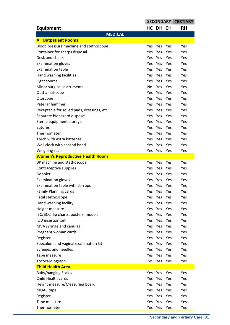|                                            | <b>SECONDARY TERTIARY</b> |            |     |     |
|--------------------------------------------|---------------------------|------------|-----|-----|
| <b>Equipment</b>                           |                           | HC DH CH   |     | RH  |
| <b>MEDICAL</b>                             |                           |            |     |     |
| <b>All Outpatient Rooms</b>                |                           |            |     |     |
| Blood pressure machine and stethoscope     | Yes                       | Yes        | Yes | Yes |
| Container for sharps disposal              | <b>Yes</b>                | Yes        | Yes | Yes |
| Desk and chairs                            | Yes                       | Yes        | Yes | Yes |
| <b>Examination gloves</b>                  | <b>Yes</b>                | <b>Yes</b> | Yes | Yes |
| <b>Examination table</b>                   | <b>Yes</b>                | Yes        | Yes | Yes |
| Hand washing facilities                    | <b>Yes</b>                | Yes        | Yes | Yes |
| Light source                               | <b>Yes</b>                | Yes        | Yes | Yes |
| Minor surgical instruments                 | No                        | Yes        | Yes | Yes |
| Opthamalscope                              | <b>Yes</b>                | <b>Yes</b> | Yes | Yes |
| Otoscope                                   | <b>Yes</b>                | Yes        | Yes | Yes |
| Patellar hammer                            | <b>Yes</b>                | Yes        | Yes | Yes |
| Receptacle for soiled pads, dressings, etc | Yes.                      | Yes        | Yes | Yes |
| Separate biohazard disposal                | <b>Yes</b>                | <b>Yes</b> | Yes | Yes |
| Sterile equipment storage                  | <b>Yes</b>                | Yes        | Yes | Yes |
| <b>Sutures</b>                             | <b>Yes</b>                | Yes        | Yes | Yes |
| Thermometer                                | Yes.                      | Yes        | Yes | Yes |
| Torch with extra batteries                 | <b>Yes</b>                | Yes        | Yes | Yes |
| Wall clock with second hand                | <b>Yes</b>                | Yes        | Yes | Yes |
| Weighing scale                             | <b>Yes</b>                | Yes        | Yes | Yes |
| <b>Women's Reproductive Health Room</b>    |                           |            |     |     |
| BP machine and stethoscope                 | Yes                       | Yes        | Yes | Yes |
| Contraceptive supplies                     | <b>Yes</b>                | Yes        | Yes | Yes |
| Doppler                                    | Yes                       | Yes        | Yes | Yes |
| <b>Examination gloves</b>                  | Yes.                      | <b>Yes</b> | Yes | Yes |
| Examination table with stirrups            | Yes                       | Yes        | Yes | Yes |
| <b>Family Planning cards</b>               | Yes                       | Yes        | Yes | Yes |
| Fetal stethoscope                          | Yes                       | Yes        | Yes | Yes |
| Hand washing facility                      | Yes                       | Yes        | Yes | Yes |
| Height measure                             | Yes                       | Yes        | Yes | Yes |
| IEC/BCC flip charts, posters, models       | Yes                       | Yes        | Yes | Yes |
| <b>IUD</b> insertion set                   |                           | Yes Yes    | Yes | Yes |
| MVA syringe and canulas                    | Yes                       | Yes        | Yes | Yes |
| Pregnant woman cards                       | Yes                       | Yes        | Yes | Yes |
| Register                                   | Yes                       | Yes        | Yes | Yes |
| Speculum and vaginal examination kit       |                           | Yes Yes    | Yes | Yes |
| Syringes and needles                       | Yes                       | Yes        | Yes | Yes |
| Tape measure                               | Yes                       | Yes        | Yes | Yes |
| Tococardiograph                            | no                        | Yes        | Yes | Yes |
| <b>Child Health Area</b>                   |                           |            |     |     |
| <b>Baby/hanging Scales</b>                 | Yes                       | Yes        | Yes | Yes |
| Child Health cards                         | Yes                       | Yes        | Yes | Yes |
| Height measure/Measuring board             | Yes                       | Yes        | Yes | Yes |
| <b>MUAC</b> tape                           | Yes                       | Yes        | Yes | Yes |
| Register                                   | Yes                       | Yes        | Yes | Yes |
| Tape measure                               | Yes                       | Yes        | Yes | Yes |
| Thermometer                                | Yes                       | Yes        | Yes | Yes |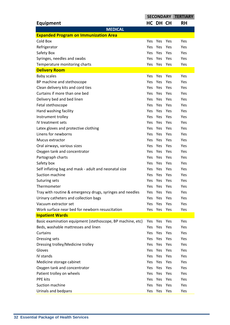| HC DH CH<br><b>RH</b><br><b>Equipment</b><br><b>MEDICAL</b><br><b>Expanded Program on Immunization Area</b><br>Cold Box<br>Yes<br><b>Yes</b><br>Yes<br>Yes<br>Refrigerator<br><b>Yes</b><br>Yes<br>Yes<br>Yes<br>Yes<br>Safety Box<br><b>Yes</b><br>Yes<br>Yes<br>Syringes, needles and swabs<br>Yes<br>Yes<br><b>Yes</b><br>Yes<br>Temperature monitoring charts<br><b>Yes</b><br>Yes<br>Yes<br>Yes<br><b>Delivery Room</b><br><b>Baby scales</b><br>Yes<br><b>Yes</b><br>Yes<br>Yes<br>BP machine and stethoscope<br>Yes Yes<br>Yes<br><b>Yes</b><br>Clean delivery kits and cord ties<br>Yes<br>Yes<br>Yes<br><b>Yes</b><br>Curtains if more than one bed<br>Yes<br>Yes<br>Yes<br><b>Yes</b><br>Delivery bed and bed linen<br>Yes Yes<br>Yes<br><b>Yes</b><br>Fetal stethoscope<br>Yes Yes<br>Yes<br><b>Yes</b><br>Hand washing facility<br>Yes<br>Yes<br>Yes<br>Yes<br>Instrument trolley<br>Yes<br>Yes<br>Yes<br><b>Yes</b><br>IV treatment sets<br>Yes Yes<br>Yes<br><b>Yes</b><br>Latex gloves and protective clothing<br>Yes Yes<br>Yes<br><b>Yes</b><br>Linens for newborns<br>Yes<br>Yes<br>Yes<br>Yes<br>Yes<br>Yes<br>Yes<br>Mucus extractor<br><b>Yes</b><br>Yes<br>Oral airways, various sizes<br><b>Yes</b><br>Yes<br>Yes<br>Yes Yes<br>Yes<br>Oxygen tank and concentrator<br><b>Yes</b><br>Yes<br>Yes<br>Yes<br>Partograph charts<br><b>Yes</b><br>Safety box<br>Yes<br>Yes<br>Yes<br><b>Yes</b><br>Self inflating bag and mask - adult and neonatal size<br>Yes Yes<br>Yes<br>Yes.<br>Suction machine<br>Yes<br>Yes<br>Yes<br>Yes.<br>Suturing sets<br>Yes<br>Yes<br>Yes<br>Yes<br>Thermometer<br>Yes<br>Yes<br>Yes<br>Yes<br>Tray with routine & emergency drugs, syringes and needles<br>Yes<br>Yes<br>Yes<br>Yes<br>Urinary catheters and collection bags<br>Yes<br>Yes<br>Yes<br>Yes<br>Vacuum extractor set<br>Yes<br>Yes<br>Yes<br><b>Yes</b><br>Work surface near bed for newborn resuscitation<br>Yes Yes Yes<br>Yes<br><b>Inpatient Wards</b><br>Basic examination equipment (stethoscope, BP machine, etc)<br>Yes<br>Yes<br>Yes<br>Yes<br>Beds, washable mattresses and linen<br><b>Yes</b><br>Yes<br>Yes<br>Yes<br><b>Curtains</b><br>Yes Yes Yes<br>Yes<br>Dressing sets<br>Yes<br>Yes<br>Yes<br>Yes<br>Dressing trolley/Medicine trolley<br>Yes<br>Yes<br>Yes<br>Yes<br>Gloves<br>Yes<br>Yes<br>Yes<br>Yes<br>IV stands<br>Yes Yes Yes<br>Yes<br>Medicine storage cabinet<br>Yes<br>Yes<br>Yes<br>Yes<br>Oxygen tank and concentrator<br>Yes<br>Yes<br>Yes<br>Yes<br>Patient trolley on wheels<br>Yes<br>Yes<br>Yes<br>Yes |                 | <b>SECONDARY</b> |     | <b>TERTIARY</b> |     |
|-----------------------------------------------------------------------------------------------------------------------------------------------------------------------------------------------------------------------------------------------------------------------------------------------------------------------------------------------------------------------------------------------------------------------------------------------------------------------------------------------------------------------------------------------------------------------------------------------------------------------------------------------------------------------------------------------------------------------------------------------------------------------------------------------------------------------------------------------------------------------------------------------------------------------------------------------------------------------------------------------------------------------------------------------------------------------------------------------------------------------------------------------------------------------------------------------------------------------------------------------------------------------------------------------------------------------------------------------------------------------------------------------------------------------------------------------------------------------------------------------------------------------------------------------------------------------------------------------------------------------------------------------------------------------------------------------------------------------------------------------------------------------------------------------------------------------------------------------------------------------------------------------------------------------------------------------------------------------------------------------------------------------------------------------------------------------------------------------------------------------------------------------------------------------------------------------------------------------------------------------------------------------------------------------------------------------------------------------------------------------------------------------------------------------------------------------------------------------------------------------------------------------------------------------------------|-----------------|------------------|-----|-----------------|-----|
|                                                                                                                                                                                                                                                                                                                                                                                                                                                                                                                                                                                                                                                                                                                                                                                                                                                                                                                                                                                                                                                                                                                                                                                                                                                                                                                                                                                                                                                                                                                                                                                                                                                                                                                                                                                                                                                                                                                                                                                                                                                                                                                                                                                                                                                                                                                                                                                                                                                                                                                                                           |                 |                  |     |                 |     |
|                                                                                                                                                                                                                                                                                                                                                                                                                                                                                                                                                                                                                                                                                                                                                                                                                                                                                                                                                                                                                                                                                                                                                                                                                                                                                                                                                                                                                                                                                                                                                                                                                                                                                                                                                                                                                                                                                                                                                                                                                                                                                                                                                                                                                                                                                                                                                                                                                                                                                                                                                           |                 |                  |     |                 |     |
|                                                                                                                                                                                                                                                                                                                                                                                                                                                                                                                                                                                                                                                                                                                                                                                                                                                                                                                                                                                                                                                                                                                                                                                                                                                                                                                                                                                                                                                                                                                                                                                                                                                                                                                                                                                                                                                                                                                                                                                                                                                                                                                                                                                                                                                                                                                                                                                                                                                                                                                                                           |                 |                  |     |                 |     |
|                                                                                                                                                                                                                                                                                                                                                                                                                                                                                                                                                                                                                                                                                                                                                                                                                                                                                                                                                                                                                                                                                                                                                                                                                                                                                                                                                                                                                                                                                                                                                                                                                                                                                                                                                                                                                                                                                                                                                                                                                                                                                                                                                                                                                                                                                                                                                                                                                                                                                                                                                           |                 |                  |     |                 |     |
|                                                                                                                                                                                                                                                                                                                                                                                                                                                                                                                                                                                                                                                                                                                                                                                                                                                                                                                                                                                                                                                                                                                                                                                                                                                                                                                                                                                                                                                                                                                                                                                                                                                                                                                                                                                                                                                                                                                                                                                                                                                                                                                                                                                                                                                                                                                                                                                                                                                                                                                                                           |                 |                  |     |                 |     |
|                                                                                                                                                                                                                                                                                                                                                                                                                                                                                                                                                                                                                                                                                                                                                                                                                                                                                                                                                                                                                                                                                                                                                                                                                                                                                                                                                                                                                                                                                                                                                                                                                                                                                                                                                                                                                                                                                                                                                                                                                                                                                                                                                                                                                                                                                                                                                                                                                                                                                                                                                           |                 |                  |     |                 |     |
|                                                                                                                                                                                                                                                                                                                                                                                                                                                                                                                                                                                                                                                                                                                                                                                                                                                                                                                                                                                                                                                                                                                                                                                                                                                                                                                                                                                                                                                                                                                                                                                                                                                                                                                                                                                                                                                                                                                                                                                                                                                                                                                                                                                                                                                                                                                                                                                                                                                                                                                                                           |                 |                  |     |                 |     |
|                                                                                                                                                                                                                                                                                                                                                                                                                                                                                                                                                                                                                                                                                                                                                                                                                                                                                                                                                                                                                                                                                                                                                                                                                                                                                                                                                                                                                                                                                                                                                                                                                                                                                                                                                                                                                                                                                                                                                                                                                                                                                                                                                                                                                                                                                                                                                                                                                                                                                                                                                           |                 |                  |     |                 |     |
|                                                                                                                                                                                                                                                                                                                                                                                                                                                                                                                                                                                                                                                                                                                                                                                                                                                                                                                                                                                                                                                                                                                                                                                                                                                                                                                                                                                                                                                                                                                                                                                                                                                                                                                                                                                                                                                                                                                                                                                                                                                                                                                                                                                                                                                                                                                                                                                                                                                                                                                                                           |                 |                  |     |                 |     |
|                                                                                                                                                                                                                                                                                                                                                                                                                                                                                                                                                                                                                                                                                                                                                                                                                                                                                                                                                                                                                                                                                                                                                                                                                                                                                                                                                                                                                                                                                                                                                                                                                                                                                                                                                                                                                                                                                                                                                                                                                                                                                                                                                                                                                                                                                                                                                                                                                                                                                                                                                           |                 |                  |     |                 |     |
|                                                                                                                                                                                                                                                                                                                                                                                                                                                                                                                                                                                                                                                                                                                                                                                                                                                                                                                                                                                                                                                                                                                                                                                                                                                                                                                                                                                                                                                                                                                                                                                                                                                                                                                                                                                                                                                                                                                                                                                                                                                                                                                                                                                                                                                                                                                                                                                                                                                                                                                                                           |                 |                  |     |                 |     |
|                                                                                                                                                                                                                                                                                                                                                                                                                                                                                                                                                                                                                                                                                                                                                                                                                                                                                                                                                                                                                                                                                                                                                                                                                                                                                                                                                                                                                                                                                                                                                                                                                                                                                                                                                                                                                                                                                                                                                                                                                                                                                                                                                                                                                                                                                                                                                                                                                                                                                                                                                           |                 |                  |     |                 |     |
|                                                                                                                                                                                                                                                                                                                                                                                                                                                                                                                                                                                                                                                                                                                                                                                                                                                                                                                                                                                                                                                                                                                                                                                                                                                                                                                                                                                                                                                                                                                                                                                                                                                                                                                                                                                                                                                                                                                                                                                                                                                                                                                                                                                                                                                                                                                                                                                                                                                                                                                                                           |                 |                  |     |                 |     |
|                                                                                                                                                                                                                                                                                                                                                                                                                                                                                                                                                                                                                                                                                                                                                                                                                                                                                                                                                                                                                                                                                                                                                                                                                                                                                                                                                                                                                                                                                                                                                                                                                                                                                                                                                                                                                                                                                                                                                                                                                                                                                                                                                                                                                                                                                                                                                                                                                                                                                                                                                           |                 |                  |     |                 |     |
|                                                                                                                                                                                                                                                                                                                                                                                                                                                                                                                                                                                                                                                                                                                                                                                                                                                                                                                                                                                                                                                                                                                                                                                                                                                                                                                                                                                                                                                                                                                                                                                                                                                                                                                                                                                                                                                                                                                                                                                                                                                                                                                                                                                                                                                                                                                                                                                                                                                                                                                                                           |                 |                  |     |                 |     |
|                                                                                                                                                                                                                                                                                                                                                                                                                                                                                                                                                                                                                                                                                                                                                                                                                                                                                                                                                                                                                                                                                                                                                                                                                                                                                                                                                                                                                                                                                                                                                                                                                                                                                                                                                                                                                                                                                                                                                                                                                                                                                                                                                                                                                                                                                                                                                                                                                                                                                                                                                           |                 |                  |     |                 |     |
|                                                                                                                                                                                                                                                                                                                                                                                                                                                                                                                                                                                                                                                                                                                                                                                                                                                                                                                                                                                                                                                                                                                                                                                                                                                                                                                                                                                                                                                                                                                                                                                                                                                                                                                                                                                                                                                                                                                                                                                                                                                                                                                                                                                                                                                                                                                                                                                                                                                                                                                                                           |                 |                  |     |                 |     |
|                                                                                                                                                                                                                                                                                                                                                                                                                                                                                                                                                                                                                                                                                                                                                                                                                                                                                                                                                                                                                                                                                                                                                                                                                                                                                                                                                                                                                                                                                                                                                                                                                                                                                                                                                                                                                                                                                                                                                                                                                                                                                                                                                                                                                                                                                                                                                                                                                                                                                                                                                           |                 |                  |     |                 |     |
|                                                                                                                                                                                                                                                                                                                                                                                                                                                                                                                                                                                                                                                                                                                                                                                                                                                                                                                                                                                                                                                                                                                                                                                                                                                                                                                                                                                                                                                                                                                                                                                                                                                                                                                                                                                                                                                                                                                                                                                                                                                                                                                                                                                                                                                                                                                                                                                                                                                                                                                                                           |                 |                  |     |                 |     |
|                                                                                                                                                                                                                                                                                                                                                                                                                                                                                                                                                                                                                                                                                                                                                                                                                                                                                                                                                                                                                                                                                                                                                                                                                                                                                                                                                                                                                                                                                                                                                                                                                                                                                                                                                                                                                                                                                                                                                                                                                                                                                                                                                                                                                                                                                                                                                                                                                                                                                                                                                           |                 |                  |     |                 |     |
|                                                                                                                                                                                                                                                                                                                                                                                                                                                                                                                                                                                                                                                                                                                                                                                                                                                                                                                                                                                                                                                                                                                                                                                                                                                                                                                                                                                                                                                                                                                                                                                                                                                                                                                                                                                                                                                                                                                                                                                                                                                                                                                                                                                                                                                                                                                                                                                                                                                                                                                                                           |                 |                  |     |                 |     |
|                                                                                                                                                                                                                                                                                                                                                                                                                                                                                                                                                                                                                                                                                                                                                                                                                                                                                                                                                                                                                                                                                                                                                                                                                                                                                                                                                                                                                                                                                                                                                                                                                                                                                                                                                                                                                                                                                                                                                                                                                                                                                                                                                                                                                                                                                                                                                                                                                                                                                                                                                           |                 |                  |     |                 |     |
|                                                                                                                                                                                                                                                                                                                                                                                                                                                                                                                                                                                                                                                                                                                                                                                                                                                                                                                                                                                                                                                                                                                                                                                                                                                                                                                                                                                                                                                                                                                                                                                                                                                                                                                                                                                                                                                                                                                                                                                                                                                                                                                                                                                                                                                                                                                                                                                                                                                                                                                                                           |                 |                  |     |                 |     |
|                                                                                                                                                                                                                                                                                                                                                                                                                                                                                                                                                                                                                                                                                                                                                                                                                                                                                                                                                                                                                                                                                                                                                                                                                                                                                                                                                                                                                                                                                                                                                                                                                                                                                                                                                                                                                                                                                                                                                                                                                                                                                                                                                                                                                                                                                                                                                                                                                                                                                                                                                           |                 |                  |     |                 |     |
|                                                                                                                                                                                                                                                                                                                                                                                                                                                                                                                                                                                                                                                                                                                                                                                                                                                                                                                                                                                                                                                                                                                                                                                                                                                                                                                                                                                                                                                                                                                                                                                                                                                                                                                                                                                                                                                                                                                                                                                                                                                                                                                                                                                                                                                                                                                                                                                                                                                                                                                                                           |                 |                  |     |                 |     |
|                                                                                                                                                                                                                                                                                                                                                                                                                                                                                                                                                                                                                                                                                                                                                                                                                                                                                                                                                                                                                                                                                                                                                                                                                                                                                                                                                                                                                                                                                                                                                                                                                                                                                                                                                                                                                                                                                                                                                                                                                                                                                                                                                                                                                                                                                                                                                                                                                                                                                                                                                           |                 |                  |     |                 |     |
|                                                                                                                                                                                                                                                                                                                                                                                                                                                                                                                                                                                                                                                                                                                                                                                                                                                                                                                                                                                                                                                                                                                                                                                                                                                                                                                                                                                                                                                                                                                                                                                                                                                                                                                                                                                                                                                                                                                                                                                                                                                                                                                                                                                                                                                                                                                                                                                                                                                                                                                                                           |                 |                  |     |                 |     |
|                                                                                                                                                                                                                                                                                                                                                                                                                                                                                                                                                                                                                                                                                                                                                                                                                                                                                                                                                                                                                                                                                                                                                                                                                                                                                                                                                                                                                                                                                                                                                                                                                                                                                                                                                                                                                                                                                                                                                                                                                                                                                                                                                                                                                                                                                                                                                                                                                                                                                                                                                           |                 |                  |     |                 |     |
|                                                                                                                                                                                                                                                                                                                                                                                                                                                                                                                                                                                                                                                                                                                                                                                                                                                                                                                                                                                                                                                                                                                                                                                                                                                                                                                                                                                                                                                                                                                                                                                                                                                                                                                                                                                                                                                                                                                                                                                                                                                                                                                                                                                                                                                                                                                                                                                                                                                                                                                                                           |                 |                  |     |                 |     |
|                                                                                                                                                                                                                                                                                                                                                                                                                                                                                                                                                                                                                                                                                                                                                                                                                                                                                                                                                                                                                                                                                                                                                                                                                                                                                                                                                                                                                                                                                                                                                                                                                                                                                                                                                                                                                                                                                                                                                                                                                                                                                                                                                                                                                                                                                                                                                                                                                                                                                                                                                           |                 |                  |     |                 |     |
|                                                                                                                                                                                                                                                                                                                                                                                                                                                                                                                                                                                                                                                                                                                                                                                                                                                                                                                                                                                                                                                                                                                                                                                                                                                                                                                                                                                                                                                                                                                                                                                                                                                                                                                                                                                                                                                                                                                                                                                                                                                                                                                                                                                                                                                                                                                                                                                                                                                                                                                                                           |                 |                  |     |                 |     |
|                                                                                                                                                                                                                                                                                                                                                                                                                                                                                                                                                                                                                                                                                                                                                                                                                                                                                                                                                                                                                                                                                                                                                                                                                                                                                                                                                                                                                                                                                                                                                                                                                                                                                                                                                                                                                                                                                                                                                                                                                                                                                                                                                                                                                                                                                                                                                                                                                                                                                                                                                           |                 |                  |     |                 |     |
|                                                                                                                                                                                                                                                                                                                                                                                                                                                                                                                                                                                                                                                                                                                                                                                                                                                                                                                                                                                                                                                                                                                                                                                                                                                                                                                                                                                                                                                                                                                                                                                                                                                                                                                                                                                                                                                                                                                                                                                                                                                                                                                                                                                                                                                                                                                                                                                                                                                                                                                                                           |                 |                  |     |                 |     |
|                                                                                                                                                                                                                                                                                                                                                                                                                                                                                                                                                                                                                                                                                                                                                                                                                                                                                                                                                                                                                                                                                                                                                                                                                                                                                                                                                                                                                                                                                                                                                                                                                                                                                                                                                                                                                                                                                                                                                                                                                                                                                                                                                                                                                                                                                                                                                                                                                                                                                                                                                           |                 |                  |     |                 |     |
|                                                                                                                                                                                                                                                                                                                                                                                                                                                                                                                                                                                                                                                                                                                                                                                                                                                                                                                                                                                                                                                                                                                                                                                                                                                                                                                                                                                                                                                                                                                                                                                                                                                                                                                                                                                                                                                                                                                                                                                                                                                                                                                                                                                                                                                                                                                                                                                                                                                                                                                                                           |                 |                  |     |                 |     |
|                                                                                                                                                                                                                                                                                                                                                                                                                                                                                                                                                                                                                                                                                                                                                                                                                                                                                                                                                                                                                                                                                                                                                                                                                                                                                                                                                                                                                                                                                                                                                                                                                                                                                                                                                                                                                                                                                                                                                                                                                                                                                                                                                                                                                                                                                                                                                                                                                                                                                                                                                           |                 |                  |     |                 |     |
|                                                                                                                                                                                                                                                                                                                                                                                                                                                                                                                                                                                                                                                                                                                                                                                                                                                                                                                                                                                                                                                                                                                                                                                                                                                                                                                                                                                                                                                                                                                                                                                                                                                                                                                                                                                                                                                                                                                                                                                                                                                                                                                                                                                                                                                                                                                                                                                                                                                                                                                                                           |                 |                  |     |                 |     |
|                                                                                                                                                                                                                                                                                                                                                                                                                                                                                                                                                                                                                                                                                                                                                                                                                                                                                                                                                                                                                                                                                                                                                                                                                                                                                                                                                                                                                                                                                                                                                                                                                                                                                                                                                                                                                                                                                                                                                                                                                                                                                                                                                                                                                                                                                                                                                                                                                                                                                                                                                           |                 |                  |     |                 |     |
|                                                                                                                                                                                                                                                                                                                                                                                                                                                                                                                                                                                                                                                                                                                                                                                                                                                                                                                                                                                                                                                                                                                                                                                                                                                                                                                                                                                                                                                                                                                                                                                                                                                                                                                                                                                                                                                                                                                                                                                                                                                                                                                                                                                                                                                                                                                                                                                                                                                                                                                                                           |                 |                  |     |                 |     |
|                                                                                                                                                                                                                                                                                                                                                                                                                                                                                                                                                                                                                                                                                                                                                                                                                                                                                                                                                                                                                                                                                                                                                                                                                                                                                                                                                                                                                                                                                                                                                                                                                                                                                                                                                                                                                                                                                                                                                                                                                                                                                                                                                                                                                                                                                                                                                                                                                                                                                                                                                           |                 |                  |     |                 |     |
|                                                                                                                                                                                                                                                                                                                                                                                                                                                                                                                                                                                                                                                                                                                                                                                                                                                                                                                                                                                                                                                                                                                                                                                                                                                                                                                                                                                                                                                                                                                                                                                                                                                                                                                                                                                                                                                                                                                                                                                                                                                                                                                                                                                                                                                                                                                                                                                                                                                                                                                                                           |                 |                  |     |                 |     |
|                                                                                                                                                                                                                                                                                                                                                                                                                                                                                                                                                                                                                                                                                                                                                                                                                                                                                                                                                                                                                                                                                                                                                                                                                                                                                                                                                                                                                                                                                                                                                                                                                                                                                                                                                                                                                                                                                                                                                                                                                                                                                                                                                                                                                                                                                                                                                                                                                                                                                                                                                           |                 |                  |     |                 |     |
|                                                                                                                                                                                                                                                                                                                                                                                                                                                                                                                                                                                                                                                                                                                                                                                                                                                                                                                                                                                                                                                                                                                                                                                                                                                                                                                                                                                                                                                                                                                                                                                                                                                                                                                                                                                                                                                                                                                                                                                                                                                                                                                                                                                                                                                                                                                                                                                                                                                                                                                                                           |                 |                  |     |                 |     |
|                                                                                                                                                                                                                                                                                                                                                                                                                                                                                                                                                                                                                                                                                                                                                                                                                                                                                                                                                                                                                                                                                                                                                                                                                                                                                                                                                                                                                                                                                                                                                                                                                                                                                                                                                                                                                                                                                                                                                                                                                                                                                                                                                                                                                                                                                                                                                                                                                                                                                                                                                           |                 |                  |     |                 |     |
|                                                                                                                                                                                                                                                                                                                                                                                                                                                                                                                                                                                                                                                                                                                                                                                                                                                                                                                                                                                                                                                                                                                                                                                                                                                                                                                                                                                                                                                                                                                                                                                                                                                                                                                                                                                                                                                                                                                                                                                                                                                                                                                                                                                                                                                                                                                                                                                                                                                                                                                                                           | <b>PPE kits</b> | Yes              | Yes | Yes             | Yes |
| Suction machine<br>Yes<br>Yes<br>Yes<br>Yes                                                                                                                                                                                                                                                                                                                                                                                                                                                                                                                                                                                                                                                                                                                                                                                                                                                                                                                                                                                                                                                                                                                                                                                                                                                                                                                                                                                                                                                                                                                                                                                                                                                                                                                                                                                                                                                                                                                                                                                                                                                                                                                                                                                                                                                                                                                                                                                                                                                                                                               |                 |                  |     |                 |     |
| Urinals and bedpans<br>Yes<br>Yes<br>Yes<br>Yes                                                                                                                                                                                                                                                                                                                                                                                                                                                                                                                                                                                                                                                                                                                                                                                                                                                                                                                                                                                                                                                                                                                                                                                                                                                                                                                                                                                                                                                                                                                                                                                                                                                                                                                                                                                                                                                                                                                                                                                                                                                                                                                                                                                                                                                                                                                                                                                                                                                                                                           |                 |                  |     |                 |     |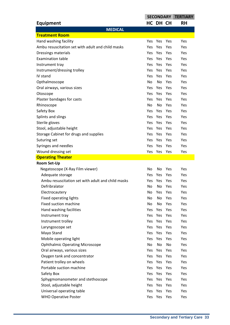|                                                   | <b>SECONDARY</b> |             |     | <b>TERTIARY</b> |
|---------------------------------------------------|------------------|-------------|-----|-----------------|
| <b>Equipment</b>                                  |                  | HC DH CH    |     | <b>RH</b>       |
| <b>MEDICAL</b>                                    |                  |             |     |                 |
| <b>Treatment Room</b>                             |                  |             |     |                 |
| Hand washing facility                             | Yes              | Yes         | Yes | Yes             |
| Ambu resuscitation set with adult and child masks | <b>Yes</b>       | Yes         | Yes | Yes             |
| Dressings materials                               | <b>Yes</b>       | Yes         | Yes | Yes             |
| <b>Examination table</b>                          | Yes.             | Yes Yes     |     | Yes             |
| Instrument tray                                   | Yes              | Yes         | Yes | Yes             |
| Instrument/dressing trolley                       | <b>Yes</b>       | <b>Yes</b>  | Yes | Yes             |
| IV stand                                          | Yes              | Yes         | Yes | Yes             |
| Opthalmoscope                                     | No               | No          | Yes | Yes             |
| Oral airways, various sizes                       | Yes              | Yes         | Yes | Yes             |
| Otoscope                                          | <b>Yes</b>       | <b>Yes</b>  | Yes | Yes             |
| Plaster bandages for casts                        | Yes              | Yes         | Yes | Yes             |
| Rhinoscope                                        | No               | No          | Yes | Yes             |
| Safety Box                                        | Yes              | Yes         | Yes | Yes             |
| Splints and slings                                | <b>Yes</b>       | <b>Yes</b>  | Yes | Yes             |
| Sterile gloves                                    | Yes              | Yes         | Yes | Yes             |
| Stool, adjustable height                          | Yes.             | Yes Yes     |     | Yes             |
| Storage Cabinet for drugs and supplies            | Yes              | Yes         | Yes | Yes             |
| Suturing set                                      | <b>Yes</b>       | Yes         | Yes | Yes             |
| Syringes and needles                              | <b>Yes</b>       | Yes         | Yes | Yes             |
| Wound dressing set                                |                  | Yes Yes Yes |     | Yes             |
| <b>Operating Theater</b>                          |                  |             |     |                 |
| <b>Room Set-Up</b>                                |                  |             |     |                 |
| Negatoscope (X-Ray Film viewer)                   | No               | No          | Yes | Yes             |
| Adequate storage                                  | Yes              | <b>Yes</b>  | Yes | Yes             |
| Ambu resuscitation set with adult and child masks | <b>Yes</b>       | Yes         | Yes | Yes             |
| Defribralator                                     | No               | No          | Yes | Yes             |
| Electrocautery                                    | No               | Yes Yes     |     | Yes             |
| Fixed operating lights                            | No               | No          | Yes | Yes             |
| Fixed suction machine                             | No               | No          | Yes | Yes             |
| Hand washing facilities                           | Yes              | Yes Yes     |     | Yes             |
| Instrument tray                                   |                  | Yes Yes Yes |     | Yes             |
| Instrument trolley                                | Yes              | Yes         | Yes | Yes             |
| Laryngoscope set                                  |                  | Yes Yes Yes |     | Yes             |
| Mayo Stand                                        |                  | Yes Yes Yes |     | Yes             |
| Mobile operating light                            |                  | Yes Yes Yes |     | Yes             |
| <b>Ophthalmic Operating Microscope</b>            | No               | No          | No  | Yes             |
| Oral airways, various sizes                       | Yes              | Yes Yes     |     | Yes             |
| Oxygen tank and concentrator                      |                  | Yes Yes Yes |     | Yes             |
| Patient trolley on wheels                         | Yes              | Yes Yes     |     | Yes             |
| Portable suction machine                          | Yes              | Yes         | Yes | Yes             |
| Safety Box                                        |                  | Yes Yes Yes |     | Yes             |
| Sphygmomanometer and stethoscope                  | Yes              | Yes         | Yes | Yes             |
| Stool, adjustable height                          | Yes              | Yes Yes     |     | Yes             |
| Universal operating table                         | Yes              | Yes         | Yes | Yes             |
| <b>WHO Operative Poster</b>                       |                  | Yes Yes Yes |     | Yes             |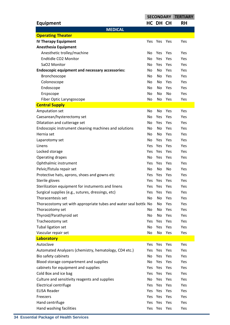|                                                                  | <b>SECONDARY</b> |            |     | <b>TERTIARY</b> |
|------------------------------------------------------------------|------------------|------------|-----|-----------------|
| <b>Equipment</b>                                                 |                  | HC DH CH   |     | <b>RH</b>       |
| <b>MEDICAL</b>                                                   |                  |            |     |                 |
| <b>Operating Theater</b>                                         |                  |            |     |                 |
| <b>IV Therapy Equipment</b>                                      | Yes              | Yes        | Yes | Yes             |
| <b>Anesthesia Equipment</b>                                      |                  |            |     |                 |
| Anesthetic trolley/machine                                       | No               | <b>Yes</b> | Yes | Yes             |
| Endtidle CO2 Monitor                                             | No               | Yes        | Yes | Yes             |
| SaO2 Monitor                                                     | No.              | Yes        | Yes | Yes             |
| <b>Endoscopic equipment and necessary accessories:</b>           | No               | No         | Yes | Yes             |
| Bronchoscope                                                     | No.              | No         | Yes | Yes             |
| Colonoscope                                                      | No.              | No         | Yes | Yes             |
| Endoscope                                                        | No.              | No         | Yes | Yes             |
| Ercpscope                                                        | No               | No         | No  | Yes             |
| Fiber Optic Laryngoscope                                         | No               | No         | Yes | Yes             |
| <b>Central Supply</b>                                            |                  |            |     |                 |
| Amputation set                                                   | No               | No         | Yes | Yes             |
| Caesarean/hysterectomy set                                       | No               | Yes        | Yes | Yes             |
| Dilatation and cutterage set                                     | No.              | Yes        | Yes | Yes             |
| Endoscopic instrument cleaning machines and solutions            | No.              | No         | Yes | Yes             |
| Hernia set                                                       | No.              | No         | Yes | Yes             |
| Laparotomy set                                                   | No               | Yes        | Yes | Yes             |
| Linens                                                           | Yes              | Yes        | Yes | Yes             |
|                                                                  | Yes              | Yes        | Yes | Yes             |
| Locked storage                                                   |                  |            |     |                 |
| Operating drapes                                                 | No               | Yes        | Yes | Yes             |
| Ophthalmic instrument                                            | Yes              | Yes        | Yes | Yes             |
| Pelvic/fistula repair set                                        | No               | No         | No  | Yes             |
| Protective hats, aprons, shoes and gowns etc                     | Yes              | Yes        | Yes | Yes             |
| Sterile gloves                                                   | Yes              | Yes        | Yes | Yes             |
| Sterilization equipment for instuments and linens                | Yes              | Yes        | Yes | Yes             |
| Surgical supplies (e.g., sutures, dressings, etc)                | <b>Yes</b>       | Yes        | Yes | Yes             |
| Thoracentesis set                                                | No               | No         | Yes | Yes             |
| Thoracostomy set with appropriate tubes and water seal bottle No |                  | No         | Yes | Yes             |
| Thoracotomy set                                                  | No.              | No         | Yes | Yes             |
| Thyroid/Parathyroid set                                          | No               | No         | Yes | Yes             |
| Tracheostomy set                                                 | Yes              | Yes        | Yes | Yes             |
| Tubal ligation set                                               | No               | Yes        | Yes | Yes             |
| Vascular repair set                                              | No               | No         | Yes | Yes             |
| Laboratory                                                       |                  |            |     |                 |
| Autoclave                                                        | Yes              | Yes        | Yes | Yes             |
| Automated Analyzers (chemistry, hematology, CD4 etc.)            | Yes              | Yes        | Yes | Yes             |
| Bio safety cabinets                                              | No               | Yes Yes    |     | Yes             |
| Blood storage compartment and supplies                           | No               | Yes        | Yes | Yes             |
| cabinets for equipment and supplies                              | Yes              | Yes        | Yes | Yes             |
| Cold Box and ice bag                                             | Yes              | Yes        | Yes | Yes             |
| Culture and sensitivity reagents and supplies                    | No               | Yes Yes    |     | Yes             |
| <b>Electrical centrifuge</b>                                     | Yes              | Yes        | Yes | Yes             |
| <b>ELISA Reader</b>                                              | Yes              | Yes        | Yes | Yes             |
| Freezers                                                         | Yes              | Yes        | Yes | Yes             |
| Hand centrifuge                                                  | <b>Yes</b>       | Yes        | Yes | Yes             |
| Hand washing facilities                                          | Yes              | Yes        | Yes | Yes             |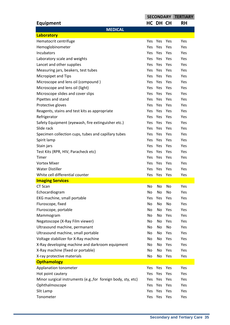| <b>Equipment</b><br>HC DH CH<br><b>RH</b><br><b>MEDICAL</b><br>Laboratory<br>Hematocrit centrifuge<br>Yes<br>Yes<br>Yes<br>Yes<br>Hemoglobinometer<br>Yes<br><b>Yes</b><br>Yes<br>Yes<br>Incubators<br>Yes<br>Yes<br>Yes<br>Yes<br>Laboratory scale and weights<br>Yes<br>Yes<br><b>Yes</b><br>Yes<br>Lancet and other supplies<br>Yes<br>Yes<br>Yes<br><b>Yes</b><br>Measuring jars, beakers, test tubes<br>Yes<br>Yes<br><b>Yes</b><br>Yes<br>Yes<br>Yes<br>Micropipet and Tips<br><b>Yes</b><br>Yes<br>Microscope and lens oil (compound)<br>Yes<br>Yes<br><b>Yes</b><br>Yes<br>Microscope and lens oil (light)<br>Yes<br>Yes<br>Yes<br><b>Yes</b><br>Microscope slides and cover slips<br>Yes<br>Yes<br><b>Yes</b><br>Yes<br>Pipettes and stand<br>Yes<br>Yes<br><b>Yes</b><br>Yes<br>Protective gloves<br>Yes<br>Yes<br><b>Yes</b><br>Yes<br>Yes<br>Yes<br>Reagents, stains and test kits as appropriate<br><b>Yes</b><br>Yes<br>Refrigerator<br><b>Yes</b><br>Yes<br>Yes<br>Yes<br>Yes<br>Yes<br>Safety Equipment (eyewash, fire extinguisher etc.)<br><b>Yes</b><br>Yes<br>Slide rack<br>Yes<br>Yes<br><b>Yes</b><br>Yes<br>Specimen collection cups, tubes and capillary tubes<br>Yes<br>Yes<br>Yes<br>Yes<br>Spirit lamp<br>Yes<br>Yes<br>Yes<br>Yes<br>Yes<br>Yes<br>Stain jars<br><b>Yes</b><br>Yes<br>Yes<br>Test Kits (RPR, HIV, Paracheck etc)<br><b>Yes</b><br>Yes<br>Yes<br>Yes<br>Yes<br>Timer<br><b>Yes</b><br>Yes<br><b>Vortex Mixer</b><br>Yes<br>Yes<br>Yes<br>Yes<br><b>Water Distiller</b><br>Yes<br>Yes<br>Yes<br>Yes<br>White cell differential counter<br>Yes<br>Yes<br>Yes<br>Yes<br><b>Imaging Services</b><br>CT Scan<br>No<br>No<br>No<br>Yes<br>Echocardiogram<br>No<br>No<br>No<br>Yes<br>EKG machine, small portable<br>Yes<br>Yes<br>Yes<br>Yes<br>Fluroscope, fixed<br>No<br>No<br>No<br>Yes<br>Fluroscope, portable<br>Yes<br>Yes<br>No<br>No<br>No<br>Yes<br>Yes<br>Mammogram<br>No<br>Negatoscope (X-Ray Film viewer)<br>Yes<br>No<br>No<br>Yes<br>Ultrasound machine, permanant<br>No<br>No<br>Yes<br>No<br>Ultrasound machine, small portable<br>Yes<br>No<br>No<br>Yes<br>Voltage stabilizer for X-Ray machine<br>No<br>Yes<br>Yes<br>No<br>X-Ray developing machine and darkroom equipment<br>Yes<br>No<br>No<br>Yes<br>X-Ray machine (fixed or portable)<br>No<br>Yes<br>Yes<br>No<br>X-ray protective materials<br>No<br>No<br>Yes<br>Yes<br><b>Opthamology</b><br>Applanation tonometer<br>Yes<br>Yes<br>Yes<br>Yes<br>Hot point cautery<br>Yes<br>Yes<br>Yes<br>Yes<br>Minor surgical instruments (e.g., for foreign body, sty, etc)<br>Yes<br>Yes<br><b>Yes</b><br>Yes<br>Ophthalmoscope<br>Yes<br>Yes<br>Yes<br>Yes<br>Slit Lamp<br>Yes<br>Yes<br>Yes<br>Yes |           | <b>SECONDARY</b> |     |     | <b>TERTIARY</b> |
|--------------------------------------------------------------------------------------------------------------------------------------------------------------------------------------------------------------------------------------------------------------------------------------------------------------------------------------------------------------------------------------------------------------------------------------------------------------------------------------------------------------------------------------------------------------------------------------------------------------------------------------------------------------------------------------------------------------------------------------------------------------------------------------------------------------------------------------------------------------------------------------------------------------------------------------------------------------------------------------------------------------------------------------------------------------------------------------------------------------------------------------------------------------------------------------------------------------------------------------------------------------------------------------------------------------------------------------------------------------------------------------------------------------------------------------------------------------------------------------------------------------------------------------------------------------------------------------------------------------------------------------------------------------------------------------------------------------------------------------------------------------------------------------------------------------------------------------------------------------------------------------------------------------------------------------------------------------------------------------------------------------------------------------------------------------------------------------------------------------------------------------------------------------------------------------------------------------------------------------------------------------------------------------------------------------------------------------------------------------------------------------------------------------------------------------------------------------------------------------------------------------------------------------------------------------------------------------------------------------------------------------------------------------------------------------------------------------|-----------|------------------|-----|-----|-----------------|
|                                                                                                                                                                                                                                                                                                                                                                                                                                                                                                                                                                                                                                                                                                                                                                                                                                                                                                                                                                                                                                                                                                                                                                                                                                                                                                                                                                                                                                                                                                                                                                                                                                                                                                                                                                                                                                                                                                                                                                                                                                                                                                                                                                                                                                                                                                                                                                                                                                                                                                                                                                                                                                                                                                              |           |                  |     |     |                 |
|                                                                                                                                                                                                                                                                                                                                                                                                                                                                                                                                                                                                                                                                                                                                                                                                                                                                                                                                                                                                                                                                                                                                                                                                                                                                                                                                                                                                                                                                                                                                                                                                                                                                                                                                                                                                                                                                                                                                                                                                                                                                                                                                                                                                                                                                                                                                                                                                                                                                                                                                                                                                                                                                                                              |           |                  |     |     |                 |
|                                                                                                                                                                                                                                                                                                                                                                                                                                                                                                                                                                                                                                                                                                                                                                                                                                                                                                                                                                                                                                                                                                                                                                                                                                                                                                                                                                                                                                                                                                                                                                                                                                                                                                                                                                                                                                                                                                                                                                                                                                                                                                                                                                                                                                                                                                                                                                                                                                                                                                                                                                                                                                                                                                              |           |                  |     |     |                 |
|                                                                                                                                                                                                                                                                                                                                                                                                                                                                                                                                                                                                                                                                                                                                                                                                                                                                                                                                                                                                                                                                                                                                                                                                                                                                                                                                                                                                                                                                                                                                                                                                                                                                                                                                                                                                                                                                                                                                                                                                                                                                                                                                                                                                                                                                                                                                                                                                                                                                                                                                                                                                                                                                                                              |           |                  |     |     |                 |
|                                                                                                                                                                                                                                                                                                                                                                                                                                                                                                                                                                                                                                                                                                                                                                                                                                                                                                                                                                                                                                                                                                                                                                                                                                                                                                                                                                                                                                                                                                                                                                                                                                                                                                                                                                                                                                                                                                                                                                                                                                                                                                                                                                                                                                                                                                                                                                                                                                                                                                                                                                                                                                                                                                              |           |                  |     |     |                 |
|                                                                                                                                                                                                                                                                                                                                                                                                                                                                                                                                                                                                                                                                                                                                                                                                                                                                                                                                                                                                                                                                                                                                                                                                                                                                                                                                                                                                                                                                                                                                                                                                                                                                                                                                                                                                                                                                                                                                                                                                                                                                                                                                                                                                                                                                                                                                                                                                                                                                                                                                                                                                                                                                                                              |           |                  |     |     |                 |
|                                                                                                                                                                                                                                                                                                                                                                                                                                                                                                                                                                                                                                                                                                                                                                                                                                                                                                                                                                                                                                                                                                                                                                                                                                                                                                                                                                                                                                                                                                                                                                                                                                                                                                                                                                                                                                                                                                                                                                                                                                                                                                                                                                                                                                                                                                                                                                                                                                                                                                                                                                                                                                                                                                              |           |                  |     |     |                 |
|                                                                                                                                                                                                                                                                                                                                                                                                                                                                                                                                                                                                                                                                                                                                                                                                                                                                                                                                                                                                                                                                                                                                                                                                                                                                                                                                                                                                                                                                                                                                                                                                                                                                                                                                                                                                                                                                                                                                                                                                                                                                                                                                                                                                                                                                                                                                                                                                                                                                                                                                                                                                                                                                                                              |           |                  |     |     |                 |
|                                                                                                                                                                                                                                                                                                                                                                                                                                                                                                                                                                                                                                                                                                                                                                                                                                                                                                                                                                                                                                                                                                                                                                                                                                                                                                                                                                                                                                                                                                                                                                                                                                                                                                                                                                                                                                                                                                                                                                                                                                                                                                                                                                                                                                                                                                                                                                                                                                                                                                                                                                                                                                                                                                              |           |                  |     |     |                 |
|                                                                                                                                                                                                                                                                                                                                                                                                                                                                                                                                                                                                                                                                                                                                                                                                                                                                                                                                                                                                                                                                                                                                                                                                                                                                                                                                                                                                                                                                                                                                                                                                                                                                                                                                                                                                                                                                                                                                                                                                                                                                                                                                                                                                                                                                                                                                                                                                                                                                                                                                                                                                                                                                                                              |           |                  |     |     |                 |
|                                                                                                                                                                                                                                                                                                                                                                                                                                                                                                                                                                                                                                                                                                                                                                                                                                                                                                                                                                                                                                                                                                                                                                                                                                                                                                                                                                                                                                                                                                                                                                                                                                                                                                                                                                                                                                                                                                                                                                                                                                                                                                                                                                                                                                                                                                                                                                                                                                                                                                                                                                                                                                                                                                              |           |                  |     |     |                 |
|                                                                                                                                                                                                                                                                                                                                                                                                                                                                                                                                                                                                                                                                                                                                                                                                                                                                                                                                                                                                                                                                                                                                                                                                                                                                                                                                                                                                                                                                                                                                                                                                                                                                                                                                                                                                                                                                                                                                                                                                                                                                                                                                                                                                                                                                                                                                                                                                                                                                                                                                                                                                                                                                                                              |           |                  |     |     |                 |
|                                                                                                                                                                                                                                                                                                                                                                                                                                                                                                                                                                                                                                                                                                                                                                                                                                                                                                                                                                                                                                                                                                                                                                                                                                                                                                                                                                                                                                                                                                                                                                                                                                                                                                                                                                                                                                                                                                                                                                                                                                                                                                                                                                                                                                                                                                                                                                                                                                                                                                                                                                                                                                                                                                              |           |                  |     |     |                 |
|                                                                                                                                                                                                                                                                                                                                                                                                                                                                                                                                                                                                                                                                                                                                                                                                                                                                                                                                                                                                                                                                                                                                                                                                                                                                                                                                                                                                                                                                                                                                                                                                                                                                                                                                                                                                                                                                                                                                                                                                                                                                                                                                                                                                                                                                                                                                                                                                                                                                                                                                                                                                                                                                                                              |           |                  |     |     |                 |
|                                                                                                                                                                                                                                                                                                                                                                                                                                                                                                                                                                                                                                                                                                                                                                                                                                                                                                                                                                                                                                                                                                                                                                                                                                                                                                                                                                                                                                                                                                                                                                                                                                                                                                                                                                                                                                                                                                                                                                                                                                                                                                                                                                                                                                                                                                                                                                                                                                                                                                                                                                                                                                                                                                              |           |                  |     |     |                 |
|                                                                                                                                                                                                                                                                                                                                                                                                                                                                                                                                                                                                                                                                                                                                                                                                                                                                                                                                                                                                                                                                                                                                                                                                                                                                                                                                                                                                                                                                                                                                                                                                                                                                                                                                                                                                                                                                                                                                                                                                                                                                                                                                                                                                                                                                                                                                                                                                                                                                                                                                                                                                                                                                                                              |           |                  |     |     |                 |
|                                                                                                                                                                                                                                                                                                                                                                                                                                                                                                                                                                                                                                                                                                                                                                                                                                                                                                                                                                                                                                                                                                                                                                                                                                                                                                                                                                                                                                                                                                                                                                                                                                                                                                                                                                                                                                                                                                                                                                                                                                                                                                                                                                                                                                                                                                                                                                                                                                                                                                                                                                                                                                                                                                              |           |                  |     |     |                 |
|                                                                                                                                                                                                                                                                                                                                                                                                                                                                                                                                                                                                                                                                                                                                                                                                                                                                                                                                                                                                                                                                                                                                                                                                                                                                                                                                                                                                                                                                                                                                                                                                                                                                                                                                                                                                                                                                                                                                                                                                                                                                                                                                                                                                                                                                                                                                                                                                                                                                                                                                                                                                                                                                                                              |           |                  |     |     |                 |
|                                                                                                                                                                                                                                                                                                                                                                                                                                                                                                                                                                                                                                                                                                                                                                                                                                                                                                                                                                                                                                                                                                                                                                                                                                                                                                                                                                                                                                                                                                                                                                                                                                                                                                                                                                                                                                                                                                                                                                                                                                                                                                                                                                                                                                                                                                                                                                                                                                                                                                                                                                                                                                                                                                              |           |                  |     |     |                 |
|                                                                                                                                                                                                                                                                                                                                                                                                                                                                                                                                                                                                                                                                                                                                                                                                                                                                                                                                                                                                                                                                                                                                                                                                                                                                                                                                                                                                                                                                                                                                                                                                                                                                                                                                                                                                                                                                                                                                                                                                                                                                                                                                                                                                                                                                                                                                                                                                                                                                                                                                                                                                                                                                                                              |           |                  |     |     |                 |
|                                                                                                                                                                                                                                                                                                                                                                                                                                                                                                                                                                                                                                                                                                                                                                                                                                                                                                                                                                                                                                                                                                                                                                                                                                                                                                                                                                                                                                                                                                                                                                                                                                                                                                                                                                                                                                                                                                                                                                                                                                                                                                                                                                                                                                                                                                                                                                                                                                                                                                                                                                                                                                                                                                              |           |                  |     |     |                 |
|                                                                                                                                                                                                                                                                                                                                                                                                                                                                                                                                                                                                                                                                                                                                                                                                                                                                                                                                                                                                                                                                                                                                                                                                                                                                                                                                                                                                                                                                                                                                                                                                                                                                                                                                                                                                                                                                                                                                                                                                                                                                                                                                                                                                                                                                                                                                                                                                                                                                                                                                                                                                                                                                                                              |           |                  |     |     |                 |
|                                                                                                                                                                                                                                                                                                                                                                                                                                                                                                                                                                                                                                                                                                                                                                                                                                                                                                                                                                                                                                                                                                                                                                                                                                                                                                                                                                                                                                                                                                                                                                                                                                                                                                                                                                                                                                                                                                                                                                                                                                                                                                                                                                                                                                                                                                                                                                                                                                                                                                                                                                                                                                                                                                              |           |                  |     |     |                 |
|                                                                                                                                                                                                                                                                                                                                                                                                                                                                                                                                                                                                                                                                                                                                                                                                                                                                                                                                                                                                                                                                                                                                                                                                                                                                                                                                                                                                                                                                                                                                                                                                                                                                                                                                                                                                                                                                                                                                                                                                                                                                                                                                                                                                                                                                                                                                                                                                                                                                                                                                                                                                                                                                                                              |           |                  |     |     |                 |
|                                                                                                                                                                                                                                                                                                                                                                                                                                                                                                                                                                                                                                                                                                                                                                                                                                                                                                                                                                                                                                                                                                                                                                                                                                                                                                                                                                                                                                                                                                                                                                                                                                                                                                                                                                                                                                                                                                                                                                                                                                                                                                                                                                                                                                                                                                                                                                                                                                                                                                                                                                                                                                                                                                              |           |                  |     |     |                 |
|                                                                                                                                                                                                                                                                                                                                                                                                                                                                                                                                                                                                                                                                                                                                                                                                                                                                                                                                                                                                                                                                                                                                                                                                                                                                                                                                                                                                                                                                                                                                                                                                                                                                                                                                                                                                                                                                                                                                                                                                                                                                                                                                                                                                                                                                                                                                                                                                                                                                                                                                                                                                                                                                                                              |           |                  |     |     |                 |
|                                                                                                                                                                                                                                                                                                                                                                                                                                                                                                                                                                                                                                                                                                                                                                                                                                                                                                                                                                                                                                                                                                                                                                                                                                                                                                                                                                                                                                                                                                                                                                                                                                                                                                                                                                                                                                                                                                                                                                                                                                                                                                                                                                                                                                                                                                                                                                                                                                                                                                                                                                                                                                                                                                              |           |                  |     |     |                 |
|                                                                                                                                                                                                                                                                                                                                                                                                                                                                                                                                                                                                                                                                                                                                                                                                                                                                                                                                                                                                                                                                                                                                                                                                                                                                                                                                                                                                                                                                                                                                                                                                                                                                                                                                                                                                                                                                                                                                                                                                                                                                                                                                                                                                                                                                                                                                                                                                                                                                                                                                                                                                                                                                                                              |           |                  |     |     |                 |
|                                                                                                                                                                                                                                                                                                                                                                                                                                                                                                                                                                                                                                                                                                                                                                                                                                                                                                                                                                                                                                                                                                                                                                                                                                                                                                                                                                                                                                                                                                                                                                                                                                                                                                                                                                                                                                                                                                                                                                                                                                                                                                                                                                                                                                                                                                                                                                                                                                                                                                                                                                                                                                                                                                              |           |                  |     |     |                 |
|                                                                                                                                                                                                                                                                                                                                                                                                                                                                                                                                                                                                                                                                                                                                                                                                                                                                                                                                                                                                                                                                                                                                                                                                                                                                                                                                                                                                                                                                                                                                                                                                                                                                                                                                                                                                                                                                                                                                                                                                                                                                                                                                                                                                                                                                                                                                                                                                                                                                                                                                                                                                                                                                                                              |           |                  |     |     |                 |
|                                                                                                                                                                                                                                                                                                                                                                                                                                                                                                                                                                                                                                                                                                                                                                                                                                                                                                                                                                                                                                                                                                                                                                                                                                                                                                                                                                                                                                                                                                                                                                                                                                                                                                                                                                                                                                                                                                                                                                                                                                                                                                                                                                                                                                                                                                                                                                                                                                                                                                                                                                                                                                                                                                              |           |                  |     |     |                 |
|                                                                                                                                                                                                                                                                                                                                                                                                                                                                                                                                                                                                                                                                                                                                                                                                                                                                                                                                                                                                                                                                                                                                                                                                                                                                                                                                                                                                                                                                                                                                                                                                                                                                                                                                                                                                                                                                                                                                                                                                                                                                                                                                                                                                                                                                                                                                                                                                                                                                                                                                                                                                                                                                                                              |           |                  |     |     |                 |
|                                                                                                                                                                                                                                                                                                                                                                                                                                                                                                                                                                                                                                                                                                                                                                                                                                                                                                                                                                                                                                                                                                                                                                                                                                                                                                                                                                                                                                                                                                                                                                                                                                                                                                                                                                                                                                                                                                                                                                                                                                                                                                                                                                                                                                                                                                                                                                                                                                                                                                                                                                                                                                                                                                              |           |                  |     |     |                 |
|                                                                                                                                                                                                                                                                                                                                                                                                                                                                                                                                                                                                                                                                                                                                                                                                                                                                                                                                                                                                                                                                                                                                                                                                                                                                                                                                                                                                                                                                                                                                                                                                                                                                                                                                                                                                                                                                                                                                                                                                                                                                                                                                                                                                                                                                                                                                                                                                                                                                                                                                                                                                                                                                                                              |           |                  |     |     |                 |
|                                                                                                                                                                                                                                                                                                                                                                                                                                                                                                                                                                                                                                                                                                                                                                                                                                                                                                                                                                                                                                                                                                                                                                                                                                                                                                                                                                                                                                                                                                                                                                                                                                                                                                                                                                                                                                                                                                                                                                                                                                                                                                                                                                                                                                                                                                                                                                                                                                                                                                                                                                                                                                                                                                              |           |                  |     |     |                 |
|                                                                                                                                                                                                                                                                                                                                                                                                                                                                                                                                                                                                                                                                                                                                                                                                                                                                                                                                                                                                                                                                                                                                                                                                                                                                                                                                                                                                                                                                                                                                                                                                                                                                                                                                                                                                                                                                                                                                                                                                                                                                                                                                                                                                                                                                                                                                                                                                                                                                                                                                                                                                                                                                                                              |           |                  |     |     |                 |
|                                                                                                                                                                                                                                                                                                                                                                                                                                                                                                                                                                                                                                                                                                                                                                                                                                                                                                                                                                                                                                                                                                                                                                                                                                                                                                                                                                                                                                                                                                                                                                                                                                                                                                                                                                                                                                                                                                                                                                                                                                                                                                                                                                                                                                                                                                                                                                                                                                                                                                                                                                                                                                                                                                              |           |                  |     |     |                 |
|                                                                                                                                                                                                                                                                                                                                                                                                                                                                                                                                                                                                                                                                                                                                                                                                                                                                                                                                                                                                                                                                                                                                                                                                                                                                                                                                                                                                                                                                                                                                                                                                                                                                                                                                                                                                                                                                                                                                                                                                                                                                                                                                                                                                                                                                                                                                                                                                                                                                                                                                                                                                                                                                                                              |           |                  |     |     |                 |
|                                                                                                                                                                                                                                                                                                                                                                                                                                                                                                                                                                                                                                                                                                                                                                                                                                                                                                                                                                                                                                                                                                                                                                                                                                                                                                                                                                                                                                                                                                                                                                                                                                                                                                                                                                                                                                                                                                                                                                                                                                                                                                                                                                                                                                                                                                                                                                                                                                                                                                                                                                                                                                                                                                              |           |                  |     |     |                 |
|                                                                                                                                                                                                                                                                                                                                                                                                                                                                                                                                                                                                                                                                                                                                                                                                                                                                                                                                                                                                                                                                                                                                                                                                                                                                                                                                                                                                                                                                                                                                                                                                                                                                                                                                                                                                                                                                                                                                                                                                                                                                                                                                                                                                                                                                                                                                                                                                                                                                                                                                                                                                                                                                                                              |           |                  |     |     |                 |
|                                                                                                                                                                                                                                                                                                                                                                                                                                                                                                                                                                                                                                                                                                                                                                                                                                                                                                                                                                                                                                                                                                                                                                                                                                                                                                                                                                                                                                                                                                                                                                                                                                                                                                                                                                                                                                                                                                                                                                                                                                                                                                                                                                                                                                                                                                                                                                                                                                                                                                                                                                                                                                                                                                              |           |                  |     |     |                 |
|                                                                                                                                                                                                                                                                                                                                                                                                                                                                                                                                                                                                                                                                                                                                                                                                                                                                                                                                                                                                                                                                                                                                                                                                                                                                                                                                                                                                                                                                                                                                                                                                                                                                                                                                                                                                                                                                                                                                                                                                                                                                                                                                                                                                                                                                                                                                                                                                                                                                                                                                                                                                                                                                                                              |           |                  |     |     |                 |
|                                                                                                                                                                                                                                                                                                                                                                                                                                                                                                                                                                                                                                                                                                                                                                                                                                                                                                                                                                                                                                                                                                                                                                                                                                                                                                                                                                                                                                                                                                                                                                                                                                                                                                                                                                                                                                                                                                                                                                                                                                                                                                                                                                                                                                                                                                                                                                                                                                                                                                                                                                                                                                                                                                              |           |                  |     |     |                 |
|                                                                                                                                                                                                                                                                                                                                                                                                                                                                                                                                                                                                                                                                                                                                                                                                                                                                                                                                                                                                                                                                                                                                                                                                                                                                                                                                                                                                                                                                                                                                                                                                                                                                                                                                                                                                                                                                                                                                                                                                                                                                                                                                                                                                                                                                                                                                                                                                                                                                                                                                                                                                                                                                                                              |           |                  |     |     |                 |
|                                                                                                                                                                                                                                                                                                                                                                                                                                                                                                                                                                                                                                                                                                                                                                                                                                                                                                                                                                                                                                                                                                                                                                                                                                                                                                                                                                                                                                                                                                                                                                                                                                                                                                                                                                                                                                                                                                                                                                                                                                                                                                                                                                                                                                                                                                                                                                                                                                                                                                                                                                                                                                                                                                              |           |                  |     |     |                 |
|                                                                                                                                                                                                                                                                                                                                                                                                                                                                                                                                                                                                                                                                                                                                                                                                                                                                                                                                                                                                                                                                                                                                                                                                                                                                                                                                                                                                                                                                                                                                                                                                                                                                                                                                                                                                                                                                                                                                                                                                                                                                                                                                                                                                                                                                                                                                                                                                                                                                                                                                                                                                                                                                                                              |           |                  |     |     |                 |
|                                                                                                                                                                                                                                                                                                                                                                                                                                                                                                                                                                                                                                                                                                                                                                                                                                                                                                                                                                                                                                                                                                                                                                                                                                                                                                                                                                                                                                                                                                                                                                                                                                                                                                                                                                                                                                                                                                                                                                                                                                                                                                                                                                                                                                                                                                                                                                                                                                                                                                                                                                                                                                                                                                              |           |                  |     |     |                 |
|                                                                                                                                                                                                                                                                                                                                                                                                                                                                                                                                                                                                                                                                                                                                                                                                                                                                                                                                                                                                                                                                                                                                                                                                                                                                                                                                                                                                                                                                                                                                                                                                                                                                                                                                                                                                                                                                                                                                                                                                                                                                                                                                                                                                                                                                                                                                                                                                                                                                                                                                                                                                                                                                                                              | Tonometer | Yes              | Yes | Yes | Yes             |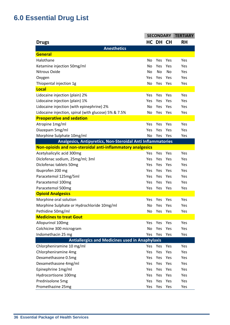# **6.0 Essential Drug List**

|                                                             | <b>SECONDARY</b> |            |     | <b>TERTIARY</b> |
|-------------------------------------------------------------|------------------|------------|-----|-----------------|
| <b>Drugs</b>                                                |                  | HC DH CH   |     | <b>RH</b>       |
| <b>Anesthetics</b>                                          |                  |            |     |                 |
| General                                                     |                  |            |     |                 |
| Halothane                                                   | No               | Yes        | Yes | Yes             |
| Ketamine injection 50mg/ml                                  | No               | Yes        | Yes | Yes             |
| Nitrous Oxide                                               | No               | No         | No  | Yes             |
| Oxygen                                                      | Yes              | Yes        | Yes | Yes             |
| Thiopental injection 1g                                     | No               | Yes        | Yes | Yes             |
| <b>Local</b>                                                |                  |            |     |                 |
| Lidocaine injection (plain) 2%                              | Yes              | Yes        | Yes | Yes             |
| Lidocaine injection (plain) 1%                              | Yes              | Yes        | Yes | Yes             |
| Lidocaine injection (with epinephrine) 2%                   | <b>No</b>        | Yes        | Yes | Yes             |
| Lidocaine injection, spinal (with glucose) 5% & 7.5%        | No               | Yes        | Yes | Yes             |
| <b>Preoperative and sedation</b>                            |                  |            |     |                 |
| Atropine 1mg/ml                                             | Yes              | Yes        | Yes | Yes             |
| Diazepam 5mg/ml                                             | Yes              | Yes        | Yes | Yes             |
| Morphine Sulphate 10mg/ml                                   | No               | Yes        | Yes | Yes             |
| Analgesics, Antipyretics, Non-Steroidal Anti Inflammatories |                  |            |     |                 |
| Non-opioids and non-steroidal anti-inflammatory analgesics  |                  |            |     |                 |
| Acetylsalicylic acid 300mg                                  | Yes              | Yes        | Yes | Yes             |
| Diclofenac sodium, 25mg/ml; 3ml                             | Yes              | Yes        | Yes | Yes             |
| Diclofenac tablets 50mg                                     | Yes              | Yes        | Yes | Yes             |
| Ibuprofen 200 mg                                            | Yes              | Yes        | Yes | Yes             |
| Paracetemol 125mg/5ml                                       | Yes              | Yes        | Yes | Yes             |
| Paracetemol 100mg                                           | Yes              | Yes        | Yes | Yes             |
| Paracetemol 500mg                                           | Yes              | Yes        | Yes | Yes             |
| <b>Opioid Analgesics</b>                                    |                  |            |     |                 |
| Morphine oral solution                                      | Yes              | Yes        | Yes | Yes             |
| Morphine Sulphate or Hydrochloride 10mg/ml                  |                  | No Yes Yes |     | Yes             |
| Pethidine 50mg/ml                                           | No               | Yes        | Yes | Yes             |
| <b>Medicines to treat Gout</b>                              |                  |            |     |                 |
| Allopurinol 100mg                                           | Yes              | Yes        | Yes | Yes             |
| Colchicine 300 microgram                                    | No               | Yes        | Yes | Yes             |
| Indomethacin 25 mg                                          | Yes              | Yes        | Yes | Yes             |
| <b>Antiallergics and Medicines used in Anaphylaxis</b>      |                  |            |     |                 |
| Chlorpheniramine 10 mg/ml                                   | Yes              | Yes        | Yes | Yes             |
| Chlorpheniramine 4mg                                        | Yes              | Yes        | Yes | Yes             |
| Dexamethasone 0.5mg                                         | Yes              | Yes        | Yes | Yes             |
| Dexamethasone 4mg/ml                                        | Yes              | Yes        | Yes | Yes             |
| Epinephrine 1mg/ml                                          | Yes              | Yes        | Yes | Yes             |
| Hydrocortisone 100mg                                        | Yes              | Yes        | Yes | Yes             |
| Prednisolone 5mg                                            | Yes              | Yes        | Yes | Yes             |
| Promethazine 25mg                                           | Yes              | Yes        | Yes | Yes             |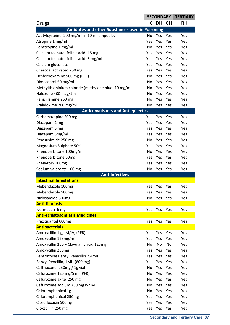|                                                     |            | <b>SECONDARY</b> |     | <b>TERTIARY</b> |
|-----------------------------------------------------|------------|------------------|-----|-----------------|
| <b>Drugs</b>                                        |            | HC DH CH         |     | <b>RH</b>       |
| Antidotes and other Substances used in Poisoning    |            |                  |     |                 |
| Acetylcysteine 200 mg/ml in 10-ml ampoule.          | No         | Yes              | Yes | Yes             |
| Atropine 1 mg/ml                                    | Yes        | Yes              | Yes | Yes             |
| Benztropine 1 mg/ml                                 | No.        | Yes              | Yes | Yes             |
| Calcium folinate (folinic acid) 15 mg               | Yes        | Yes              | Yes | Yes             |
| Calcium folinate (folinic acid) 3 mg/ml             | <b>Yes</b> | Yes              | Yes | Yes             |
| Calcium gluconate                                   | <b>Yes</b> | Yes              | Yes | Yes             |
| Charcoal activated 250 mg                           | <b>Yes</b> | Yes              | Yes | Yes             |
| Desferrioxamine 500 mg (PFR)                        | No         | Yes              | Yes | Yes             |
| Dimecaprol 50 mg/ml                                 | No.        | Yes              | Yes | Yes             |
| Methylthioninium chloride (methylene blue) 10 mg/ml | No         | Yes              | Yes | Yes             |
| Naloxone 400 mcg/1ml                                | No         | Yes              | Yes | Yes             |
| Penicillamine 250 mg                                | No         | Yes              | Yes | Yes             |
| Pralidoxime 200 mg/ml                               | <b>No</b>  | Yes              | Yes | Yes             |
| <b>Anticonvulsants and Antiepilectics</b>           |            |                  |     |                 |
| Carbamazepine 200 mg                                | <b>Yes</b> | Yes              | Yes | Yes             |
| Diazepam 2 mg                                       | Yes        | Yes              | Yes | Yes             |
| Diazepam 5 mg                                       | <b>Yes</b> | Yes              | Yes | Yes             |
| Diazepam 5mg/ml                                     | <b>Yes</b> | Yes              | Yes | Yes             |
| Ethosuximide 250 mg                                 | <b>No</b>  | Yes              | Yes | Yes             |
| Magnesium Sulphate 50%                              | Yes        | Yes              | Yes | Yes             |
| Phenobarbitone 100mg/ml                             | <b>No</b>  | <b>Yes</b>       | Yes | Yes             |
| Phenobarbitone 60mg                                 | Yes        | Yes              | Yes | Yes             |
| Phenytoin 100mg                                     | Yes        | Yes              | Yes | Yes             |
| Sodium valproate 100 mg                             | No         | Yes              | Yes | Yes             |
| <b>Anti-Infectives</b>                              |            |                  |     |                 |
| <b>Intestinal Infestations</b>                      |            |                  |     |                 |
| Mebendazole 100mg                                   | <b>Yes</b> | Yes              | Yes | Yes             |
| Mebendazole 500mg                                   | Yes        | Yes              | Yes | Yes             |
| Niclosamide 500mg                                   | No         | Yes              | Yes | Yes             |
| <b>Anti-filariasis</b>                              |            |                  |     |                 |
| Ivermectin 6 mg                                     | Yes        | Yes              | Yes | Yes             |
| <b>Anti-schistosomiasis Medicines</b>               |            |                  |     |                 |
| Praziquantel 600mg                                  | Yes        | Yes              | Yes | Yes             |
| <b>Antibacterials</b>                               |            |                  |     |                 |
| Amoxycillin 1 g, IM/IV, (PFR)                       | Yes        | Yes              | Yes | Yes             |
| Amoxycillin 125mg/ml                                | <b>Yes</b> | Yes              | Yes | Yes             |
| Amoxycillin 250 + Clavulanic acid 125mg             | <b>No</b>  | <b>No</b>        | No  | Yes             |
| Amoxycillin 250mg                                   | Yes        | Yes              | Yes | Yes             |
| Bentzathine Benzyl Penicillin 2.4mu                 | Yes        | Yes              | Yes | Yes             |
| Benzyl Pencillin, 1MU (600 mg)                      | Yes        | Yes              | Yes | Yes             |
| Ceftriaxone, 250mg / 1g vial                        | No         | Yes              | Yes | Yes             |
| Cefuroxime 125 mg/5 ml (PFR)                        | No         | Yes              | Yes | Yes             |
| Cefuroxime axitel 250 mg                            | No         | Yes              | Yes | Yes             |
| Cefuroxime sodium 750 mg IV/IM                      | No         | Yes              | Yes | Yes             |
| Chloramphenicol 1g                                  | No         | Yes              | Yes | Yes             |
| Chloramphenicol 250mg                               | Yes        | Yes              | Yes | Yes             |
| Ciprofloxacin 500mg                                 | <b>Yes</b> | Yes              | Yes | Yes             |
| Cloxacillin 250 mg                                  | Yes        | Yes              | Yes | Yes             |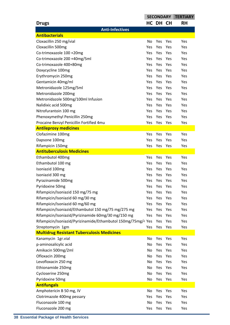|                                                               | <b>SECONDARY</b> |            |     | <b>TERTIARY</b> |
|---------------------------------------------------------------|------------------|------------|-----|-----------------|
| <b>Drugs</b>                                                  |                  | HC DH CH   |     | <b>RH</b>       |
| <b>Anti-Infectives</b>                                        |                  |            |     |                 |
| <b>Antibacterials</b>                                         |                  |            |     |                 |
| Cloxacillin 250 mg/vial                                       | No               | Yes        | Yes | Yes             |
| Cloxacillin 500mg                                             | Yes              | Yes        | Yes | Yes             |
| Co-trimoxazole 100 +20mg                                      | <b>Yes</b>       | Yes        | Yes | Yes             |
| Co-trimoxazole 200 +40mg/5ml                                  | <b>Yes</b>       | Yes        | Yes | Yes             |
| Co-trimoxazole 400+80mg                                       | <b>Yes</b>       | Yes        | Yes | Yes             |
| Doxycycline 100mg                                             | <b>Yes</b>       | Yes        | Yes | Yes             |
| Erythromycin 250mg                                            | <b>Yes</b>       | Yes        | Yes | Yes             |
| Gentamicin 40mg/ml                                            | <b>Yes</b>       | Yes        | Yes | Yes             |
| Metronidazole 125mg/5ml                                       | <b>Yes</b>       | Yes        | Yes | Yes             |
| Metronidazole 200mg                                           | <b>Yes</b>       | Yes        | Yes | Yes             |
| Metronidazole 500mg/100ml Infusion                            | <b>Yes</b>       | Yes        | Yes | Yes             |
| Nalidixic acid 500mg                                          | <b>Yes</b>       | Yes        | Yes | Yes             |
| Nitrofurantoin 100 mg                                         | <b>Yes</b>       | Yes        | Yes | Yes             |
| Phenoxymethyl Penicillin 250mg                                | Yes              | Yes        | Yes | Yes             |
| Procaine Benzyl Penicillin Fortified 4mu                      | Yes              | Yes        | Yes | Yes             |
| <b>Antileprosy medicines</b>                                  |                  |            |     |                 |
| Clofazimine 100mg                                             | Yes              | Yes        | Yes | Yes             |
| Dapsone 100mg                                                 | Yes              | Yes        | Yes | Yes             |
| Rifampicin 150mg                                              | Yes              | Yes        | Yes | Yes             |
| <b>Antituberculosis Medicines</b>                             |                  |            |     |                 |
| Ethambutol 400mg                                              | Yes              | Yes        | Yes | Yes             |
| Ethambutol 100 mg                                             | Yes              | Yes        | Yes | Yes             |
| Isoniazid 100mg                                               | <b>Yes</b>       | Yes        | Yes | Yes             |
| Isoniazid 300 mg                                              | <b>Yes</b>       | <b>Yes</b> | Yes | Yes             |
| Pyrazinamide 500mg                                            | Yes              | Yes        | Yes | Yes             |
| Pyridoxine 50mg                                               | Yes              | Yes        | Yes | Yes             |
| Rifampicin/Isoniazid 150 mg/75 mg                             | Yes              | Yes        | Yes | Yes             |
| Rifampicin/Isoniazid 60 mg/30 mg                              | Yes              | Yes        | Yes | Yes             |
| Rifampicin/Isoniazid 60 mg/60 mg                              | Yes              | Yes        | Yes | Yes             |
| Rifampicin/Isoniazid/Ethambutol 150 mg/75 mg/275 mg           | Yes              | Yes        | Yes | Yes             |
| Rifampicin/Isoniazid/Pyrizinamide 60mg/30 mg/150 mg           | Yes              | Yes        | Yes | Yes             |
| Rifampicin/Isoniazid/Pyrizinamide/Ethambutol 150mg/75mg/4 Yes |                  | Yes        | Yes | Yes             |
| Streptomycin 1gm                                              | Yes              | Yes        | Yes | Yes             |
| <b>Multidrug Resistant Tuberculosis Medicines</b>             |                  |            |     |                 |
| Kanamycin 1gr.vial                                            | No               | Yes        | Yes | Yes             |
| p-aminosalicylic acid                                         | No               | Yes        | Yes | Yes             |
| Amikacin 500mg/2ml                                            | No               | Yes        | Yes | Yes             |
| Ofloxacin 200mg                                               | <b>No</b>        | Yes        | Yes | Yes             |
| Levofloxacin 250 mg                                           | No               | Yes        | Yes | Yes             |
| Ethionamide 250mg                                             | No               | Yes        | Yes | Yes             |
| Cycloserine 250mg                                             | No               | Yes        | Yes | Yes             |
| Pyridoxine 50mg                                               | No               | Yes        | Yes | Yes             |
| <b>Antifungals</b>                                            |                  |            |     |                 |
| Amphotericin B 50 mg, IV                                      | No               | Yes        | Yes | Yes             |
| Clotrimazole 400mg pessary                                    | Yes              | Yes        | Yes | Yes             |
| Fluconazole 100 mg                                            | No               | Yes        | Yes | Yes             |
| Fluconazole 200 mg                                            | Yes              | Yes        | Yes | Yes             |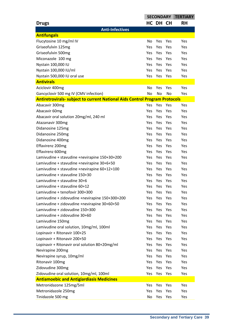|                                                                                    | <b>SECONDARY</b> |           |     | <b>TERTIARY</b> |
|------------------------------------------------------------------------------------|------------------|-----------|-----|-----------------|
| <b>Drugs</b>                                                                       |                  | HC DH CH  |     | <b>RH</b>       |
| <b>Anti-Infectives</b>                                                             |                  |           |     |                 |
| <b>Antifungals</b>                                                                 |                  |           |     |                 |
| Flucytosine 10 mg/ml IV                                                            | No               | Yes       | Yes | Yes             |
| Griseofulvin 125mg                                                                 | Yes              | Yes       | Yes | Yes             |
| Griseofulvin 500mg                                                                 | Yes              | Yes       | Yes | Yes             |
| Miconazole 100 mg                                                                  | Yes.             | Yes       | Yes | Yes             |
| Nystain 100,000 IU                                                                 | Yes              | Yes       | Yes | Yes             |
| Nystain 100,000 IU/ml                                                              | Yes              | Yes       | Yes | Yes             |
| Nystain 500,000 IU oral use                                                        | Yes              | Yes       | Yes | Yes             |
| <b>Antivirals</b>                                                                  |                  |           |     |                 |
| Aciclovir 400mg                                                                    | No               | Yes       | Yes | Yes             |
| Gancyclovir 500 mg IV (CMV infection)                                              | <b>No</b>        | <b>No</b> | No  | Yes             |
| <b>Antiretrovirals- subject to current National Aids Control Program Protocols</b> |                  |           |     |                 |
| Abacavir 300mg                                                                     | Yes.             | Yes       | Yes | Yes             |
| Abacavir 60mg                                                                      | Yes              | Yes       | Yes | Yes             |
| Abacavir oral solution 20mg/ml, 240 ml                                             | Yes              | Yes       | Yes | Yes             |
| Atazanavir 300mg                                                                   | Yes              | Yes       | Yes | Yes             |
| Didanosine 125mg                                                                   | Yes.             | Yes       | Yes | Yes             |
| Didanosine 250mg                                                                   | Yes              | Yes       | Yes | Yes             |
| Didanosine 400mg                                                                   | <b>Yes</b>       | Yes       | Yes | Yes             |
| Effavirenz 200mg                                                                   | <b>Yes</b>       | Yes       | Yes | Yes             |
| Effavirenz 600mg                                                                   | <b>Yes</b>       | Yes       | Yes | Yes             |
| Lamivudine + stavudine +nevirapine 150+30+200                                      | <b>Yes</b>       | Yes       | Yes | Yes             |
| Lamivudine + stavudine +nevirapine 30+6+50                                         | Yes              | Yes       | Yes | Yes             |
| Lamivudine + stavudine +nevirapine 60+12+100                                       | Yes              | Yes       | Yes | Yes             |
| Lamivudine + stavudine 150+30                                                      | Yes              | Yes       | Yes | Yes             |
| Lamivudine + stavudine 30+6                                                        | Yes              | Yes       | Yes | Yes             |
| Lamivudine + stavudine 60+12                                                       | Yes              | Yes       | Yes | Yes             |
| Lamivudine + tenofovir 300+300                                                     | Yes              | Yes       | Yes | Yes             |
| Lamivudine + zidovudine +nevirapine 150+300+200                                    | Yes              | Yes       | Yes | Yes             |
| Lamivudine + zidovudine +nevirapine 30+60+50                                       | Yes              | Yes       | Yes | Yes             |
| Lamivudine + zidovudine 150+300                                                    | Yes              | Yes       | Yes | Yes             |
| Lamivudine + zidovudine 30+60                                                      | Yes              | Yes       | Yes | Yes             |
| Lamivudine 150mg                                                                   | Yes              | Yes       | Yes | Yes             |
| Lamivudine oral solution, 10mg/ml, 100ml                                           | Yes              | Yes       | Yes | Yes             |
| Lopinavir + Ritonavir 100+25                                                       | Yes              | Yes       | Yes | Yes             |
| Lopinavir + Ritonavir 200+50                                                       | Yes              | Yes       | Yes | Yes             |
| Lopinavir + Ritonavir oral solution 80+20mg/ml                                     | Yes              | Yes       | Yes | Yes             |
| Nevirapine 200mg                                                                   | Yes              | Yes       | Yes | Yes             |
| Nevirapine syrup, 10mg/ml                                                          | Yes              | Yes       | Yes | Yes             |
| Ritonavir 100mg                                                                    | Yes              | Yes       | Yes | Yes             |
| Zidovudine 300mg                                                                   | Yes              | Yes       | Yes | Yes             |
| Zidovudine oral solution, 10mg/ml, 100ml                                           | <b>Yes</b>       | Yes       | Yes | Yes             |
| <b>Antiamoebic and Antigiardiasis Medicines</b>                                    |                  |           |     |                 |
| Metronidazone 125mg/5ml                                                            | Yes              | Yes       | Yes | Yes             |
| Metronidazole 250mg                                                                | Yes              | Yes       | Yes | Yes             |
| Tinidazole 500 mg                                                                  | No               | Yes       | Yes | Yes             |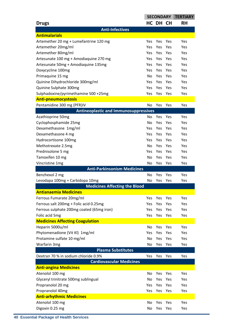|                                                                      |                       | <b>SECONDARY</b> |            | <b>TERTIARY</b> |
|----------------------------------------------------------------------|-----------------------|------------------|------------|-----------------|
| <b>Drugs</b>                                                         |                       | HC DH CH         |            | <b>RH</b>       |
| <b>Anti-Infectives</b>                                               |                       |                  |            |                 |
| <b>Antimalarials</b>                                                 |                       |                  |            |                 |
| Artemether 20 mg + Lumefantrine 120 mg                               | Yes                   | Yes              | Yes        | Yes             |
| Artemether 20mg/ml                                                   | Yes                   | Yes              | Yes        | Yes             |
| Artemether 80mg/ml                                                   | Yes                   | Yes              | Yes        | Yes             |
| Artesunate 100 mg + Amodiaquine 270 mg                               | Yes                   | Yes              | Yes        | Yes             |
| Artesunate 50mg + Amodiaquine 135mg                                  | Yes                   | Yes              | Yes        | Yes             |
| Doxycycline 100mg                                                    | Yes                   | Yes              | Yes        | Yes             |
| Primaquine 15 mg                                                     | <b>No</b>             | Yes              | Yes        | Yes             |
| Quinine Dihydrochloride 300mg/ml                                     | Yes                   | Yes              | Yes        | Yes             |
| Quinine Sulphate 300mg                                               | Yes                   | Yes              | Yes        | Yes             |
| Sulphadoxine/pyrimethamine 500 +25mg                                 | Yes                   | Yes              | Yes        | Yes             |
| <b>Anti-pneumocystosis</b>                                           |                       |                  |            |                 |
| Pentamidine 300 mg (PFR)IV                                           | N <sub>o</sub>        | Yes              | Yes        | Yes             |
| <b>Antineoplastic and Immunosuppressives</b>                         |                       |                  |            |                 |
| Azathioprine 50mg                                                    | No.                   | Yes              | Yes        | Yes             |
| Cyclophosphamide 25mg                                                | No                    | Yes              | Yes        | Yes             |
| Dexamethasone 1mg/ml                                                 | Yes                   | Yes              | Yes        | Yes             |
| Dexamethasone 4 mg                                                   | Yes                   | Yes              | Yes        | Yes             |
| Hydrocortisone 100mg                                                 | Yes                   | Yes              | Yes        | Yes             |
| Methotrexate 2.5mg                                                   | N <sub>o</sub>        | Yes              | Yes        | Yes             |
| Prednisolone 5 mg                                                    | Yes                   | Yes              | Yes        | Yes             |
| Tamoxifen 10 mg                                                      | N <sub>o</sub>        | Yes              | Yes        | Yes             |
|                                                                      |                       |                  |            |                 |
|                                                                      |                       |                  |            |                 |
| Vincristine 1mg                                                      | N <sub>o</sub>        | Yes              | Yes        | Yes             |
| <b>Anti-Parkinsonism Medicines</b>                                   |                       | Yes              | Yes        |                 |
| Benzhexol 2 mg                                                       | No                    |                  |            | Yes             |
| Levodapa 100mg + Carbidopa 10mg                                      | No                    | Yes              | Yes        | Yes             |
| <b>Medicines Affecting the Blood</b><br><b>Antianaemia Medicines</b> |                       |                  |            |                 |
|                                                                      |                       |                  |            |                 |
| Ferrous Fumarate 20mg/ml                                             | Yes<br>Yes            | Yes              | Yes        | Yes             |
| Ferrous salt 200mg + Folic acid 0.25mg                               | Yes                   | Yes              | Yes        | Yes             |
| Ferrous sulphate 200mg coated (65mg iron)                            |                       | Yes              | Yes        | Yes             |
| Folic acid 5mg                                                       | Yes                   | Yes              | Yes        | Yes             |
| <b>Medicines Affecting Coagulation</b>                               |                       |                  |            |                 |
| Heparin 5000u/ml                                                     | N <sub>o</sub><br>Yes | Yes              | Yes<br>Yes | Yes<br>Yes      |
| Phytomenadione (Vit KI) 1mg/ml                                       |                       | Yes              |            |                 |
| Protamine sulfate 10 mg/ml                                           | N <sub>o</sub>        | Yes              | Yes        | Yes             |
| Warfarin 3mg                                                         | No                    | Yes              | Yes        | Yes             |
| <b>Plasma Substitutes</b><br>Dextran 70 % in sodium chloride 0.9%    | Yes                   | Yes              | Yes        | Yes             |
| <b>Cardiovascular Medicines</b>                                      |                       |                  |            |                 |
| <b>Anti-angina Medicines</b>                                         |                       |                  |            |                 |
| Atenolol 100 mg                                                      | N <sub>o</sub>        | Yes              | Yes        | Yes             |
| Glyceryl trinitrate 500mg sublingual                                 | No                    | Yes              | Yes        | Yes             |
| Propranolol 20 mg                                                    | Yes                   | Yes              | Yes        | Yes             |
| Propranolol 40mg                                                     | Yes                   | Yes              | Yes        | Yes             |
| <b>Anti-arhythmic Medicines</b>                                      |                       |                  |            |                 |
| Atenolol 100 mg                                                      | No                    | Yes              | Yes        | Yes             |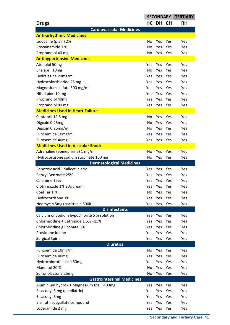|                                             | <b>SECONDARY</b> |          |     | <b>TERTIARY</b> |
|---------------------------------------------|------------------|----------|-----|-----------------|
| <b>Drugs</b>                                |                  | HC DH CH |     | <b>RH</b>       |
| <b>Cardiovascular Medicines</b>             |                  |          |     |                 |
| <b>Anti-arhythmic Medicines</b>             |                  |          |     |                 |
| Lidocaine (plain) 2%                        | No               | Yes      | Yes | Yes             |
| Procainamide 1%                             | No               | Yes      | Yes | Yes             |
| Propranolol 40 mg                           | No               | Yes      | Yes | Yes             |
| <b>Antihypertensive Medicines</b>           |                  |          |     |                 |
| Atenolol 50mg                               | Yes              | Yes      | Yes | Yes             |
| Enalapril 10mg                              | No               | Yes      | Yes | Yes             |
| Hydralazine 20mg/ml                         | <b>Yes</b>       | Yes      | Yes | Yes             |
| Hydrochlorthiazide 25 mg                    | <b>Yes</b>       | Yes      | Yes | Yes             |
| Magnesium sulfate 500 mg/ml                 | <b>Yes</b>       | Yes      | Yes | Yes             |
| Nifedipine 10 mg                            | Yes              | Yes      | Yes | Yes             |
| Propranolol 40mg                            | <b>Yes</b>       | Yes      | Yes | Yes             |
| Propranolol 80 mg                           | Yes              | Yes      | Yes | Yes             |
| <b>Medicines Used in Heart Failure</b>      |                  |          |     |                 |
| Captopril 12.5 mg                           | No               | Yes      | Yes | Yes             |
| Digoxin 0.25mg                              | No               | Yes      | Yes | Yes             |
| Digoxin 0.25mg/ml                           | No               | Yes      | Yes | Yes             |
| Furosemide 10mg/ml                          | Yes              | Yes      | Yes | Yes             |
| Furosemide 40mg                             | Yes              | Yes      | Yes | Yes             |
| <b>Medicines Used in Vascular Shock</b>     |                  |          |     |                 |
| Adrenaline (epinephrine) 1 mg/ml            | No               | Yes      | Yes | Yes             |
| Hydrocortisone sodium succinate 100 mg      | No               | Yes      | Yes | Yes             |
| <b>Dermatological Medicines</b>             |                  |          |     |                 |
| Benozoic acid + Salicyclic acid             | Yes              | Yes      | Yes | Yes             |
| Benzyl Benzoate 25%                         | Yes              | Yes      | Yes | Yes             |
| Calamine 15%                                | Yes              | Yes      | Yes | Yes             |
| Clotrimazole 1% 20g cream                   | Yes              | Yes      | Yes | Yes             |
| Coal Tar 1 %                                | No               | Yes      | Yes | Yes             |
| Hydrocortisone 1%                           | Yes              | Yes      | Yes | Yes             |
| Neomycin 5mg+bacitracin 500iu               | Yes              | Yes      | Yes | Yes             |
| <b>Disinfectants</b>                        |                  |          |     |                 |
| Calcium or Sodium hypochlorite 5 % solution | <b>Yes</b>       | Yes      | Yes | Yes             |
| Chlorhexidine + Cetrimide 1.5% +15%         | Yes              | Yes      | Yes | Yes             |
| Chlorhexidine gluconate 5%                  | <b>Yes</b>       | Yes      | Yes | Yes             |
| Providone Iodine                            | <b>Yes</b>       | Yes      | Yes | Yes             |
| <b>Surgical Spirit</b>                      | Yes              | Yes      | Yes | Yes             |
| <b>Diuretics</b>                            |                  |          |     |                 |
| Furosemide 10mg/ml                          | No.              | Yes      | Yes | Yes             |
| Furosemide 40mg                             | <b>Yes</b>       | Yes      | Yes | Yes             |
| Hydrochlorothiazide 50mg                    | Yes              | Yes      | Yes | Yes             |
| Mannitol 20 %                               | No               | Yes      | Yes | Yes             |
| Spironolactone 25mg                         | No               | Yes      | Yes | Yes             |
| <b>Gastrointestinal Medicines</b>           |                  |          |     |                 |
| Aluminium hydrox.+ Magnesium trisil, 400mg  | Yes              | Yes      | Yes | Yes             |
| Bisacodyl 5 mg (paediatric)                 | Yes              | Yes      | Yes | Yes             |
| <b>Bisacodyl 5mg</b>                        | <b>Yes</b>       | Yes      | Yes | Yes             |
| Bismuth subgallate compound                 | Yes              | Yes      | Yes | Yes             |
| Loperamide 2 mg                             | Yes              | Yes      | Yes | Yes             |
|                                             |                  |          |     |                 |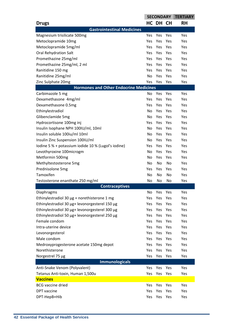|                                                                 | <b>SECONDARY</b>  |            |            | <b>TERTIARY</b> |
|-----------------------------------------------------------------|-------------------|------------|------------|-----------------|
| <b>Drugs</b>                                                    |                   | HC DH CH   |            | <b>RH</b>       |
| <b>Gastrointestinal Medicines</b>                               |                   |            |            |                 |
| Magnesium trisilicate 500mg                                     | Yes.              | Yes        | Yes        | Yes             |
| Metoclopramide 10mg                                             | Yes               | Yes        | Yes        | Yes             |
| Metoclopramide 5mg/ml                                           | Yes               | Yes        | Yes        | Yes             |
| <b>Oral Rehydration Salt</b>                                    | <b>Yes</b>        | Yes        | Yes        | Yes             |
| Promethazine 25mg/ml                                            | Yes.              | Yes        | Yes        | Yes             |
| Promethazine 25mg/ml, 2 ml                                      | Yes               | Yes        | Yes        | Yes             |
| Ranitidine 150 mg                                               | <b>Yes</b>        | Yes        | Yes        | Yes             |
| Ranitidine 25mg/ml                                              | No                | Yes        | Yes        | Yes             |
| Zinc Sulphate 20mg                                              | Yes               | Yes        | Yes        | Yes             |
| <b>Hormones and Other Endocrine Medicines</b>                   |                   |            |            |                 |
| Carbimazole 5 mg                                                | No                | Yes        | Yes        | Yes             |
| Dexamethasone 4mg/ml                                            | Yes               | Yes        | Yes        | Yes             |
| Dexamethasone 0.5mg                                             | Yes.              | Yes        | Yes        | Yes             |
| Ethinylestradiol                                                | <b>No</b>         | Yes        | Yes        | Yes             |
| Glibenclamide 5mg                                               | <b>No</b>         | Yes        | Yes        | Yes             |
| Hydrocortisone 100mg inj                                        | <b>Yes</b>        | Yes        | Yes        | Yes             |
| Insulin Isophane NPH 100IU/ml, 10ml                             | N <sub>o</sub>    | Yes        | Yes        | Yes             |
| Insulin soluble 100iu/ml 10ml                                   | <b>No</b>         | Yes        | Yes        | Yes             |
| Insulin Zinc Suspension 100IU/ml                                | No                | Yes        | Yes        | Yes             |
| Iodine 5 % + potassium iodide 10 % (Lugol's iodine)             | Yes               | Yes        | Yes        | Yes             |
| Levothyroxine 100microgm                                        | <b>No</b>         | Yes        | Yes        | Yes             |
| Metformin 500mg                                                 | <b>No</b>         | Yes        | Yes        | Yes             |
| Methyltestosterone 5mg                                          | No                | No         | No         | Yes             |
| Prednisolone 5mg                                                | Yes               | <b>Yes</b> | Yes        | Yes             |
| Tamoxifen                                                       | No                | No         | No         | Yes             |
| Testosterone enanthate 250 mg/ml                                | No                | No         | No         | Yes             |
| <b>Contraceptives</b>                                           |                   |            |            |                 |
| Diaphragms                                                      | No                | Yes        | Yes        | Yes             |
| Ethinylestradiol 30 $\mu$ g + norethisterone 1 mg               | Yes               | Yes        | Yes        | Yes             |
| Ethinylestradiol 30 µg+ levonorgesterel 150 µg                  | <b>Yes</b>        | Yes        | Yes        | Yes             |
| Ethinylestradiol 30 µg+ levonorgesterel 300 µg                  | Yes               | Yes        | Yes        | Yes             |
| Ethinylestradiol 50 µg+ levonorgesterel 250 µg<br>Female condom | Yes               | Yes        | Yes        | Yes             |
| Intra-uterine device                                            | Yes<br><b>Yes</b> | Yes<br>Yes | Yes<br>Yes | Yes<br>Yes      |
|                                                                 | <b>Yes</b>        | Yes        |            | Yes             |
| Levonorgesterol<br>Male condom                                  | Yes               | Yes        | Yes<br>Yes | Yes             |
| Medroxyprogesterone acetate 150mg depot                         | Yes               | Yes        | Yes        | Yes             |
| Norethisterone                                                  | Yes               | Yes        | Yes        | Yes             |
| Norgestrel 75 µg                                                | <b>Yes</b>        | Yes        | Yes        | Yes             |
| <b>Immunologicals</b>                                           |                   |            |            |                 |
| Anti-Snake Venom (Polyvalent)                                   | Yes               | Yes        | Yes        | Yes             |
| Tetanus Anti-toxin, Human 1,500u                                | Yes               | Yes        | Yes        | Yes             |
| <b>Vaccines</b>                                                 |                   |            |            |                 |
| <b>BCG</b> vaccine dried                                        | Yes               | Yes        | Yes        | Yes             |
| DPT vaccine                                                     | Yes               | Yes        | Yes        | Yes             |
| DPT-HepB+Hib                                                    | Yes               | Yes        | Yes        | Yes             |
|                                                                 |                   |            |            |                 |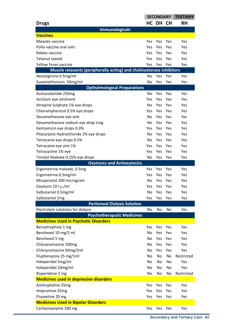|                                                                      | <b>SECONDARY</b> |          |     | <b>TERTIARY</b> |
|----------------------------------------------------------------------|------------------|----------|-----|-----------------|
| <b>Drugs</b>                                                         |                  | HC DH CH |     | <b>RH</b>       |
| <b>Immunologicals</b>                                                |                  |          |     |                 |
| <b>Vaccines</b>                                                      |                  |          |     |                 |
| Measles vaccine                                                      | Yes              | Yes      | Yes | Yes             |
| Polio vaccine oral soln.                                             | Yes              | Yes      | Yes | Yes             |
| Rabies vaccine                                                       | Yes              | Yes      | Yes | Yes             |
| <b>Tetanus toxoid</b>                                                | Yes              | Yes      | Yes | Yes             |
| Yellow Fever vaccine                                                 | Yes              | Yes      | Yes | Yes             |
| Muscle relaxants (peripherally acting) and cholinesterase inhibitors |                  |          |     |                 |
| Neostigmine 0.5mg/ml                                                 | No               | Yes      | Yes | Yes             |
| Suxamethonium 50mg/ml                                                | N <sub>o</sub>   | Yes      | Yes | Yes             |
| <b>Opthalmological Preparations</b>                                  |                  |          |     |                 |
| Acetazolamide 250mg                                                  | No               | Yes      | Yes | Yes             |
| Aciclovir eye ointment                                               | Yes              | Yes      | Yes | Yes             |
| Atropine Sulphate 1% eye drops                                       | No.              | Yes      | Yes | Yes             |
| Chloramphenicol 0.5% eye drops                                       | Yes              | Yes      | Yes | Yes             |
| Desamethasone eye oint                                               | No               | Yes      | Yes | Yes             |
| Dexamethasone sodium eye drop 1mg                                    | No               | Yes      | Yes | Yes             |
| Gentamicin eye drops 0.3%                                            | <b>Yes</b>       | Yes      | Yes | Yes             |
| Pilocarpine Hydrochloride 2% eye drops                               | N <sub>o</sub>   | Yes      | Yes | Yes             |
| Tetracaine eye drops 0.5%                                            | No               | Yes      | Yes | Yes             |
| Tetracaine eye oint 1%                                               | Yes              | Yes      | Yes | Yes             |
| Tetracycline 1% eye                                                  | Yes              | Yes      | Yes | Yes             |
| Timolol Maleate 0.25% eye drops                                      | No               | Yes      | Yes | Yes             |
| <b>Oxytocics and Antioxytocics</b>                                   |                  |          |     |                 |
| Ergometrine maleate, 0.5mg                                           | Yes              | Yes      | Yes | Yes             |
| Ergometrine 0.5mg/ml                                                 | Yes              | Yes      | Yes | Yes             |
| Misoprostol 200 microgram                                            | No               | Yes      | Yes | Yes             |
| Oxytocin 10 I.u./ml                                                  | Yes              | Yes      | Yes | Yes             |
| Salbutamol 0.5mg/ml                                                  | No               | Yes      | Yes | Yes             |
| Salbutamol 2mg                                                       | Yes              | Yes      | Yes | Yes             |
| <b>Peritoneal Dialysis Solution</b>                                  |                  |          |     |                 |
| Electrolyte solutions for dialysis                                   | No               | No       | No  | Yes             |
| <b>Psychotheraputic Medicines</b>                                    |                  |          |     |                 |
| <b>Medicines Used in Psychotic Disorders</b>                         |                  |          |     |                 |
| Benzatrophine 1 mg                                                   | Yes              | Yes      | Yes | Yes             |
| Benzhexol 10 mg/5 ml                                                 | <b>No</b>        | Yes      | Yes | Yes             |
| Benzhexol 5 mg                                                       | N <sub>o</sub>   | Yes      | Yes | Yes             |
| Chlorpromazine 100mg                                                 | No               | Yes      | Yes | Yes             |
| Chlorpromazine 50mg/2ml                                              | N <sub>o</sub>   | Yes      | Yes | Yes             |
| Fluphenazine 25 mg/1ml                                               | No               | No       | No  | Restricted      |
| Haloperidol 5mg/ml                                                   | N <sub>o</sub>   | No       | No  | Yes             |
| Haloperidol 10mg/ml                                                  | N <sub>o</sub>   | No       | No  | Yes             |
| Risperidone 2 mg                                                     | No               | No       | No  | Restricted      |
| <b>Medicines used in depressive disorders</b>                        |                  |          |     |                 |
| Amitryptyline 25mg                                                   | Yes              | Yes      | Yes | Yes             |
| Imipramine 25mg                                                      | Yes              | Yes      | Yes | Yes             |
| Fluoxetine 20 mg                                                     | Yes              | Yes      | Yes | Yes             |
| <b>Medicines Used in Bipolar Disorders</b>                           |                  |          |     |                 |
| Carbamazepine 100 mg                                                 | Yes              | Yes      | Yes | Yes             |